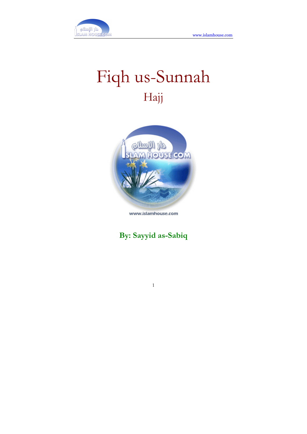

# Fiqh us-Sunnah Hajj



www.islamhouse.com

## By: Sayyid as-Sabiq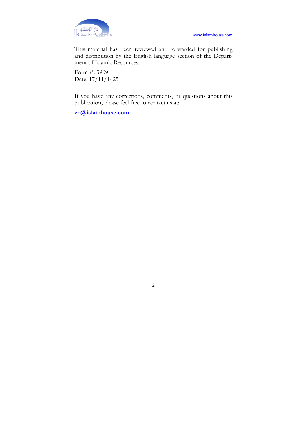

This material has been reviewed and forwarded for publishing and distribution by the English language section of the Department of Islamic Resources.

Form #: 3909 Date: 17/11/1425

If you have any corrections, comments, or questions about this publication, please feel free to contact us at:

en@islamhouse.com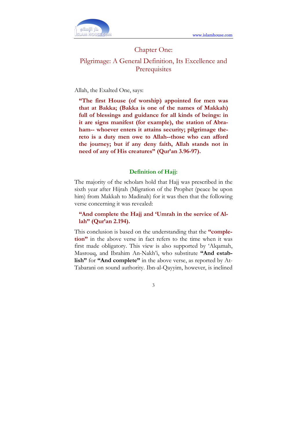

### Chapter One: Pilgrimage: A General Definition, Its Excellence and **Prerequisites**

#### Allah, the Exalted One, says:

"The first House (of worship) appointed for men was that at Bakka; (Bakka is one of the names of Makkah) full of blessings and guidance for all kinds of beings: in it are signs manifest (for example), the station of Abraham-- whoever enters it attains security; pilgrimage thereto is a duty men owe to Allah--those who can afford the journey; but if any deny faith, Allah stands not in need of any of His creatures" (Qur'an 3.96-97).

#### Definition of Hajj:

The majority of the scholars hold that Hajj was prescribed in the sixth year after Hijrah (Migration of the Prophet (peace be upon him) from Makkah to Madinah) for it was then that the following verse concerning it was revealed:

"And complete the Hajj and 'Umrah in the service of Allah" (Qur'an 2.194).

This conclusion is based on the understanding that the "completion" in the above verse in fact refers to the time when it was first made obligatory. This view is also supported by 'Alqamah, Masrouq, and Ibrahim An-Nakh'i, who substitute "And establish" for "And complete" in the above verse, as reported by At-Tabarani on sound authority. Ibn-al-Qayyim, however, is inclined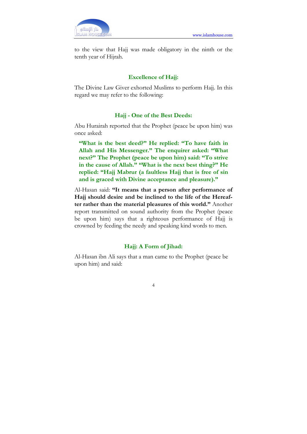

to the view that Hajj was made obligatory in the ninth or the tenth year of Hijrah.

#### Excellence of Hajj:

The Divine Law Giver exhorted Muslims to perform Hajj. In this regard we may refer to the following:

#### Hajj - One of the Best Deeds:

Abu Hurairah reported that the Prophet (peace be upon him) was once asked:

"What is the best deed?" He replied: "To have faith in Allah and His Messenger." The enquirer asked: "What next?" The Prophet (peace be upon him) said: "To strive in the cause of Allah." "What is the next best thing?" He replied: "Hajj Mabrur (a faultless Hajj that is free of sin and is graced with Divine acceptance and pleasure)."

Al-Hasan said: "It means that a person after performance of Hajj should desire and be inclined to the life of the Hereafter rather than the material pleasures of this world." Another report transmitted on sound authority from the Prophet (peace be upon him) says that a righteous performance of Hajj is crowned by feeding the needy and speaking kind words to men.

#### Hajj: A Form of Jihad:

Al-Hasan ibn Ali says that a man came to the Prophet (peace be upon him) and said: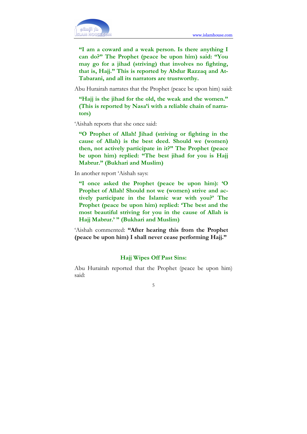

"I am a coward and a weak person. Is there anything I can do?" The Prophet (peace be upon him) said: "You may go for a jihad (striving) that involves no fighting, that is, Hajj." This is reported by Abdur Razzaq and At-Tabarani, and all its narrators are trustworthy.

Abu Hurairah narrates that the Prophet (peace be upon him) said:

"Hajj is the jihad for the old, the weak and the women." (This is reported by Nasa'i with a reliable chain of narrators)

'Aishah reports that she once said:

"O Prophet of Allah! Jihad (striving or fighting in the cause of Allah) is the best deed. Should we (women) then, not actively participate in it?" The Prophet (peace be upon him) replied: "The best jihad for you is Hajj Mabrur." (Bukhari and Muslim)

In another report 'Aishah says:

"I once asked the Prophet (peace be upon him): 'O Prophet of Allah! Should not we (women) strive and actively participate in the Islamic war with you?' The Prophet (peace be upon him) replied: 'The best and the most beautiful striving for you in the cause of Allah is Hajj Mabrur.' " (Bukhari and Muslim)

'Aishah commented: "After hearing this from the Prophet (peace be upon him) I shall never cease performing Hajj."

#### Hajj Wipes Off Past Sins:

Abu Hurairah reported that the Prophet (peace be upon him) said: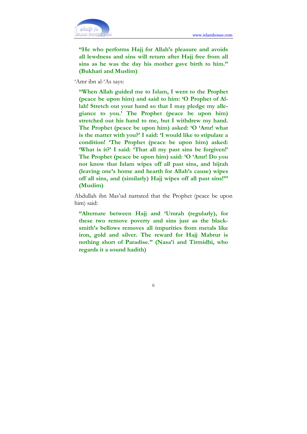

"He who performs Hajj for Allah's pleasure and avoids all lewdness and sins will return after Hajj free from all sins as he was the day his mother gave birth to him." (Bukhari and Muslim)

'Amr ibn al-'As says:

"When Allah guided me to Islam, I went to the Prophet (peace be upon him) and said to him: 'O Prophet of Allah! Stretch out your hand so that I may pledge my allegiance to you.' The Prophet (peace be upon him) stretched out his hand to me, but I withdrew my hand. The Prophet (peace be upon him) asked: 'O 'Amr! what is the matter with you?' I said: 'I would like to stipulate a condition! 'The Prophet (peace be upon him) asked: 'What is it?' I said: 'That all my past sins be forgiven!' The Prophet (peace be upon him) said: 'O 'Amr! Do you not know that Islam wipes off all past sins, and hijrah (leaving one's home and hearth for Allah's cause) wipes off all sins, and (similarly) Hajj wipes off all past sins!"' (Muslim)

Abdullah ibn Mas'ud narrated that the Prophet (peace be upon him) said:

"Alternate between Hajj and 'Umrah (regularly), for these two remove poverty and sins just as the blacksmith's bellows removes all impurities from metals like iron, gold and silver. The reward for Hajj Mabrur is nothing short of Paradise." (Nasa'i and Tirmidhi, who regards it a sound hadith)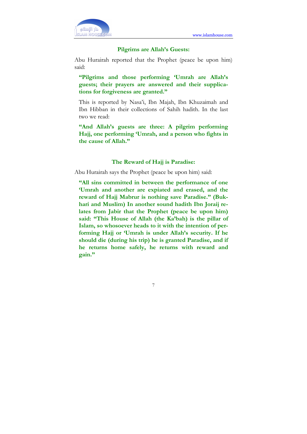

#### Pilgrims are Allah's Guests:

Abu Hurairah reported that the Prophet (peace be upon him) said:

"Pilgrims and those performing 'Umrah are Allah's guests; their prayers are answered and their supplications for forgiveness are granted."

This is reported by Nasa'i, Ibn Majah, Ibn Khuzaimah and Ibn Hibban in their collections of Sahih hadith. In the last two we read:

"And Allah's guests are three: A pilgrim performing Hajj, one performing 'Umrah, and a person who fights in the cause of Allah."

#### The Reward of Hajj is Paradise:

Abu Hurairah says the Prophet (peace be upon him) said:

"All sins committed in between the performance of one 'Umrah and another are expiated and erased, and the reward of Hajj Mabrur is nothing save Paradise." (Bukhari and Muslim) In another sound hadith Ibn Joraij relates from Jabir that the Prophet (peace be upon him) said: "This House of Allah (the Ka'bah) is the pillar of Islam, so whosoever heads to it with the intention of performing Hajj or 'Umrah is under Allah's security. If he should die (during his trip) he is granted Paradise, and if he returns home safely, he returns with reward and gain."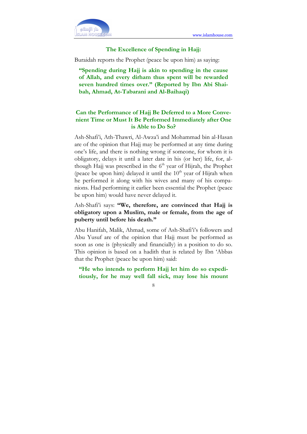

#### The Excellence of Spending in Hajj:

Buraidah reports the Prophet (peace be upon him) as saying:

"Spending during Hajj is akin to spending in the cause of Allah, and every dirham thus spent will be rewarded seven hundred times over." (Reported by Ibn Abi Shaibah, Ahmad, At-Tabarani and Al-Baihaqi)

#### Can the Performance of Hajj Be Deferred to a More Convenient Time or Must It Be Performed Immediately after One is Able to Do So?

Ash-Shafi'i, Ath-Thawri, Al-Awza'i and Mohammad bin al-Hasan are of the opinion that Hajj may be performed at any time during one's life, and there is nothing wrong if someone, for whom it is obligatory, delays it until a later date in his (or her) life, for, although Hajj was prescribed in the  $6<sup>th</sup>$  year of Hijrah, the Prophet (peace be upon him) delayed it until the  $10<sup>th</sup>$  year of Hijrah when he performed it along with his wives and many of his companions. Had performing it earlier been essential the Prophet (peace be upon him) would have never delayed it.

Ash-Shafi'i says: "We, therefore, are convinced that Hajj is obligatory upon a Muslim, male or female, from the age of puberty until before his death."

Abu Hanifah, Malik, Ahmad, some of Ash-Shafi'i's followers and Abu Yusuf are of the opinion that Hajj must be performed as soon as one is (physically and financially) in a position to do so. This opinion is based on a hadith that is related by Ibn 'Abbas that the Prophet (peace be upon him) said:

"He who intends to perform Hajj let him do so expeditiously, for he may well fall sick, may lose his mount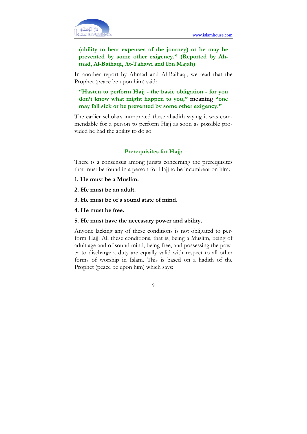

#### (ability to bear expenses of the journey) or he may be prevented by some other exigency." (Reported by Ahmad, Al-Baihaqi, At-Tahawi and Ibn Majah)

In another report by Ahmad and Al-Baihaqi, we read that the Prophet (peace be upon him) said:

"Hasten to perform Hajj - the basic obligation - for you don't know what might happen to you," meaning "one may fall sick or be prevented by some other exigency."

The earlier scholars interpreted these ahadith saying it was commendable for a person to perform Hajj as soon as possible provided he had the ability to do so.

#### Prerequisites for Hajj:

There is a consensus among jurists concerning the prerequisites that must be found in a person for Hajj to be incumbent on him:

- 1. He must be a Muslim.
- 2. He must be an adult.
- 3. He must be of a sound state of mind.
- 4. He must be free.

#### 5. He must have the necessary power and ability.

Anyone lacking any of these conditions is not obligated to perform Hajj. All these conditions, that is, being a Muslim, being of adult age and of sound mind, being free, and possessing the power to discharge a duty are equally valid with respect to all other forms of worship in Islam. This is based on a hadith of the Prophet (peace be upon him) which says: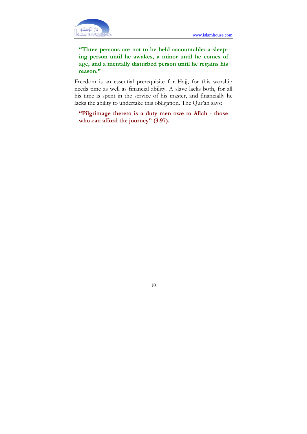

"Three persons are not to be held accountable: a sleeping person until he awakes, a minor until he comes of age, and a mentally disturbed person until he regains his reason."

Freedom is an essential prerequisite for Hajj, for this worship needs time as well as financial ability. A slave lacks both, for all his time is spent in the service of his master, and financially he lacks the ability to undertake this obligation. The Qur'an says:

"Pilgrimage thereto is a duty men owe to Allah - those who can afford the journey" (3.97).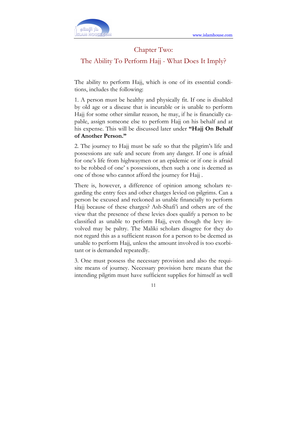

#### Chapter Two:

The Ability To Perform Hajj - What Does It Imply?

The ability to perform Hajj, which is one of its essential conditions, includes the following:

1. A person must be healthy and physically fit. If one is disabled by old age or a disease that is incurable or is unable to perform Hajj for some other similar reason, he may, if he is financially capable, assign someone else to perform Hajj on his behalf and at his expense. This will be discussed later under "Hajj On Behalf of Another Person."

2. The journey to Hajj must be safe so that the pilgrim's life and possessions are safe and secure from any danger. If one is afraid for one's life from highwaymen or an epidemic or if one is afraid to be robbed of one' s possessions, then such a one is deemed as one of those who cannot afford the journey for Hajj .

There is, however, a difference of opinion among scholars regarding the entry fees and other charges levied on pilgrims. Can a person be excused and reckoned as unable financially to perform Hajj because of these charges? Ash-Shafi'i and others are of the view that the presence of these levies does qualify a person to be classified as unable to perform Hajj, even though the levy involved may be paltry. The Maliki scholars disagree for they do not regard this as a sufficient reason for a person to be deemed as unable to perform Hajj, unless the amount involved is too exorbitant or is demanded repeatedly.

3. One must possess the necessary provision and also the requisite means of journey. Necessary provision here means that the intending pilgrim must have sufficient supplies for himself as well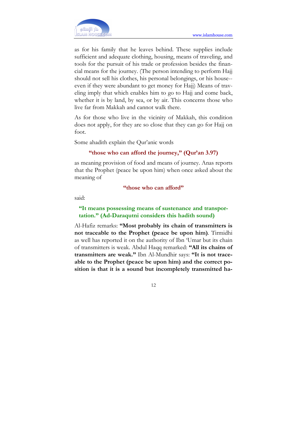دار الاسلام AM HOUS

٦

as for his family that he leaves behind. These supplies include sufficient and adequate clothing, housing, means of traveling, and tools for the pursuit of his trade or profession besides the financial means for the journey. (The person intending to perform Hajj should not sell his clothes, his personal belongings, or his house- even if they were abundant to get money for Hajj) Means of traveling imply that which enables him to go to Hajj and come back, whether it is by land, by sea, or by air. This concerns those who live far from Makkah and cannot walk there.

As for those who live in the vicinity of Makkah, this condition does not apply, for they are so close that they can go for Hajj on foot.

Some ahadith explain the Qur'anic words

#### "those who can afford the journey," (Qur'an 3.97)

as meaning provision of food and means of journey. Anas reports that the Prophet (peace be upon him) when once asked about the meaning of

#### "those who can afford"

said:

#### "It means possessing means of sustenance and transportation." (Ad-Daraqutni considers this hadith sound)

Al-Hafiz remarks: "Most probably its chain of transmitters is not traceable to the Prophet (peace be upon him). Tirmidhi as well has reported it on the authority of Ibn 'Umar but its chain of transmitters is weak. Abdul Haqq remarked: "All its chains of transmitters are weak." Ibn Al-Mundhir says: "It is not traceable to the Prophet (peace be upon him) and the correct position is that it is a sound but incompletely transmitted ha-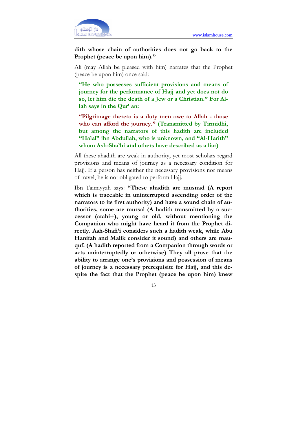

dith whose chain of authorities does not go back to the Prophet (peace be upon him)."

Ali (may Allah be pleased with him) narrates that the Prophet (peace be upon him) once said:

"He who possesses sufficient provisions and means of journey for the performance of Hajj and yet does not do so, let him die the death of a Jew or a Christian." For Allah says in the Qur' an:

"Pilgrimage thereto is a duty men owe to Allah - those who can afford the journey." (Transmitted by Tirmidhi, but among the narrators of this hadith are included "Halal" ibn Abdullah, who is unknown, and "Al-Harith" whom Ash-Sha'bi and others have described as a liar)

All these ahadith are weak in authority, yet most scholars regard provisions and means of journey as a necessary condition for Hajj. If a person has neither the necessary provisions nor means of travel, he is not obligated to perform Hajj.

Ibn Taimiyyah says: "These ahadith are musnad (A report which is traceable in uninterrupted ascending order of the narrators to its first authority) and have a sound chain of authorities, some are mursal (A hadith transmitted by a successor (atabi+), young or old, without mentioning the Companion who might have heard it from the Prophet directly. Ash-Shafi'i considers such a hadith weak, while Abu Hanifah and Malik consider it sound) and others are mauquf. (A hadith reported from a Companion through words or acts uninterruptedly or otherwise) They all prove that the ability to arrange one's provisions and possession of means of journey is a necessary prerequisite for Hajj, and this despite the fact that the Prophet (peace be upon him) knew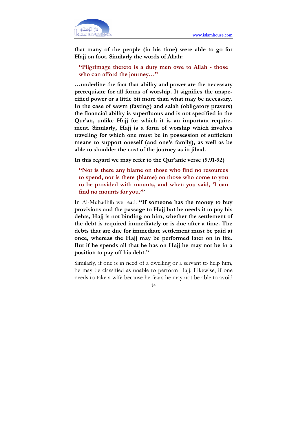

that many of the people (in his time) were able to go for Hajj on foot. Similarly the words of Allah:

"Pilgrimage thereto is a duty men owe to Allah - those who can afford the journey..."

…underline the fact that ability and power are the necessary prerequisite for all forms of worship. It signifies the unspecified power or a little bit more than what may be necessary. In the case of sawm (fasting) and salah (obligatory prayers) the financial ability is superfluous and is not specified in the Qur'an, unlike Hajj for which it is an important requirement. Similarly, Hajj is a form of worship which involves traveling for which one must be in possession of sufficient means to support oneself (and one's family), as well as be able to shoulder the cost of the journey as in jihad.

In this regard we may refer to the Qur'anic verse (9.91-92)

"Nor is there any blame on those who find no resources to spend, nor is there (blame) on those who come to you to be provided with mounts, and when you said, 'I can find no mounts for you."'

In Al-Muhadhib we read: "If someone has the money to buy provisions and the passage to Hajj but he needs it to pay his debts, Hajj is not binding on him, whether the settlement of the debt is required immediately or is due after a time. The debts that are due for immediate settlement must be paid at once, whereas the Hajj may be performed later on in life. But if he spends all that he has on Hajj he may not be in a position to pay off his debt."

Similarly, if one is in need of a dwelling or a servant to help him, he may be classified as unable to perform Hajj. Likewise, if one needs to take a wife because he fears he may not be able to avoid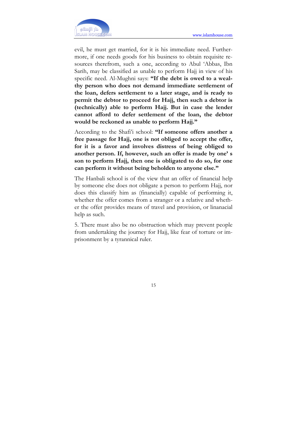

evil, he must get married, for it is his immediate need. Furthermore, if one needs goods for his business to obtain requisite resources therefrom, such a one, according to Abul 'Abbas, Ibn Sarih, may be classified as unable to perform Hajj in view of his specific need. Al-Mughni says: "If the debt is owed to a wealthy person who does not demand immediate settlement of the loan, defers settlement to a later stage, and is ready to permit the debtor to proceed for Hajj, then such a debtor is (technically) able to perform Hajj. But in case the lender cannot afford to defer settlement of the loan, the debtor would be reckoned as unable to perform Hajj."

According to the Shafi'i school: "If someone offers another a free passage for Hajj, one is not obliged to accept the offer, for it is a favor and involves distress of being obliged to another person. If, however, such an offer is made by one' s son to perform Hajj, then one is obligated to do so, for one can perform it without being beholden to anyone else."

The Hanbali school is of the view that an offer of financial help by someone else does not obligate a person to perform Hajj, nor does this classify him as (financially) capable of performing it, whether the offer comes from a stranger or a relative and whether the offer provides means of travel and provision, or linanacial help as such.

5. There must also be no obstruction which may prevent people from undertaking the journey for Hajj, like fear of torture or imprisonment by a tyrannical ruler.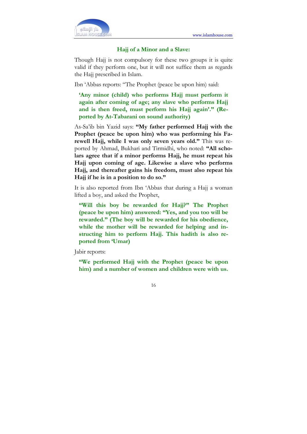

#### Hajj of a Minor and a Slave:

Though Hajj is not compulsory for these two groups it is quite valid if they perform one, but it will not suffice them as regards the Hajj prescribed in Islam.

Ibn 'Abbas reports: "The Prophet (peace be upon him) said:

'Any minor (child) who performs Hajj must perform it again after coming of age; any slave who performs Hajj and is then freed, must perform his Hajj again'." (Reported by At-Tabarani on sound authority)

As-Sa'ib bin Yazid says: "My father performed Hajj with the Prophet (peace be upon him) who was performing his Farewell Hajj, while I was only seven years old." This was reported by Ahmad, Bukhari and Tirmidhi, who noted: "All scholars agree that if a minor performs Hajj, he must repeat his Hajj upon coming of age. Likewise a slave who performs Hajj, and thereafter gains his freedom, must also repeat his Hajj if he is in a position to do so."

It is also reported from Ibn 'Abbas that during a Hajj a woman lifted a boy, and asked the Prophet,

"Will this boy be rewarded for Hajj?" The Prophet (peace be upon him) answered: "Yes, and you too will be rewarded." (The boy will be rewarded for his obedience, while the mother will be rewarded for helping and instructing him to perform Hajj. This hadith is also reported from 'Umar)

Jabir reports:

"We performed Hajj with the Prophet (peace be upon him) and a number of women and children were with us.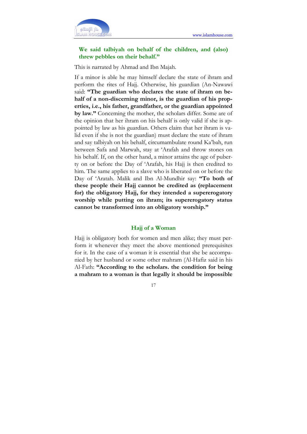

#### We said talbiyah on behalf of the children, and (also) threw pebbles on their behalf."

This is narrated by Ahmad and Ibn Majah.

If a minor is able he may himself declare the state of ihram and perform the rites of Hajj. Otherwise, his guardian (An-Nawawi said: "The guardian who declares the state of ihram on behalf of a non-discerning minor, is the guardian of his properties, i.e., his father, grandfather, or the guardian appointed by law." Conceming the mother, the scholars differ. Some are of the opinion that her ihram on his behalf is only valid if she is appointed by law as his guardian. Others claim that her ihram is valid even if she is not the guardian) must declare the state of ihram and say talbiyah on his behalf, circumambulate round Ka'bah, run between Safa and Marwah, stay at 'Arafah and throw stones on his behalf. If, on the other hand, a minor attains the age of puberty on or before the Day of 'Arafah, his Hajj is then credited to him. The same applies to a slave who is liberated on or before the Day of 'Aratah. Malik and Ibn Al-Mundhir say: "To both of these people their Hajj cannot be credited as (replacement for) the obligatory Hajj, for they intended a supererogatory worship while putting on ihram; its supererogatory status cannot be transformed into an obligatory worship."

#### Hajj of a Woman

Hajj is obligatory both for women and men alike; they must perform it whenever they meet the above mentioned prerequisites for it. In the case of a woman it is essential that she be accompanied by her husband or some other mahram (Al-Hafiz said in his Al-Fath: "According to the scholars. the condition for being a mahram to a woman is that legally it should be impossible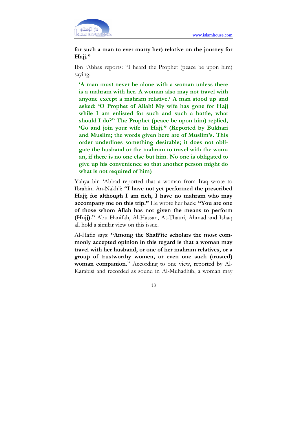

for such a man to ever marry her) relative on the journey for Hajj."

Ibn 'Abbas reports: "I heard the Prophet (peace be upon him) saying:

'A man must never be alone with a woman unless there is a mahram with her. A woman also may not travel with anyone except a mahram relative.' A man stood up and asked: 'O Prophet of Allah! My wife has gone for Hajj while I am enlisted for such and such a battle, what should I do?" The Prophet (peace be upon him) replied, 'Go and join your wife in Hajj." (Reported by Bukhari and Muslim; the words given here are of Muslim's. This order underlines something desirable; it does not obligate the husband or the mahram to travel with the woman, if there is no one else but him. No one is obligated to give up his convenience so that another person might do what is not required of him)

Yahya bin 'Abbad reported that a woman from Iraq wrote to Ibrahim An-Nakh'i: "I have not yet performed the prescribed Hajj; for although I am rich, I have no mahram who may accompany me on this trip." He wrote her back: "You are one of those whom Allah has not given the means to perform (Hajj)." Abu Hanifah, Al-Hassan, At-Thauri, Ahmad and Ishaq all hold a similar view on this issue.

Al-Hafiz says: "Among the Shafi'ite scholars the most commonly accepted opinion in this regard is that a woman may travel with her husband, or one of her mahram relatives, or a group of trustworthy women, or even one such (trusted) woman companion." According to one view, reported by Al-Karabisi and recorded as sound in Al-Muhadhib, a woman may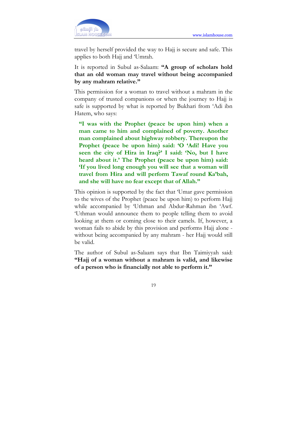

travel by herself provided the way to Hajj is secure and safe. This applies to both Hajj and 'Umrah.

It is reported in Subul as-Salaam: "A group of scholars hold that an old woman may travel without being accompanied by any mahram relative."

This permission for a woman to travel without a mahram in the company of trusted companions or when the journey to Hajj is safe is supported by what is reported by Bukhari from 'Adi ibn Hatem, who says:

"I was with the Prophet (peace be upon him) when a man came to him and complained of poverty. Another man complained about highway robbery. Thereupon the Prophet (peace be upon him) said: 'O 'Adi! Have you seen the city of Hira in Iraq?' I said: 'No, but I have heard about it.' The Prophet (peace be upon him) said: 'If you lived long enough you will see that a woman will travel from Hira and will perform Tawaf round Ka'bah, and she will have no fear except that of Allah."

This opinion is supported by the fact that 'Umar gave permission to the wives of the Prophet (peace be upon him) to perform Hajj while accompanied by 'Uthman and Abdur-Rahman ibn 'Awf. 'Uthman would announce them to people telling them to avoid looking at them or coming close to their camels. If, however, a woman fails to abide by this provision and performs Hajj alone without being accompanied by any mahram - her Hajj would still be valid.

The author of Subul as-Salaam says that Ibn Taimiyyah said: "Hajj of a woman without a mahram is valid, and likewise of a person who is financially not able to perform it."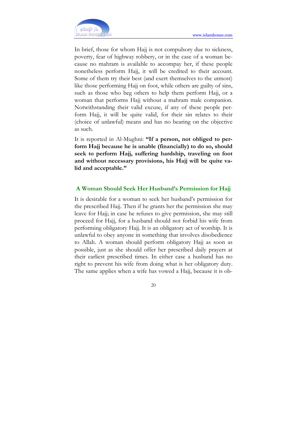

In brief, those for whom Hajj is not compulsory due to sickness, poverty, fear of highway robbery, or in the case of a woman because no mahram is available to accompay her, if these people nonetheless perform Hajj, it will be credited to their account. Some of them try their best (and exert themselves to the utmost) like those performing Hajj on foot, while others are guilty of sins, such as those who beg others to help them perform Hajj, or a woman that performs Hajj without a mahram male companion. Notwithstanding their valid excuse, if any of these people perform Hajj, it will be quite valid, for their sin relates to their (choice of unlawful) means and has no bearing on the objective as such.

It is reported in Al-Mughni: "If a person, not obliged to perform Hajj because he is unable (financially) to do so, should seek to perform Hajj, suffering hardship, traveling on foot and without necessary provisions, his Hajj will be quite valid and acceptable."

#### A Woman Should Seek Her Husband's Permission for Hajj

It is desirable for a woman to seek her husband's permission for the prescribed Hajj. Then if he grants her the permission she may leave for Hajj; in case he refuses to give permission, she may still proceed for Hajj, for a husband should not forbid his wife from performing obligatory Hajj. It is an obligatory act of worship. It is unlawful to obey anyone in something that involves disobedience to Allah. A woman should perform obligatory Hajj as soon as possible, just as she should offer her prescribed daily prayers at their earliest prescribed times. In either case a husband has no right to prevent his wife from doing what is her obligatory duty. The same applies when a wife has vowed a Hajj, because it is ob-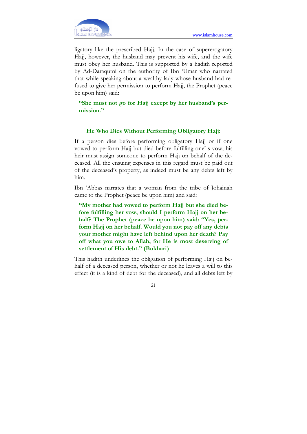

ligatory like the prescribed Hajj. In the case of supererogatory Hajj, however, the husband may prevent his wife, and the wife must obey her husband. This is supported by a hadith reported by Ad-Daraqutni on the authority of Ibn 'Umar who narrated that while speaking about a wealthy lady whose husband had refused to give her permission to perform Hajj, the Prophet (peace be upon him) said:

"She must not go for Hajj except by her husband's permission."

#### He Who Dies Without Performing Obligatory Hajj:

If a person dies before performing obligatory Hajj or if one vowed to perform Hajj but died before fulfilling one' s vow, his heir must assign someone to perform Hajj on behalf of the deceased. All the ensuing expenses in this regard must be paid out of the deceased's property, as indeed must be any debts left by him.

Ibn 'Abbas narrates that a woman from the tribe of Johainah came to the Prophet (peace be upon him) and said:

"My mother had vowed to perform Hajj but she died before fulfilling her vow, should I perform Hajj on her behalf? The Prophet (peace be upon him) said: "Yes, perform Hajj on her behalf. Would you not pay off any debts your mother might have left behind upon her death? Pay off what you owe to Allah, for He is most deserving of settlement of His debt." (Bukhari)

This hadith underlines the obligation of performing Hajj on behalf of a deceased person, whether or not he leaves a will to this effect (it is a kind of debt for the deceased), and all debts left by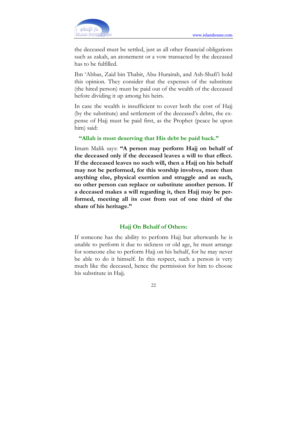

the deceased must be settled, just as all other financial obligations such as zakah, an atonement or a vow transacted by the deceased has to be fulfilled.

Ibn 'Abbas, Zaid bin Thabit, Abu Hurairah, and Ash-Shafi'i hold this opinion. They consider that the expenses of the substitute (the hired person) must be paid out of the wealth of the deceased before dividing it up among his heirs.

In case the wealth is insufficient to cover both the cost of Hajj (by the substitute) and settlement of the deceased's debts, the expense of Hajj must be paid first, as the Prophet (peace be upon him) said:

#### "Allah is most deserving that His debt be paid back."

Imam Malik says: "A person may perform Hajj on behalf of the deceased only if the deceased leaves a will to that effect. If the deceased leaves no such will, then a Hajj on his behalf may not be performed, for this worship involves, more than anything else, physical exertion and struggle and as such, no other person can replace or substitute another person. If a deceased makes a will regarding it, then Hajj may be performed, meeting all its cost from out of one third of the share of his heritage."

#### Hajj On Behalf of Others:

If someone has the ability to perform Hajj but afterwards he is unable to perform it due to sickness or old age, he must arrange for someone else to perform Hajj on his behalf, for he may never be able to do it himself. In this respect, such a person is very much like the deceased, hence the permission for him to choose his substitute in Hajj.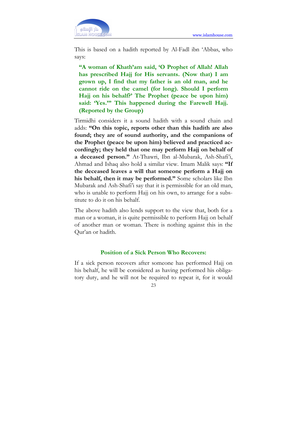

This is based on a hadith reported by Al-Fadl ibn 'Abbas, who says:

"A woman of Khath'am said, 'O Prophet of Allah! Allah has prescribed Hajj for His servants. (Now that) I am grown up, I find that my father is an old man, and he cannot ride on the camel (for long). Should I perform Hajj on his behalf?' The Prophet (peace be upon him) said: 'Yes.'" This happened during the Farewell Hajj. (Reported by the Group)

Tirmidhi considers it a sound hadith with a sound chain and adds: "On this topic, reports other than this hadith are also found; they are of sound authority, and the companions of the Prophet (peace be upon him) believed and practiced accordingly; they held that one may perform Hajj on behalf of a deceased person." At-Thawri, Ibn al-Mubarak, Ash-Shafi'i, Ahmad and Ishaq also hold a similar view. Imam Malik says: "If the deceased leaves a will that someone perform a Hajj on his behalf, then it may be performed." Some scholars like Ibn Mubarak and Ash-Shafi'i say that it is permissible for an old man, who is unable to perform Hajj on his own, to arrange for a substitute to do it on his behalf.

The above hadith also lends support to the view that, both for a man or a woman, it is quite permissible to perform Hajj on behalf of another man or woman. There is nothing against this in the Qur'an or hadith.

#### Position of a Sick Person Who Recovers:

If a sick person recovers after someone has performed Hajj on his behalf, he will be considered as having performed his obligatory duty, and he will not be required to repeat it, for it would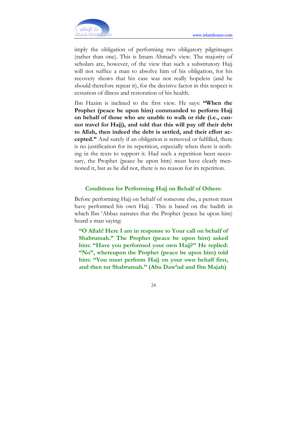

imply the obligation of performing two obligatory pilgrimages (rather than one). This is Imam Ahmad's view. The majority of scholars are, however, of the view that such a substitutory Hajj will not suffice a man to absolve him of his obligation, for his recovery shows that his case was not really hopeless (and he should therefore repeat it), for the decisive factor in this respect is cessation of illness and restoration of his health.

Ibn Hazim is inclined to the first view. He says: "When the Prophet (peace be upon him) commanded to perform Hajj on behalf of those who are unable to walk or ride (i.e., cannot travel for Hajj), and told that this will pay off their debt to Allah, then indeed the debt is settled, and their effort accepted." And surely if an obligation is removed or fulfilled, there is no justification for its repetition, especially when there is nothing in the texts to support it. Had such a repetition been necessary, the Prophet (peace be upon him) must have clearly mentioned it, but as he did not, there is no reason for its repetition.

#### Conditions for Performing Hajj on Behalf of Others:

Before performing Hajj on behalf of someone else, a person must have performed his own Hajj. This is based on the hadith in which Ibn 'Abbas narrates that the Prophet (peace be upon him) heard a man saying:

"O Allah! Here I am in response to Your call on behalf of Shabrumah." The Prophet (peace be upon him) asked him: "Have you performed your own Hajj?" He replied: "No", whereupon the Prophet (peace be upon him) told him: "You must perform Hajj on your own behalf first, and then tor Shabrumah." (Abu Daw'ud and Ibn Majah)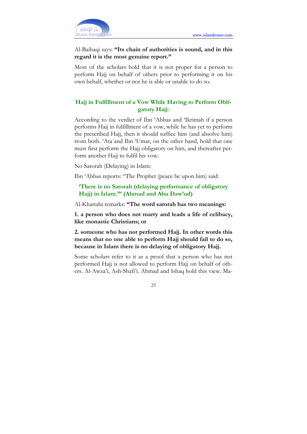

#### Al-Baihaqi says: "Its chain of authorities is sound, and in this regard it is the most genuine report."

Most of the scholars hold that it is not proper for a person to perform Hajj on behalf of others prior to performing it on his own behalf, whether or not he is able or unable to do so.

#### Hajj in Fulfillment of a Vow While Having to Perform Obligatory Hajj:

According to the verdict of Ibn 'Abbas and 'Ikrimah if a person performs Hajj in fulfillment of a vow, while he has yet to perform the prescribed Hajj, then it should suffice him (and absolve him) trom both. 'Ata and Ibn 'Umar, on the other hand, hold that one must first perform the Hajj obligatory on him, and thereafter perform another Hajj to fulfil his vow.

No Sarorah (Delaying) in Islam:

Ibn 'Abbas reports: "The Prophet (peace be upon him) said:

'There is no Sarorah (delaying performance of obligatory Hajj) in Islam.'" (Ahmad and Abu Daw'ud)

Al-Khattabi remarks: "The word sarorah has two meanings:

1. a person who does not marry and leads a life of celibacy, like monastic Christians; or

2. someone who has not performed Hajj. In other words this means that no one able to perform Hajj should fail to do so, because in Islam there is no delaying of obligatory Hajj.

Some scholars refer to it as a proof that a person who has not performed Hajj is not allowed to perform Hajj on behalf of others. Al-Awza'i, Ash-Shafi'i. Ahmad and Ishaq hold this view. Ma-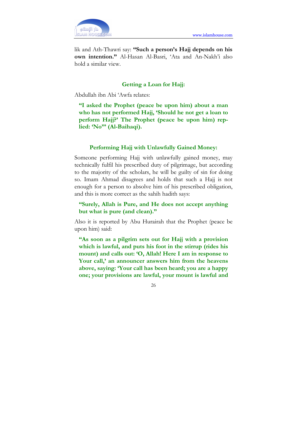

lik and Ath-Thawri say: "Such a person's Hajj depends on his own intention." Al-Hasan Al-Basri, 'Ata and An-Nakh'i also hold a similar view.

#### Getting a Loan for Hajj:

Abdullah ibn Abi 'Awfa relates:

"I asked the Prophet (peace be upon him) about a man who has not performed Hajj, 'Should he not get a loan to perform Hajj?' The Prophet (peace be upon him) replied: 'No"' (Al-Baihaqi).

#### Performing Hajj with Unlawfully Gained Money:

Someone performing Hajj with unlawfully gained money, may technically fulfil his prescribed duty of pilgrimage, but according to the majority of the scholars, he will be guilty of sin for doing so. Imam Ahmad disagrees and holds that such a Hajj is not enough for a person to absolve him of his prescribed obligation, and this is more correct as the sahih hadith says:

#### "Surely, Allah is Pure, and He does not accept anything but what is pure (and clean)."

Also it is reported by Abu Hurairah that the Prophet (peace be upon him) said:

"As soon as a pilgrim sets out for Hajj with a provision which is lawful, and puts his foot in the stirrup (rides his mount) and calls out: 'O, Allah! Here I am in response to Your call,' an announcer answers him from the heavens above, saying: 'Your call has been heard; you are a happy one; your provisions are lawful, your mount is lawful and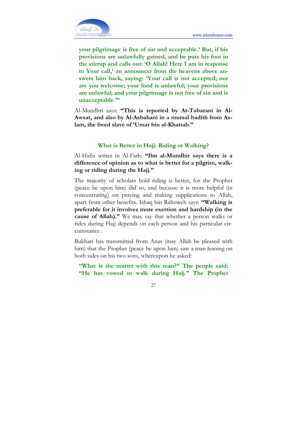

your pilgrimage is free of sin and acceptable.' But, if his provisions are unlawfully gained, and he puts his foot in the stirrup and calls out: 'O Allah! Here I am in response to Your call,' an announcer from the heavens above answers him back, saying: 'Your call is not accepted; nor are you welcome; your food is unlawful; your provisions are unlawful; and your pilgrimage is not free of sin and is unacceptable."'

Al-Mundhri says: "This is reported by At-Tabarani in Al-Awsat, and also by Al-Asbahani in a mursal hadith from Aslam, the freed slave of 'Umar bin al-Khattab."

#### What is Better in Hajj: Riding or Walking?

Al-Hafiz writes in Al-Fath: "Ibn al-Mundhir says there is a difference of opinion as to what is better for a pilgrim, walking or riding during the Hajj."

The majority of scholars hold riding is better, for the Prophet (peace be upon him) did so, and because it is more helpful (in concentrating) on praying and making supplications to Allah, apart from other benefits. Ishaq bin Rahoweh says: "Walking is preferable for it involves more exertion and hardship (in the cause of Allah)." We may say that whether a person walks or rides during Hajj depends on each person and his particular circumstance .

Bukhari has transmitted from Anas (may Allah be pleased with him) that the Prophet (peace be upon him) saw a man leaning on both sides on his two sons, whereupon he asked:

"What is the matter with this man?" The people said: "He has vowed to walk during Hajj." The Prophet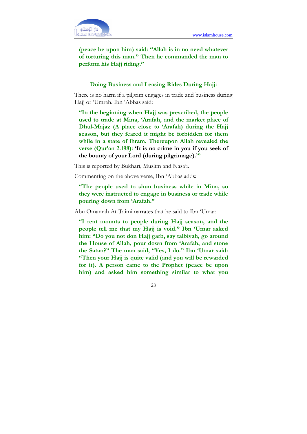

(peace be upon him) said: "Allah is in no need whatever of torturing this man." Then he commanded the man to perform his Hajj riding."

#### Doing Business and Leasing Rides During Hajj:

There is no harm if a pilgrim engages in trade and business during Hajj or 'Umrah. Ibn 'Abbas said:

"In the beginning when Hajj was prescribed, the people used to trade at Mina, 'Arafah, and the market place of Dhul-Majaz (A place close to 'Arafah) during the Hajj season, but they feared it might be forbidden for them while in a state of ihram. Thereupon Allah revealed the verse (Qur'an 2.198): 'It is no crime in you if you seek of the bounty of your Lord (during pilgrimage).'"

This is reported by Bukhari, Muslim and Nasa'i.

Commenting on the above verse, Ibn 'Abbas adds:

"The people used to shun business while in Mina, so they were instructed to engage in business or trade while pouring down from 'Arafah."

Abu Omamah At-Taimi narrates that he said to Ibn 'Umar:

"I rent mounts to people during Hajj season, and the people tell me that my Hajj is void." Ibn 'Umar asked him: "Do you not don Hajj garb, say talbiyah, go around the House of Allah, pour down from 'Arafah, and stone the Satan?" The man said, "Yes, I do." Ibn 'Umar said: "Then your Hajj is quite valid (and you will be rewarded for it). A person came to the Prophet (peace be upon him) and asked him something similar to what you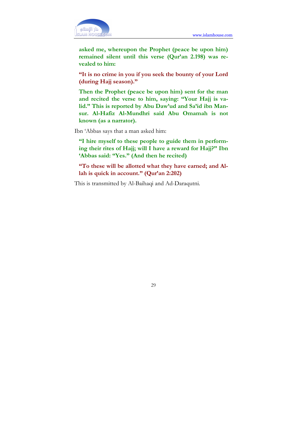

asked me, whereupon the Prophet (peace be upon him) remained silent until this verse (Qur'an 2.198) was revealed to him:

"It is no crime in you if you seek the bounty of your Lord (during Hajj season)."

Then the Prophet (peace be upon him) sent for the man and recited the verse to him, saying: "Your Hajj is valid." This is reported by Abu Daw'ud and Sa'id ibn Mansur. Al-Hafiz Al-Mundhri said Abu Omamah is not known (as a narrator).

Ibn 'Abbas says that a man asked him:

"I hire myself to these people to guide them in performing their rites of Hajj; will I have a reward for Hajj?" Ibn 'Abbas said: "Yes." (And then he recited)

"To these will be allotted what they have earned; and Allah is quick in account." (Qur'an 2:202)

This is transmitted by Al-Baihaqi and Ad-Daraqutni.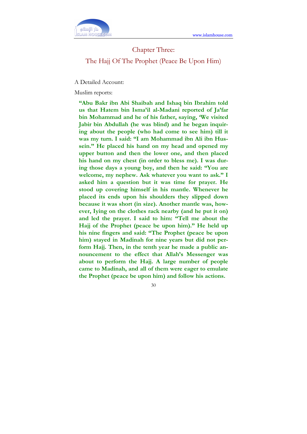

#### Chapter Three:

#### The Hajj Of The Prophet (Peace Be Upon Him)

A Detailed Account:

Muslim reports:

"Abu Bakr ibn Abi Shaibah and Ishaq bin Ibrahim told us that Hatem bin Isma'il al-Madani reported of Ja'far bin Mohammad and he of his father, saying, 'We visited Jabir bin Abdullah (he was blind) and he began inquiring about the people (who had come to see him) till it was my turn. I said: "I am Mohammad ibn Ali ibn Hussein." He placed his hand on my head and opened my upper button and then the lower one, and then placed his hand on my chest (in order to bless me). I was during those days a young boy, and then he said: "You are welcome, my nephew. Ask whatever you want to ask." I asked him a question but it was time for prayer. He stood up covering himself in his mantle. Whenever he placed its ends upon his shoulders they slipped down because it was short (in size). Another mantle was, however, Iying on the clothes rack nearby (and he put it on) and led the prayer. I said to him: "Tell me about the Hajj of the Prophet (peace be upon him)." He held up his nine fingers and said: "The Prophet (peace be upon him) stayed in Madinah for nine years but did not perform Hajj. Then, in the tenth year he made a public announcement to the effect that Allah's Messenger was about to perform the Hajj. A large number of people came to Madinah, and all of them were eager to emulate the Prophet (peace be upon him) and follow his actions.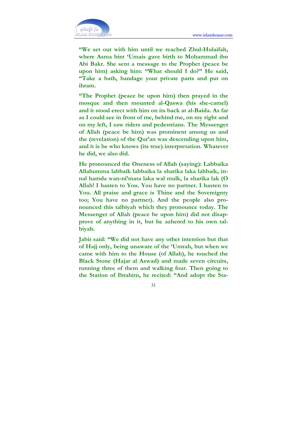

"We set out with him until we reached Zhul-Hulaifah, where Asma bint 'Umais gave birth to Mohammad ibn Abi Bakr. She sent a message to the Prophet (peace be upon him) asking him: "What should I do?" He said, "Take a bath, bandage your private parts and put on ihram.

"The Prophet (peace be upon him) then prayed in the mosque and then mounted al-Qaswa (his she-camel) and it stood erect with him on its back at al-Baida. As far as I could see in front of me, behind me, on my right and on my left, I saw riders and pedestrians. The Messenger of Allah (peace be him) was prominent among us and the (revelation) of the Qur'an was descending upon him, and it is he who knows (its true) interpretation. Whatever he did, we also did.

He pronounced the Oneness of Allah (saying): Labbaika Allahumma labbaik labbaika la sharika laka labbaik, innal hamda wan-ni'mata laka wal mulk, la sharika lak (O Allah! I hasten to You. You have no partner. I hasten to You. All praise and grace is Thine and the Sovereignty too; You have no partner). And the people also pronounced this talbiyah which they pronounce today. The Messenger of Allah (peace be upon him) did not disapprove of anything in it, but he azhered to his own talbiyah.

Jabir said: "We did not have any other intention but that of Hajj only, being unaware of the 'Umrah, but when we came with him to the House (of Allah), he touched the Black Stone (Hajar al Aswad) and made seven circuits, running three of them and walking four. Then going to the Station of Ibrahim, he recited: "And adopt the Sta-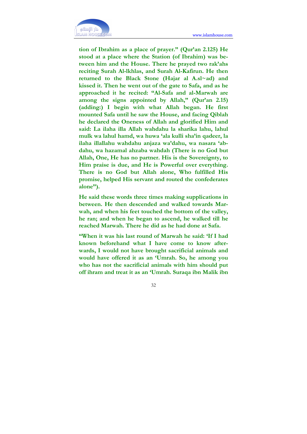

tion of Ibrahim as a place of prayer." (Qur'an 2.125) He stood at a place where the Station (of Ibrahim) was between him and the House. There he prayed two rak'ahs reciting Surah Al-lkhlas, and Surah Al-Kafirun. He then returned to the Black Stone (Hajar al A.sl~ad) and kissed it. Then he went out of the gate to Safa, and as he approached it he recited: "Al-Safa and al-Marwah are among the signs appointed by Allah," (Qur'an 2.15) (adding:) I begin with what Allah began. He first mounted Safa until he saw the House, and facing Qiblah he declared the Oneness of Allah and glorified Him and said: La ilaha illa Allah wahdahu la sharika lahu, lahul mulk wa lahul hamd, wa huwa 'ala kulli sha'in qadeer, la ilaha illallahu wahdahu anjaza wa'dahu, wa nasara 'abdahu, wa hazamal ahzaba wahdah (There is no God but Allah, One, He has no partner. His is the Sovereignty, to Him praise is due, and He is Powerful over everything. There is no God but Allah alone, Who fulfilled His promise, helped His servant and routed the confederates alone").

He said these words three times making supplications in between. He then descended and walked towards Marwah, and when his feet touched the bottom of the valley, he ran; and when he began to ascend, he walked till he reached Marwah. There he did as he had done at Safa.

"When it was his last round of Marwah he said: 'If I had known beforehand what I have come to know afterwards, I would not have brought sacrificial animals and would have offered it as an 'Umrah. So, he among you who has not the sacrificial animals with him should put off ihram and treat it as an 'Umrah. Suraqa ibn Malik ibn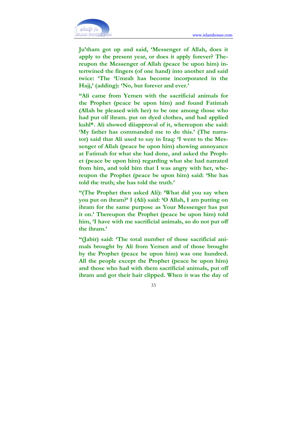

Ju'tham got up and said, 'Messenger of Allah, does it apply to the present year, or does it apply forever? Thereupon the Messenger of Allah (peace be upon him) intertwined the fingers (of one hand) into another and said twice: 'The 'Umrah has become incorporated in the Hajj,' (adding): 'No, but forever and ever.'

"Ali came from Yemen with the sacrificial animals for the Prophet (peace be upon him) and found Fatimah (Allah be pleased with her) to be one among those who had put olf ihram. put on dyed clothes, and had applied kuhl\*. Ali showed diiapproval of it, whereupon she said: 'My father has commanded me to do this.' (The narrator) said that Ali used to say in Iraq: 'I went to the Messenger of Allah (peace be upon him) showing annoyance at Fatimah for what she had done, and asked the Prophet (peace be upon him) regarding what she had narrated from him, and told him that I was angry with her, whereupon the Prophet (peace be upon him) said: 'She has told the truth; she has told the truth.'

"(The Prophet then asked Ali): 'What did you say when you put on ihram?' I (Ali) said: 'O Allah, I am putting on ihram for the same purpose as Your Messenger has put it on.' Thereupon the Prophet (peace be upon him) told him, 'I have with me sacrificial animals, so do not put off the ihram.'

"(Jabir) said: 'The total number of those sacrificial animals brought by Ali from Yemen and of those brought by the Prophet (peace be upon him) was one hundred. All the people except the Prophet (peace be upon him) and those who had with them sacrificial animals, put off ihram and got their hair clipped. When it was the day of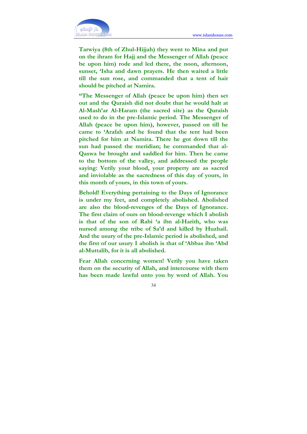

Tarwiya (8th of Zhul-Hijjah) they went to Mina and put on the ihram for Hajj and the Messenger of Allah (peace be upon him) rode and led there, the noon, afternoon, sunset, 'Isha and dawn prayers. He then waited a little till the sun rose, and commanded that a tent of hair should be pitched at Namira.

"The Messenger of Allah (peace be upon him) then set out and the Quraish did not doubt that he would halt at Al-Mash'ar Al-Haram (the sacred site) as the Quraish used to do in the pre-Islamic period. The Messenger of Allah (peace be upon him), however, passed on till he came to 'Arafah and he found that the tent had been pitched for him at Namira. There he got down till the sun had passed the meridian; he commanded that al-Qaswa be brought and saddled for him. Then he came to the bottom of the valley, and addressed the people saying: Verily your blood, your property are as sacred and inviolable as the sacredness of this day of yours, in this month of yours, in this town of yours.

Behold! Everything pertaining to the Days of Ignorance is under my feet, and completely abolished. Abolished are also the blood-revenges of the Days of Ignorance. The first claim of ours on blood-revenge which I abolish is that of the son of Rabi 'a ibn al-Harith, who was nursed among the tribe of Sa'd and killed by Huzhail. And the usury of the pre-Islamic period is abolished, and the first of our usury I abolish is that of 'Abbas ibn 'Abd al-Muttalib, for it is all abolished.

Fear Allah concerning women! Verily you have taken them on the security of Allah, and intercourse with them has been made lawful unto you by word of Allah. You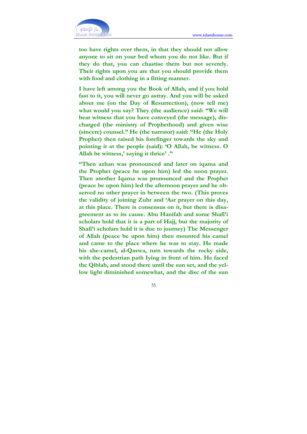

too have rights over them, in that they should not allow anyone to sit on your bed whom you do not like. But if they do that, you can chastise them but not severely. Their rights upon you are that you should provide them with food and clothing in a fitting manner.

I have left among you the Book of Allah, and if you hold fast to it, you will never go astray. And you will be asked about me (on the Day of Resurrection), (now tell me) what would you say? They (the audience) said: "We will bear witness that you have conveyed (the message), discharged (the ministry of Prophethood) and given wise (sincere) counsel." He (the narrator) said: "He (the Holy Prophet) then raised his forefinger towards the sky and pointing it at the people (said): 'O Allah, be witness. O Allah be witness,' saying it thrice'."

"Then azhan was pronounced and later on iqama and the Prophet (peace be upon him) led the noon prayer. Then another Iqama was pronounced and the Prophet (peace be upon him) led the afternoon prayer and he observed no other prayer in between the two. (This proves the validity of joining Zuhr and 'Asr prayer on this day, at this place. There is consensus on it, but there is disagreement as to its cause. Abu Hanifah and some Shafi'i scholars hold that it is a part of Hajj, but the majority of Shafi'i scholars hold it is due to journey) The Messenger of Allah (peace be upon him) then mounted his camel and came to the place where he was to stay. He made his she-camel, al-Qaswa, turn towards the rocky side, with the pedestrian path Iying in front of him. He faced the Qiblah, and stood there until the sun set, and the yellow light diminished somewhat, and the disc of the sun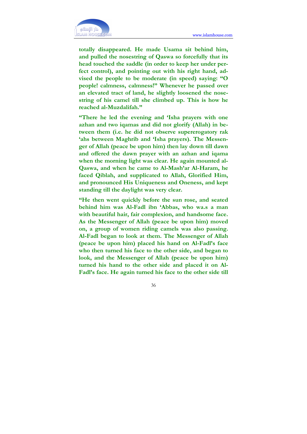

totally disappeared. He made Usama sit behind him, and pulled the nosestring of Qaswa so forcefully that its head touched the saddle (in order to keep her under perfect control), and pointing out with his right hand, advised the people to be moderate (in speed) saying: "O people! calmness, calmness!" Whenever he passed over an elevated tract of land, he slightly loosened the nosestring of his camel till she climbed up. This is how he reached al-Muzdalifah."

"There he led the evening and 'Isha prayers with one azhan and two iqamas and did not glorify (Allah) in between them (i.e. he did not observe supererogatory rak 'ahs between Maghrib and 'Isha prayers). The Messenger of Allah (peace be upon him) then lay down till dawn and offered the dawn prayer with an azhan and iqama when the morning light was clear. He again mounted al-Qaswa, and when he came to Al-Mash'ar Al-Haram, he faced Qiblah, and supplicated to Allah, Glorified Him, and pronounced His Uniqueness and Oneness, and kept standing till the daylight was very clear.

"He then went quickly before the sun rose, and seated behind him was Al-Fadl ibn 'Abbas, who wa.s a man with beautiful hair, fair complexion, and handsome face. As the Messenger of Allah (peace be upon him) moved on, a group of women riding camels was also passing. Al-Fadl began to look at them. The Messenger of Allah (peace be upon him) placed his hand on Al-Fadl's face who then turned his face to the other side, and began to look, and the Messenger of Allah (peace be upon him) turned his hand to the other side and placed it on Al-Fadl's face. He again turned his face to the other side till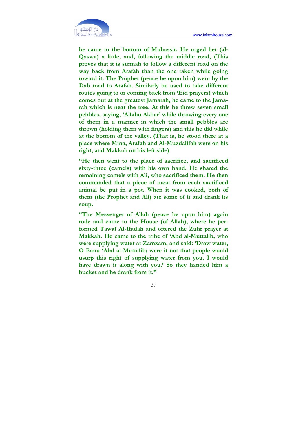

he came to the bottom of Muhassir. He urged her (al-Qaswa) a little, and, following the middle road, (This proves that it is sunnah to follow a different road on the way back from Arafah than the one taken while going toward it. The Prophet (peace be upon him) went by the Dab road to Arafah. Similarly he used to take different routes going to or coming back from 'Eid prayers) which comes out at the greatest Jamarah, he came to the Jamarah which is near the tree. At this he threw seven small pebbles, saying, 'Allahu Akbar' while throwing every one of them in a manner in which the small pebbles are thrown (holding them with fingers) and this he did while at the bottom of the valley. (That is, he stood there at a place where Mina, Arafah and Al-Muzdalifah were on his right, and Makkah on his left side)

"He then went to the place of sacrifice, and sacrificed sixty-three (camels) with his own hand. He shared the remaining camels with Ali, who sacrificed them. He then commanded that a piece of meat from each sacrificed animal be put in a pot. When it was cooked, both of them (the Prophet and Ali) ate some of it and drank its soup.

"The Messenger of Allah (peace be upon him) again rode and came to the House (of Allah), where he performed Tawaf Al-Ifadah and oftered the Zuhr prayer at Makkah. He came to the tribe of 'Abd al-Muttalib, who were supplying water at Zamzam, and said: 'Draw water, O Banu 'Abd al-Muttalib; were it not that people would usurp this right of supplying water from you, I would have drawn it along with you.' So they handed him a bucket and he drank from it."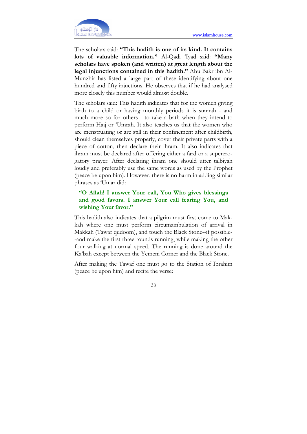

The scholars said: "This hadith is one of its kind. It contains lots of valuable information." Al-Qadi 'Iyad said: "Many scholars have spoken (and written) at great length about the legal injunctions contained in this hadith." Abu Bakr ibn Al-Munzhir has listed a large part of these identifying about one hundred and fifty injuctions. He observes that if he had analysed more closely this number would almost double.

The scholars said: This hadith indicates that for the women giving birth to a child or having monthly periods it is sunnah - and much more so for others - to take a bath when they intend to perform Hajj or 'Umrah. It also teaches us that the women who are menstruating or are still in their confinement after childbirth, should clean themselves properly, cover their private parts with a piece of cotton, then declare their ihram. It also indicates that ihram must be declared after offering either a fard or a supererogatory prayer. After declaring ihram one should utter talbiyah loudly and preferably use the same words as used by the Prophet (peace be upon him). However, there is no harm in adding similar phrases as 'Umar did:

# "O Allah! I answer Your call, You Who gives blessings and good favors. I answer Your call fearing You, and wishing Your favor."

This hadith also indicates that a pilgrim must first come to Makkah where one must perform circumambulation of arrival in Makkah (Tawaf qudoom), and touch the Black Stone--if possible- -and make the first three rounds running, while making the other four walking at normal speed. The running is done around the Ka'bah except between the Yemeni Corner and the Black Stone.

After making the Tawaf one must go to the Station of Ibrahim (peace be upon him) and recite the verse: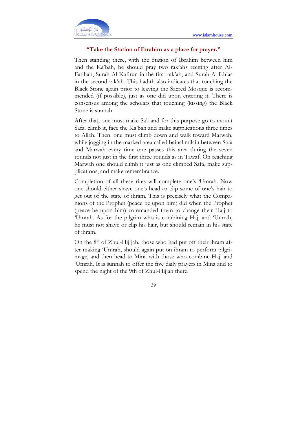

### "Take the Station of Ibrahim as a place for prayer."

Then standing there, with the Station of Ibrahim between him and the Ka'bah, he should pray two rak'ahs reciting after Al-Fatihah, Surah Al-Kafirun in the first rak'ah, and Surah Al-lkhlas in the second rak'ah. This hadith also indicates that touching the Black Stone again prior to leaving the Sacred Mosque is recommended (if possible), just as one did upon entering it. There is consensus among the scholars that touching (kissing) the Black Stone is sunnah.

After that, one must make Sa'i and for this purpose go to mount Safa. climb it, face the Ka'bah and make supplications three times to Allah. Then. one must climb down and walk toward Marwah, while jogging in the marked area called bainal milain between Safa and Marwah every time one passes this area during the seven rounds not just in the first three rounds as in Tawaf. On reaching Marwah one should climb it just as one climbed Safa, make supplications, and make remembrance.

Completion of all these rites will complete one's 'Umrah. Now one should either shave one's head or clip some of one's hair to get out of the state of ihram. This is precisely what the Companions of the Prophet (peace be upon him) did when the Prophet (peace be upon him) commanded them to change their Hajj to 'Umrah. As for the pilgrim who is combining Hajj and 'Umrah, he must not shave or clip his hair, but should remain in his state of ihram.

On the  $8<sup>th</sup>$  of Zhul-Hij jah. those who had put off their ihram after making 'Umrah, should again put on ihram to perform pilgrimage, and then head to Mina with those who combine Hajj and 'Umrah. It is sunnah to offer the five daily prayers in Mina and to spend the night of the 9th of Zhul-Hijjah there.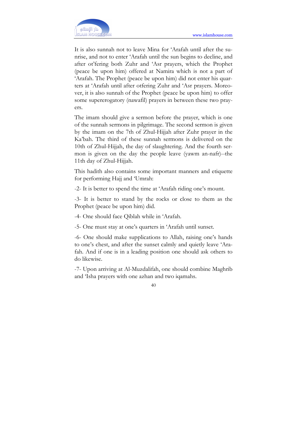It is also sunnah not to leave Mina for 'Arafah until after the sunrise, and not to enter 'Arafah until the sun begins to decline, and after ot'fering both Zuhr and 'Asr prayers, which the Prophet (peace be upon him) offered at Namira which is not a part of 'Arafah. The Prophet (peace be upon him) did not enter his quarters at 'Arafah until after otfering Zuhr and 'Asr prayers. Moreover, it is also sunnah of the Prophet (peace be upon him) to offer some supererogatory (nawafil) prayers in between these two prayers.

The imam should give a sermon before the prayer, which is one of the sunnah sermons in pilgrimage. The second sermon is given by the imam on the 7th of Zhul-Hijjah after Zuhr prayer in the Ka'bah. The third of these sunnah sermons is delivered on the 10th of Zhul-Hijjah, the day of slaughtering. And the fourth sermon is given on the day the people leave (yawm an-nafr)--the 11th day of Zhul-Hijjah.

This hadith also contains some important manners and etiquette for performing Hajj and 'Umrah:

-2- It is better to spend the time at 'Arafah riding one's mount.

-3- It is better to stand by the rocks or close to them as the Prophet (peace be upon him) did.

-4- One should face Qiblah while in 'Arafah.

-5- One must stay at one's quarters in 'Arafah until sunset.

-6- One should make supplications to Allah, raising one's hands to one's chest, and after the sunset calmly and quietly leave 'Arafah. And if one is in a leading position one should ask others to do likewise.

-7- Upon arriving at Al-Muzdalifah, one should combine Maghrib and 'Isha prayers with one azhan and two iqamahs.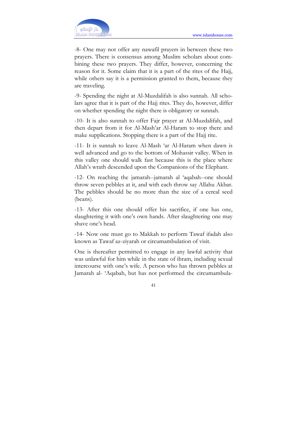

-8- One may not offer any nawafil prayers in between these two prayers. There is consensus among Muslim scholars about combining these two prayers. They differ, however, concerning the reason for it. Some claim that it is a part of the rites of the Hajj, while others say it is a permission granted to them, because they are traveling.

-9- Spending the night at Al-Muzdalifah is also sunnah. All scholars agree that it is part of the Hajj rites. They do, however, differ on whether spending the night there is obligatory or sunnah.

-10- It is also sunnah to offer Fajr prayer at Al-Muzdalifah, and then depart from it for Al-Mash'ar Al-Haram to stop there and make supplications. Stopping there is a part of the Hajj rite.

-11- It is sunnah to leave Al-Mash 'ar Al-Haram when dawn is well advanced and go to the bottom of Mohassir valley. When in this valley one should walk fast because this is the place where Allah's wrath descended upon the Companions of the Elephant.

-12- On reaching the jamarah--jamarah al 'aqabah--one should throw seven pebbles at it, and with each throw say Allahu Akbar. The pebbles should be no more than the size of a cereal seed (beans).

-13- After this one should offer his sacrifice, if one has one, slaughtering it with one's own hands. After slaughtering one may shave one's head.

-14- Now one must go to Makkah to perform Tawaf ifadah also known as Tawaf az-ziyarah or circumambulation of visit.

One is thereafter permitted to engage in any lawful activity that was unlawful for him while in the state of ihram, including sexual intercourse with one's wife. A person who has thrown pebbles at Jamarah al- 'Aqabah, but has not performed the circumambula-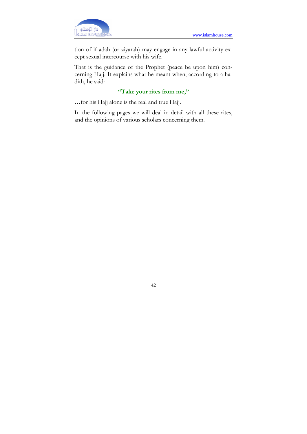

tion of if adah (or ziyarah) may engage in any lawful activity except sexual intercourse with his wife.

That is the guidance of the Prophet (peace be upon him) concerning Hajj. It explains what he meant when, according to a hadith, he said:

# "Take your rites from me,"

…for his Hajj alone is the real and true Hajj.

In the following pages we will deal in detail with all these rites, and the opinions of various scholars concerning them.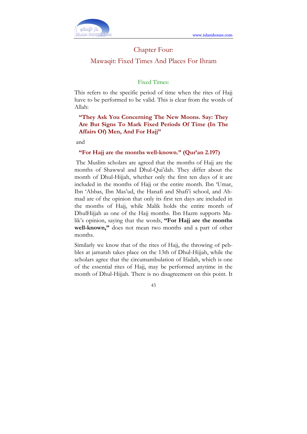

## Chapter Four:

### Mawaqit: Fixed Times And Places For Ihram

### Fixed Times:

This refers to the specific period of time when the rites of Hajj have to be performed to be valid. This is clear from the words of Allah:

# "They Ask You Concerning The New Moons. Say: They Are But Signs To Mark Fixed Periods Of Time (In The Affairs Of) Men, And For Hajj"

and

### "For Hajj are the months well-known." (Qur'an 2.197)

 The Muslim scholars are agreed that the months of Hajj are the months of Shawwal and Dhul-Qui'dah. They differ about the month of Dhul-Hijjah, whether only the first ten days of it are included in the months of Hajj or the entire month. Ibn 'Umar, Ibn 'Abbas, Ibn Mas'ud, the Hanafi and Shafi'i school, and Ahmad are of the opinion that only its first ten days are included in the months of Hajj, while Malik holds the entire month of DhulHijjah as one of the Hajj months. Ibn Hazm supports Malik's opinion, saying that the words, "For Hajj are the months well-known," does not mean two months and a part of other months.

Similarly we know that of the rites of Hajj, the throwing of pebbles at jamarah takes place on the 13th of Dhul-Hijjah, while the scholars agree that the circumambulation of Ifadah, which is one of the essential rites of Hajj, may be performed anytime in the month of Dhul-Hijjah. There is no disagreement on this point. It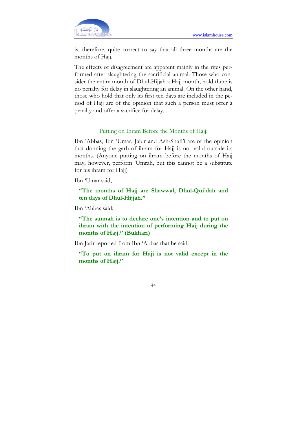

is, therefore, quite correct to say that all three months are the months of Hajj.

The effects of disagreement are apparent mainly in the rites performed after slaughtering the sacrificial animal. Those who consider the entire month of Dhul-Hijjah a Hajj month, hold there is no penalty for delay in slaughtering an animal. On the other hand, those who hold that only its first ten days are included in the period of Hajj are of the opinion that such a person must offer a penalty and offer a sacrifice for delay.

### Putting on Ihram Before the Months of Hajj:

Ibn 'Abbas, Ibn 'Umar, Jabir and Ash-Shafi'i are of the opinion that donning the garb of ihram for Hajj is not valid outside its months. (Anyone putting on ihram before the months of Hajj may, however, perform 'Umrah, but tbis cannot be a substitute for his ihram for Hajj)

Ibn 'Umar said,

"The months of Hajj are Shawwal, Dhul-Qui'dah and ten days of Dhul-Hijjah."

Ibn 'Abbas said:

"The sunnah is to declare one's intention and to put on ihram with the intention of performing Hajj during the months of Hajj." (Bukhari)

Ibn Jarir reported from Ibn 'Abbas that he said:

"To put on ihram for Hajj is not valid except in the months of Hajj."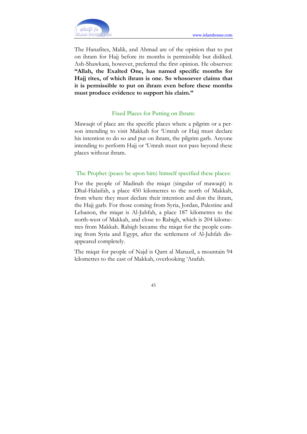

The Hanafites, Malik, and Ahmad are of the opinion that to put on ihram for Hajj before its months is permissible but disliked. Ash-Shawkani, however, preferred the first opinion. He observes: "Allah, the Exalted One, has named specific months for Hajj rites, of which ihram is one. So whosoever claims that it is permissible to put on ihram even before these months must produce evidence to support his claim."

### Fixed Places for Putting on Ihram:

Mawaqit of place are the specific places where a pilgrim or a person intending to visit Makkah for 'Umrah or Hajj must declare his intention to do so and put on ihram, the pilgrim garb. Anyone intending to perform Hajj or 'Umrah must not pass beyond these places without ihram.

## The Prophet (peace be upon him) himself specified these places:

For the people of Madinah the miqat (singular of mawaqit) is Dhal-Halaifah, a place 450 kilometres to the north of Makkah, from where they must declare their intention and don the ihram, the Hajj garb. For those coming from Syria, Jordan, Palestine and Lebanon, the miqat is Al-Juhfah, a place 187 kilometres to the north-west of Makkah, and close to Rabigh, which is 204 kilometres from Makkah. Rabigh became the miqat for the people coming from Syria and Egypt, after the settlement of Al-Juhfah disappeared completely.

The miqat for people of Najd is Qarn al Manazil, a mountain 94 kilometres to the east of Makkah, overlooking 'Arafah.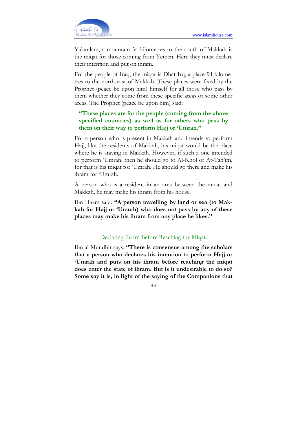

Yalamlam, a mountain 54 kilometres to the south of Makkah is the miqat for those coming from Yemen. Here they must declare their intention and put on ihram.

For the people of Iraq, the miqat is Dhat Irq, a place 94 kilometres to the north-east of Makkah. These places were fixed by the Prophet (peace be upon him) himself for all those who pass by them whether they come from these specific areas or some other areas. The Prophet (peace be upon him) said:

# "These places are for the people (coming from the above specified countries) as well as for others who pass by them on their way to perform Hajj or 'Umrah."

For a person who is present in Makkah and intends to perform Hajj, like the residents of Makkah, his miqat would be the place where he is staying in Makkah. However, if such a one intended to perform 'Umrah, then he should go to Al-Khol or At-Tan'im, for that is his miqat for 'Umrah. He should go there and make his ihram for 'Umrah.

A person who is a resident in an area between the miqat and Makkah, he may make his ihram from his house.

Ibn Hazm said: "A person travelling by land or sea (to Makkah for Hajj or 'Umrah) who does not pass by any of these places may make his ihram from any place he likes."

### Declaring Ihram Before Reaching the Miqat:

Ibn al-Mundhir says: "There is consensus among the scholars that a person who declares his intention to perform Hajj or 'Umrah and puts on his ihram before reaching the miqat does enter the state of ihram. But is it undesirable to do so? Some say it is, in light of the saying of the Companions that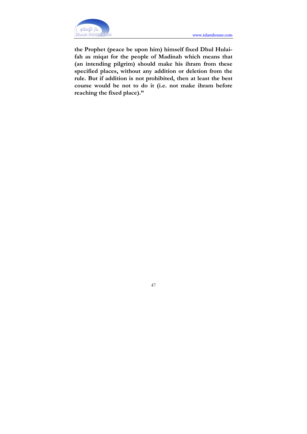

the Prophet (peace be upon him) himself fixed Dhul Hulaifah as miqat for the people of Madinah which means that (an intending pilgrim) should make his ihram from these specified places, without any addition or deletion from the rule. But if addition is not prohibited, then at least the best course would be not to do it (i.e. not make ihram before reaching the fixed place)."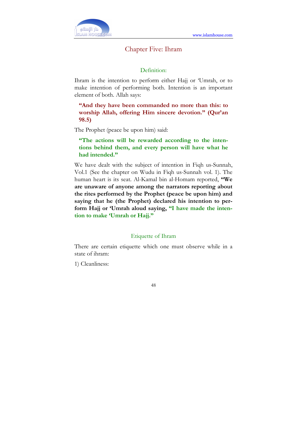

## Chapter Five: Ihram

### Definition:

Ihram is the intention to perform either Hajj or 'Umrah, or to make intention of performing both. Intention is an important element of both. Allah says:

"And they have been commanded no more than this: to worship Allah, offering Him sincere devotion." (Qur'an 98.5)

The Prophet (peace be upon him) said:

"The actions will be rewarded according to the intentions behind them, and every person will have what he had intended."

We have dealt with the subject of intention in Fiqh us-Sunnah, Vol.1 (See the chapter on Wudu in Fiqh us-Sunnah vol. 1). The human heart is its seat. Al-Kamal bin al-Homam reported, "We are unaware of anyone among the narrators reporting about the rites performed by the Prophet (peace be upon him) and saying that he (the Prophet) declared his intention to perform Hajj or 'Umrah aloud saying, "I have made the intention to make 'Umrah or Hajj."

#### Etiquette of Ihram

There are certain etiquette which one must observe while in a state of ihram:

1) Cleanliness: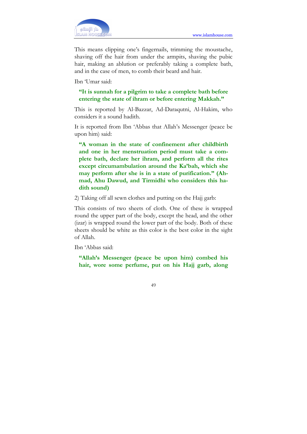

This means clipping one's fingernails, trimming the moustache, shaving off the hair from under the armpits, shaving the pubic hair, making an ablution or preferably taking a complete bath, and in the case of men, to comb their beard and hair.

Ibn 'Umar said:

## "It is sunnah for a pilgrim to take a complete bath before entering the state of ihram or before entering Makkah."

This is reported by Al-Bazzar, Ad-Daraqutni, Al-Hakim, who considers it a sound hadith.

It is reported from Ibn 'Abbas that Allah's Messenger (peace be upon him) said:

"A woman in the state of confinement after childbirth and one in her menstruation period must take a complete bath, declare her ihram, and perform all the rites except circumambulation around the Ka'bah, which she may perform after she is in a state of purification." (Ahmad, Ahu Dawud, and Tirmidhi who considers this hadith sound)

2) Taking off all sewn clothes and putting on the Hajj garb:

This consists of two sheets of cloth. One of these is wrapped round the upper part of the body, except the head, and the other (izar) is wrapped round the lower part of the body. Both of these sheets should be white as this color is the best color in the sight of Allah.

Ibn 'Abbas said:

"Allah's Messenger (peace be upon him) combed his hair, wore some perfume, put on his Hajj garb, along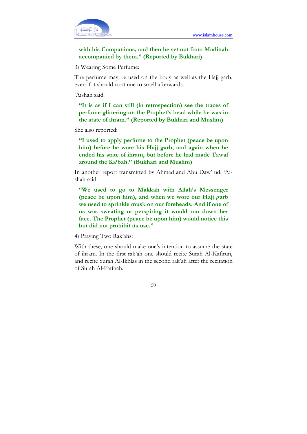

# with his Companions, and then he set out from Madinah accompanied by them." (Reported by Bukhari)

3) Wearing Some Perfume:

The perfume may be used on the body as well as the Hajj garb, even if it should continue to smell afterwards.

'Aishah said:

"It is as if I can still (in retrospection) see the traces of perfume glittering on the Prophet's head while he was in the state of ihram." (Reported by Bukhari and Muslim)

She also reported:

"I used to apply perfume to the Prophet (peace be upon him) before he wore his Hajj garb, and again when he ended his state of ihram, but before he had made Tawaf around the Ka'bah." (Bukhari and Muslim)

In another report transmitted by Ahmad and Abu Daw' ud, 'Aishah said:

"We used to go to Makkah with Allah's Messenger (peace be upon him), and when we wore our Hajj garb we used to sprinkle musk on our foreheads. And if one of us was sweating or perspiring it would run down her face. The Prophet (peace be upon him) would notice this but did not prohibit its use."

4) Praying Two Rak'ahs:

With these, one should make one's intention to assume the state of ihram. In the first rak'ah one should recite Surah Al-Kafirun, and recite Surah Al-Ikhlas in the second rak'ah after the recitation of Surah Al-Fatihah.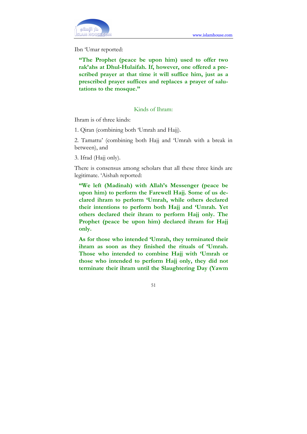Ibn 'Umar reported:

"The Prophet (peace be upon him) used to offer two rak'ahs at Dhul-Hulaifah. If, however, one offered a prescribed prayer at that time it will suffice him, just as a prescribed prayer suffices and replaces a prayer of salutations to the mosque."

## Kinds of Ihram:

Ihram is of three kinds:

1. Qiran (combining both 'Umrah and Hajj).

2. Tamattu' (combining both Hajj and 'Umrah with a break in between), and

3. Ifrad (Hajj only).

There is consensus among scholars that all these three kinds are legitimate. 'Aishah reported:

"We left (Madinah) with Allah's Messenger (peace be upon him) to perform the Farewell Hajj. Some of us declared ihram to perlorm 'Umrah, while others declared their intentions to perform both Hajj and 'Umrah. Yet others declared their ihram to perform Hajj only. The Prophet (peace be upon him) declared ihram for Hajj only.

As for those who intended 'Umrah, they terminated their ihram as soon as they finished the rituals of 'Umrah. Those who intended to combine Hajj with 'Umrah or those who intended to perform Hajj only, they did not terminate their ihram until the Slaughtering Day (Yawm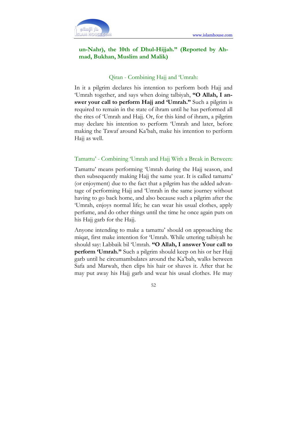

# un-Nahr), the 10th of Dhul-Hijjah." (Reported by Ahmad, Bukhan, Muslim and Malik)

### Qiran - Combining Hajj and 'Umrah:

In it a pilgrim declares his intention to perform both Hajj and 'Umrah together, and says when doing talbiyah, "O Allah, I answer your call to perform Hajj and 'Umrah." Such a pilgrim is required to remain in the state of ihram until he has performed all the rites of 'Umrah and Hajj. Or, for this kind of ihram, a pilgrim may declare his intention to perform 'Umrah and later, before making the Tawaf around Ka'bah, make his intention to perform Hajj as well.

### Tamattu' - Combining 'Umrah and Hajj With a Break in Between:

Tamattu' means performing 'Umrah during the Hajj season, and then subsequently making Hajj the same year. It is called tamattu' (or enjoyment) due to the fact that a pilgrim has the added advantage of performing Hajj and 'Umrah in the same journey without having to go back home, and also because such a pilgrim after the 'Umrah, enjoys normal life; he can wear his usual clothes, apply perfume, and do other things until the time he once again puts on his Hajj garb for the Hajj.

Anyone intending to make a tamattu' should on approaching the miqat, first make intention for 'Umrah. While uttering talbiyah he should say: Labbaik bil 'Umrah. "O Allah, I answer Your call to perform 'Umrah." Such a pilgrim should keep on his or her Hajj garb until he circumambulates around the Ka'bah, walks between Safa and Marwah, then clips his hair or shaves it. After that he may put away his Hajj garb and wear his usual clothes. He may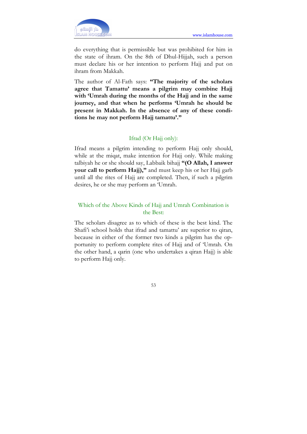

do everything that is permissible but was prohibited for him in the state of ihram. On the 8th of Dhul-Hijjah, such a person must declare his or her intention to perform Hajj and put on ihram from Makkah.

The author of Al-Fath says: "The majority of the scholars agree that Tamattu' means a pilgrim may combine Hajj with 'Umrah during the months of the Hajj and in the same journey, and that when he performs 'Umrah he should be present in Makkah. In the absence of any of these conditions he may not perform Hajj tamattu'."

## Ifrad (Or Hajj only):

Ifrad means a pilgrim intending to perform Hajj only should, while at the miqat, make intention for Hajj only. While making talbiyah he or she should say, Labbaik bihajj "(O Allah, I answer your call to perform Hajj)," and must keep his or her Hajj garb until all the rites of Hajj are completed. Then, if such a pilgrim desires, he or she may perform an 'Umrah.

# Which of the Above Kinds of Hajj and Umrah Combination is the Best:

The scholars disagree as to which of these is the best kind. The Shafi'i school holds that ifrad and tamattu' are superior to qiran, because in either of the former two kinds a pilgrim has the opportunity to perform complete rites of Hajj and of 'Umrah. On the other hand, a qarin (one who undertakes a qiran Hajj) is able to perform Hajj only.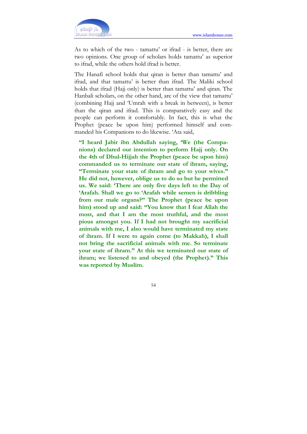

As to which of the two - tamattu' or ifrad - is better, there are two opinions. One group of scholars holds tamattu' as superior to ifrad, while the others hold ifrad is better.

The Hanafi school holds that qiran is better than tamattu' and ifrad, and that tamattu' is better than ifrad. The Maliki school holds that ifrad (Hajj only) is better than tamattu' and qiran. The Hanbali scholars, on the other hand, are of the view that tamattu' (combining Hajj and 'Umrah with a break in between), is better than the qiran and ifrad. This is comparatively easy and the people can perform it comfortably. In fact, this is what the Prophet (peace be upon him) performed himself and commanded his Companions to do likewise. 'Ata said,

"I heard Jabir ibn Abdullah saying, 'We (the Companions) declared our intention to perform Hajj only. On the 4th of Dhul-Hijjah the Prophet (peace be upon him) commanded us to terminate our state of ihram, saying, "Terminate your state of ihram and go to your wives." He did not, however, oblige us to do so but he permitted us. We said: 'There are only five days left to the Day of 'Arafah. Shall we go to 'Arafah while semen is dribbling from our male organs?" The Prophet (peace be upon him) stood up and said: "You know that I fear Allah the most, and that I am the most truthful, and the most pious amongst you. If I had not brought my sacrificial animals with me, I also would have terminated my state of ihram. If I were to again come (to Makkah), I shall not bring the sacrificial animals with me. So terminate your state of ihram." At this we terminated our state of ihram; we listened to and obeyed (the Prophet)." This was reported by Muslim.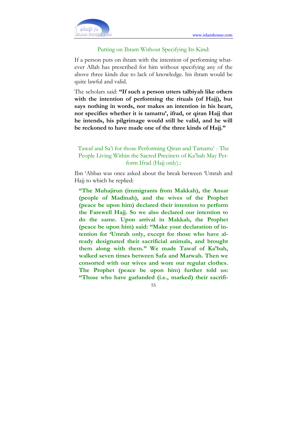

### Putting on Ihram Without Specifying Its Kind:

If a person puts on ihram with the intention of performing whatever Allah has prescribed for him without specifying any of the above three kinds due to lack of knowledge. his ihram would be quite lawful and valid.

The scholars said: "If such a person utters talbiyah like others with the intention of performing the rituals (of Hajj), but says nothing in words, nor makes an intention in his heart, nor specifies whether it is tamattu', ifrad, or qiran Hajj that he intends, his pilgrimage would still be valid, and he will be reckoned to have made one of the three kinds of Hajj."

Tawaf and Sa'i for those Performing Qiran and Tamattu' - The People Living Within the Sacred Precincts of Ka'bah May Perform Ifrad (Hajj only).:

Ibn 'Abbas was once asked about the break between 'Umrah and Hajj to which he replied:

"The Muhajirun (immigrants from Makkah), the Ansar (people of Madinah), and the wives of the Prophet (peace be upon him) declared their intention to perform the Farewell Hajj. So we also declared our intention to do the same. Upon arrival in Makkah, the Prophet (peace be upon him) said: "Make your declaration of intention for 'Umrah only, except for those who have already designated their sacrificial animals, and brought them along with them." We made Tawaf of Ka'bah, walked seven times between Safa and Marwah. Then we consorted with our wives and wore our regular clothes. The Prophet (peace be upon him) further told us: "Those who have garlanded (i.e., marked) their sacrifi-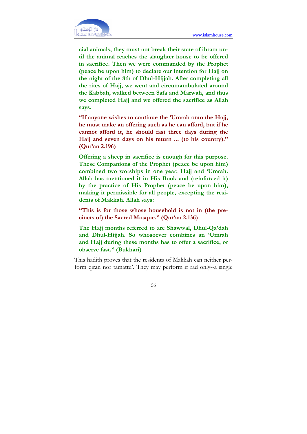

cial animals, they must not break their state of ihram until the animal reaches the slaughter house to be offered in sacrifice. Then we were commanded by the Prophet (peace be upon him) to declare our intention for Hajj on the night of the 8th of Dhul-Hijjah. After completing all the rites of Hajj, we went and circumambulated around the Kabbah, walked between Safa and Marwah, and thus we completed Hajj and we offered the sacrifice as Allah says,

"If anyone wishes to continue the 'Umrah onto the Hajj, he must make an offering such as he can afford, but if he cannot afford it, he should fast three days during the Hajj and seven days on his return ... (to his country)." (Qur'an 2.196)

Offering a sheep in sacrifice is enough for this purpose. These Companions of the Prophet (peace be upon him) combined two worships in one year: Hajj and 'Umrah. Allah has mentioned it in His Book and (reinforced it) by the practice of His Prophet (peace be upon him), making it permissible for all people, excepting the residents of Makkah. Allah says:

"This is for those whose household is not in (the precincts of) the Sacred Mosque." (Qur'an 2.136)

The Hajj months referred to are Shawwal, Dhul-Qa'dah and Dhul-Hijjah. So whosoever combines an 'Umrah and Hajj during these months has to offer a sacrifice, or observe fast." (Bukhari)

This hadith proves that the residents of Makkah can neither perform qiran nor tamattu'. They may perform if rad only--a single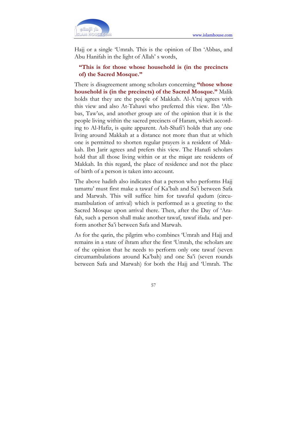

Hajj or a single 'Umrah. This is the opinion of Ibn 'Abbas, and Abu Hanifah in the light of Allah' s words,

## "This is for those whose household is (in the precincts of) the Sacred Mosque."

There is disagreement among scholars concerning "those whose household is (in the precincts) of the Sacred Mosque." Malik holds that they are the people of Makkah. Al-A'raj agrees with this view and also At-Tahawi who preferred this view. Ibn 'Abbas, Taw'us, and another group are of the opinion that it is the people living within the sacred precincts of Haram, which according to Al-Hafiz, is quite apparent. Ash-Shafi'i holds that any one living around Makkah at a distance not more than that at which one is permitted to shorten regular prayers is a resident of Makkah. Ibn Jarir agrees and prefers this view. The Hanafi scholars hold that all those living within or at the miqat are residents of Makkah. In this regard, the place of residence and not the place of birth of a person is taken into account.

The above hadith also indicates that a person who performs Hajj tamattu' must first make a tawaf of Ka'bah and Sa'i between Safa and Marwah. This will suffice him for tawaful qudum (circumambulation of arrival) which is performed as a greeting to the Sacred Mosque upon arrival there. Then, after the Day of 'Arafah, such a person shall make another tawaf, tawaf ifada. and perform another Sa'i between Safa and Marwah.

As for the qarin, the pilgrim who combines 'Umrah and Hajj and remains in a state of ihram after the first 'Umrah, the scholars are of the opinion that he needs to perform only one tawaf (seven circumambulations around Ka'bah) and one Sa'i (seven rounds between Safa and Marwah) for both the Hajj and 'Umrah. The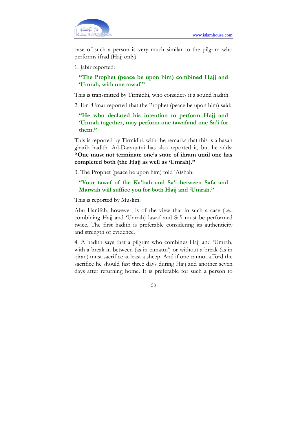

case of such a person is very much similar to the pilgrim who performs ifrad (Hajj only).

1. Jabir reported:

"The Prophet (peace be upon him) combined Hajj and 'Umrah, with one tawaf."

This is transmitted by Tirmidhi, who considers it a sound hadith.

2. Ibn 'Umar reported that the Prophet (peace be upon him) said:

"He who declared his intention to perform Hajj and 'Umrah together, may perform one tawafand one Sa'i for them."

This is reported by Tirmidhi, with the remarks that this is a hasan gharib hadith. Ad-Daraqutni has also reported it, but he adds: "One must not terminate one's state of ihram until one has completed both (the Hajj as well as 'Umrah)."

3. The Prophet (peace be upon him) told 'Aishah:

## "Your tawaf of the Ka'bah and Sa'i between Safa and Marwah will suffice you for both Hajj and 'Umrah."

This is reported by Muslim.

Abu Hanifah, however, is of the view that in such a case (i.e., combining Hajj and 'Umrah) lawaf and Sa'i must be performed twice. The first hadith is preferable considering its authenticity and strength of evidence.

4. A hadith says that a pilgrim who combines Hajj and 'Umrah, with a break in between (as in tamattu') or without a break (as in qiran) must sacrifice at least a sheep. And if one cannot afford the sacrifice he should fast three days during Hajj and another seven days after returning home. It is preferable for such a person to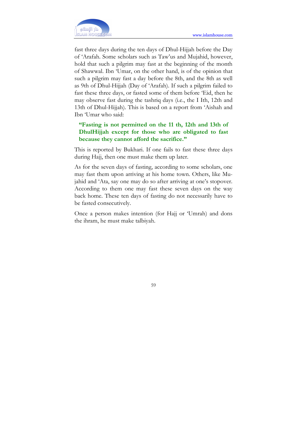

fast three days during the ten days of Dhul-Hijjah before the Day of 'Arafah. Some scholars such as Taw'us and Mujahid, however, hold that such a pilgrim may fast at the beginning of the month of Shawwal. Ibn 'Umar, on the other hand, is of the opinion that such a pilgrim may fast a day before the 8th, and the 8th as well as 9th of Dhul-Hijjah (Day of 'Arafah). If such a pilgrim failed to fast these three days, or fasted some of them before 'Eid, then he may observe fast during the tashriq days (i.e., the I Ith, 12th and 13th of Dhul-Hijjah). This is based on a report from 'Aishah and Ibn 'Umar who said:

# "Fasting is not permitted on the 11 th, 12th and 13th of DhulHijjah except for those who are obligated to fast because they cannot afford the sacrifice."

This is reported by Bukhari. If one fails to fast these three days during Hajj, then one must make them up later.

As for the seven days of fasting, according to some scholars, one may fast them upon arriving at his home town. Others, like Mujahid and 'Ata, say one may do so after arriving at one's stopover. According to them one may fast these seven days on the way back home. These ten days of fasting do not necessarily have to be fasted consecutively.

Once a person makes intention (for Hajj or 'Umrah) and dons the ihram, he must make talbiyah.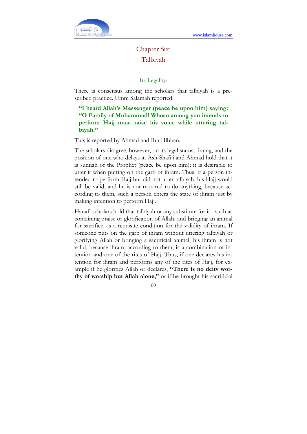

# Chapter Six: Talbiyah

Its Legality:

There is consensus among the scholars that talbiyah is a prescribed practice. Umm Salamah reported:

"I heard Allah's Messenger (peace be upon him) saying: "O Family of Muhammad! Whoso among you intends to perform Hajj must raise his voice while uttering talbiyah."

This is reported by Ahmad and Ibn Hibban.

The scholars disagree, however, on its legal status, timing, and the position of one who delays it. Ash-Shafi'i and Ahmad hold that it is sunnah of the Prophet (peace be upon him); it is desirable to utter it when putting on the garb of ihram. Thus, if a person intended to perform Hajj but did not utter talbiyah, his Hajj would still be valid, and he is not required to do anything, because according to them, such a person enters the state of ihram just by making intention to perform Hajj.

Hanafi scholars hold that talbiyah or any substitute for it - such as containing praise or glorification of Allah. and bringing an animal for sacrifice -is a requisite condition for the validity of ihram. If someone puts on the garb of ihram without uttering talbiyah or glorifying Allah or bringing a sacrificial animal, his ihram is not valid, because ihram, according to them, is a combination of intention and one of the rites of Hajj. Thus, if one declares his intention for ihram and performs any of the rites of Hajj, for example if he glorifies Allah or declares, "There is no deity worthy of worship but Allah alone," or if he brought his sacrificial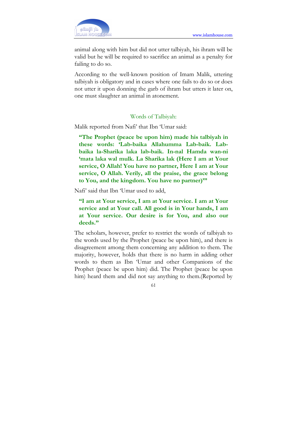

animal along with him but did not utter talbiyah, his ihram will be valid but he will be required to sacrifice an animal as a penalty for failing to do so.

According to the well-known position of Imam Malik, uttering talbiyah is obligatory and in cases where one fails to do so or does not utter it upon donning the garb of ihram but utters it later on, one must slaughter an animal in atonement.

### Words of Talbiyah:

Malik reported from Nafi' that Ibn 'Umar said:

"The Prophet (peace be upon him) made his talbiyah in these words: 'Lab-baika Allahumma Lab-baik. Labbaika la-Sharika laka lab-baik. In-nal Hamda wan-ni 'mata laka wal mulk. La Sharika lak (Here I am at Your service, O Allah! You have no partner, Here I am at Your service, O Allah. Verily, all the praise, the grace belong to You, and the kingdom. You have no partner)'"

Nafi' said that Ibn 'Umar used to add,

"I am at Your service, I am at Your service. I am at Your service and at Your call. All good is in Your hands, I am at Your service. Our desire is for You, and also our deeds."

The scholars, however, prefer to restrict the words of talbiyah to the words used by the Prophet (peace be upon him), and there is disagreement among them concerning any addition to them. The majority, however, holds that there is no harm in adding other words to them as Ibn 'Umar and other Companions of the Prophet (peace be upon him) did. The Prophet (peace be upon him) heard them and did not say anything to them.(Reported by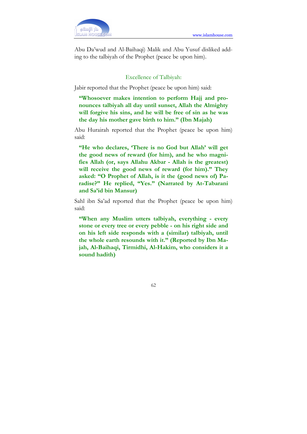

Abu Da'wud and Al-Baihaqi) Malik and Abu Yusuf disliked adding to the talbiyah of the Prophet (peace be upon him).

### Excellence of Talbiyah:

Jabir reported that the Prophet (peace be upon him) said:

"Whosoever makes intention to perform Hajj and pronounces talbiyah all day until sunset, Allah the Almighty will forgive his sins, and he will be free of sin as he was the day his mother gave birth to him." (Ibn Majah)

Abu Hurairah reported that the Prophet (peace be upon him) said:

"He who declares, 'There is no God but Allah' will get the good news of reward (for him), and he who magnifies Allah (or, says Allahu Akbar - Allah is the greatest) will receive the good news of reward (for him)." They asked: "O Prophet of Allah, is it the (good news of) Paradise?" He replied, "Yes." (Narrated by At-Tabarani and Sa'id bin Mansur)

Sahl ibn Sa'ad reported that the Prophet (peace be upon him) said:

"When any Muslim utters talbiyah, everything - every stone or every tree or every pebble - on his right side and on his left side responds with a (similar) talbiyah, until the whole earth resounds with it." (Reported by Ibn Majah, Al-Baihaqi, Tirmidhi, Al-Hakim, who considers it a sound hadith)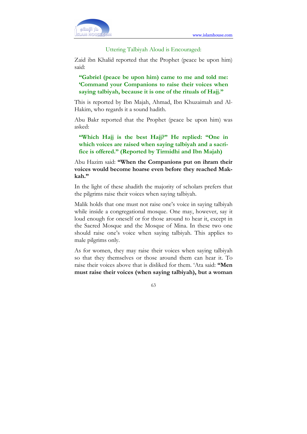

### Uttering Talbiyah Aloud is Encouraged:

Zaid ibn Khalid reported that the Prophet (peace be upon him) said:

"Gabriel (peace be upon him) came to me and told me: 'Command your Companions to raise their voices when saying talbiyah, because it is one of the rituals of Hajj."

This is reported by Ibn Majah, Ahmad, Ibn Khuzaimah and Al-Hakim, who regards it a sound hadith.

Abu Bakr reported that the Prophet (peace be upon him) was asked:

"Which Hajj is the best Hajj?" He replied: "One in which voices are raised when saying talbiyah and a sacrifice is offered." (Reported by Tirmidhi and Ibn Majah)

Abu Hazim said: "When the Companions put on ihram their voices would become hoarse even before they reached Makkah."

In the light of these ahadith the majority of scholars prefers that the pilgrims raise their voices when saying talbiyah.

Malik holds that one must not raise one's voice in saying talbiyah while inside a congregational mosque. One may, however, say it loud enough for oneself or for those around to hear it, except in the Sacred Mosque and the Mosque of Mina. In these two one should raise one's voice when saying talbiyah. This applies to male pilgrims only.

As for women, they may raise their voices when saying talbiyah so that they themselves or those around them can hear it. To raise their voices above that is disliked for them. 'Ata said: "Men must raise their voices (when saying talbiyah), but a woman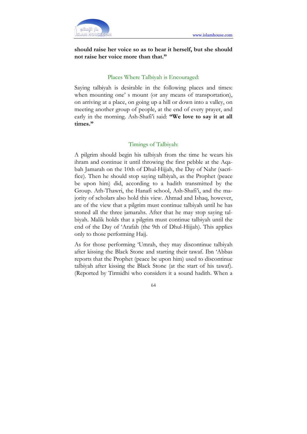

should raise her voice so as to hear it herself, but she should not raise her voice more than that."

### Places Where Talbiyah is Encouraged:

Saying talbiyah is desirable in the following places and times: when mounting one' s mount (or any means of transportation), on arriving at a place, on going up a hill or down into a valley, on meeting another group of people, at the end of every prayer, and early in the morning. Ash-Shafi'i said: "We love to say it at all times."

### Timings of Talbiyah:

A pilgrim should begin his talbiyah from the time he wears his ihram and continue it until throwing the first pebble at the Aqabah Jamarah on the 10th of Dhul-Hijjah, the Day of Nahr (sacrifice). Then he should stop saying talbiyah, as the Prophet (peace be upon him) did, according to a hadith transmitted by the Group. Ath-Thawri, the Hanafi school, Ash-Shafi'i, and the majority of scholars also hold this view. Ahmad and Ishaq, however, are of the view that a pilgrim must continue talbiyah until he has stoned all the three jamarahs. After that he may stop saying talbiyah. Malik holds that a pilgrim must continue talbiyah until the end of the Day of 'Arafah (the 9th of Dhul-Hijjah). This applies only to those performing Hajj.

As for those performing 'Umrah, they may discontinue talbiyah after kissing the Black Stone and starting their tawaf. Ibn 'Abbas reports that the Prophet (peace be upon him) used to discontinue talbiyah after kissing the Black Stone (at the start of his tawaf). (Reported by Tirmidhi who considers it a sound hadith. When a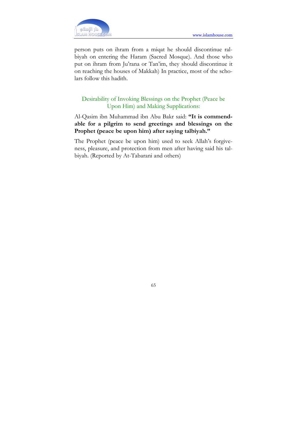

person puts on ihram from a miqat he should discontinue ralbiyah on entering the Haram (Sacred Mosque). And those who put on ihram from Ju'rana or Tan'im, they should discontinue it on reaching the houses of Makkah) In practice, most of the scholars follow this hadith.

# Desirability of Invoking Blessings on the Prophet (Peace be Upon Him) and Making Supplications:

Al-Qasim ibn Muhammad ibn Abu Bakr said: "It is commendable for a pilgrim to send greetings and blessings on the Prophet (peace be upon him) after saying talbiyah."

The Prophet (peace be upon him) used to seek Allah's forgiveness, pleasure, and protection from men after having said his talbiyah. (Reported by At-Tabarani and others)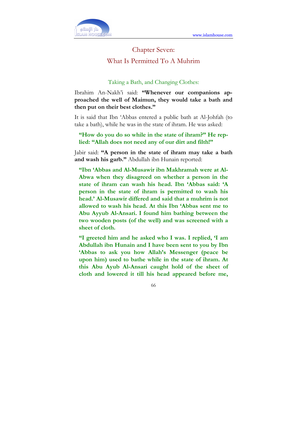

# Chapter Seven: What Is Permitted To A Muhrim

### Taking a Bath, and Changing Clothes:

Ibrahim An-Nakh'i said: "Whenever our companions approached the well of Maimun, they would take a bath and then put on their best clothes."

It is said that Ibn 'Abbas entered a public bath at Al-Johfah (to take a bath), while he was in the state of ihram. He was asked:

## "How do you do so while in the state of ihram?" He replied: "Allah does not need any of our dirt and filth!"

Jabir said: "A person in the state of ihram may take a bath and wash his garb." Abdullah ibn Hunain reported:

"Ibn 'Abbas and Al-Musawir ibn Makhramah were at Al-Abwa when they disagreed on whether a person in the state of ihram can wash his head. Ibn 'Abbas said: 'A person in the state of ihram is permitted to wash his head.' Al-Musawir differed and said that a muhrim is not allowed to wash his head. At this Ibn 'Abbas sent me to Abu Ayyub Al-Ansari. I found him bathing between the two wooden posts (of the well) and was screened with a sheet of cloth.

"I greeted him and he asked who I was. I replied, 'I am Abdullah ibn Hunain and I have been sent to you by Ibn 'Abbas to ask you how Allah's Messenger (peace be upon him) used to bathe while in the state of ihram. At this Abu Ayub Al-Ansari caught hold of the sheet of cloth and lowered it till his head appeared before me,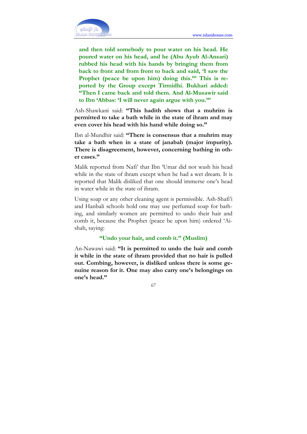

and then told somebody to pour water on his head. He poured water on his head, and he (Abu Ayub Al-Ansari) rubbed his head with his hands by bringing them from back to front and from front to back and said, 'I saw the Prophet (peace be upon him) doing this."' This is reported by the Group except Tirmidhi. Bukhari added: "Then I came back and told them. And Al-Musawir said to Ibn 'Abbas: 'I will never again argue with you."'

Ash-Shawkani said: "This hadith shows that a muhrim is permitted to take a bath while in the state of ihram and may even cover his head with his hand while doing so."

Ibn al-Mundhir said: "There is consensus that a muhrim may take a bath when in a state of janabah (major impurity). There is disagreement, however, concerning bathing in other cases."

Malik reported from Nafi' that Ibn 'Umar did not wash his head while in the state of ihram except when he had a wet dream. It is reported that Malik disliked that one should immerse one's head in water while in the state of ihram.

Using soap or any other cleaning agent is permissible. Ash-Shafi'i and Hanbali schools hold one may use perfumed soap for bathing, and similarly women are permitted to undo their hair and comb it, because the Prophet (peace be upon him) ordered 'Aishah, saying:

### "Undo your hair, and comb it." (Muslim)

An-Nawawi said: "It is permitted to undo the hair and comb it while in the state of ihram provided that no hair is pulled out. Combing, however, is disliked unless there is some genuine reason for it. One may also carry one's belongings on one's head."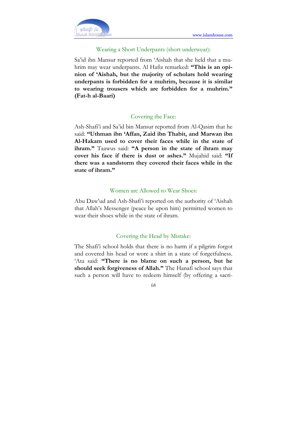

## Wearing a Short Underpants (short underwear):

Sa'id ibn Mansur reported from 'Aishah that she held that a muhrim may wear underpants. Al Hafiz remarked: "This is an opinion of 'Aishah, but the majority of scholars hold wearing underpants is forbidden for a muhrim, because it is similar to wearing trousers which are forbidden for a muhrim." (Fat-h al-Baari)

### Covering the Face:

Ash-Shafi'i and Sa'id bin Mansur reported from Al-Qasim that he said: "Uthman ibn 'Affan, Zaid ibn Thabit, and Marwan ibn Al-Hakam used to cover their faces while in the state of ihram." Taawus said: "A person in the state of ihram may cover his face if there is dust or ashes." Mujahid said: "If there was a sandstorm they covered their faces while in the state of ihram."

## Women are Allowed to Wear Shoes:

Abu Daw'ud and Ash-Shafi'i reported on the authority of 'Aishah that Allah's Messenger (peace be upon him) permitted women to wear their shoes while in the state of ihram.

# Covering the Head by Mistake:

The Shafi'i school holds that there is no harm if a pilgrim forgot and covered his head or wore a shirt in a state of forgetfulness. 'Ata said: "There is no blame on such a person, but he should seek forgiveness of Allah." The Hanafi school says that such a person will have to redeem himself (by offering a sacri-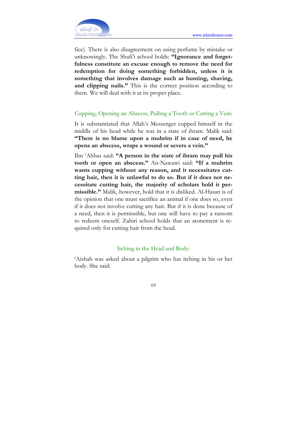

fice). There is also disagreement on using perfume by mistake or unknowingly. The Shafi'i school holds: "Ignorance and forgetfulness constitute an excuse enough to remove the need for redemption for doing something forbidden, unless it is something that involves damage such as hunting, shaving, and clipping nails." This is the correct position according to them. We will deal with it at its proper place.

## Cupping, Opening an Abscess, Pulling a Tooth or Cutting a Vein:

It is substantiated that Allah's Messenger cupped himself in the middle of his head while he was in a state of ihram. Malik said: "There is no blame upon a muhrim if in case of need, he opens an abscess, wraps a wound or severs a vein."

Ibn 'Abbas said: "A person in the state of ihram may pull his tooth or open an abscess." An-Nawawi said: "If a muhrim wants cupping without any reason, and it necessitates cutting hair, then it is unlawful to do so. But if it does not necessitate cutting hair, the majority of scholars hold it permissible." Malik, however, hold that it is disliked. Al-Hasan is of the opinion that one must sacrifice an animal if one does so, even if it does not involve cutting any hair. But if it is done because of a need, then it is permissible, but one will have to pay a ransom to redeem oneself. Zahiri school holds that an atonement is required only for cutting hair from the head.

### Itching in the Head and Body:

'Aishah was asked about a pilgrim who has itching in his or her body. She said: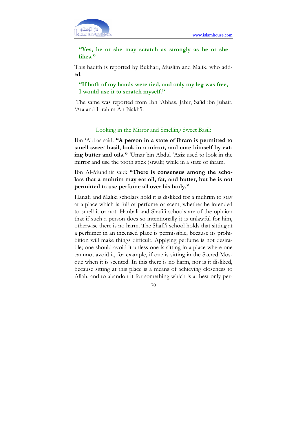

## "Yes, he or she may scratch as strongly as he or she likes."

This hadith is reported by Bukhari, Muslim and Malik, who added:

## "If both of my hands were tied, and only my leg was free, I would use it to scratch myself."

 The same was reported from Ibn 'Abbas, Jabir, Sa'id ibn Jubair, 'Ata and Ibrahim An-Nakh'i.

## Looking in the Mirror and Smelling Sweet Basil:

Ibn 'Abbas said: "A person in a state of ihram is permitted to smell sweet basil, look in a mirror, and cure himself by eating butter and oils." 'Umar bin Abdul 'Aziz used to look in the mirror and use the tooth stick (siwak) while in a state of ihram.

Ibn Al-Mundhir said: "There is consensus among the scholars that a muhrim may eat oil, fat, and butter, but he is not permitted to use perfume all over his body."

Hanafi and Maliki scholars hold it is disliked for a muhrim to stay at a place which is full of perfume or scent, whether he intended to smell it or not. Hanbali and Shafi'i schools are of the opinion that if such a person does so intentionally it is unlawful for him, otherwise there is no harm. The Shafi'i school holds that sitting at a perfumer in an incensed place is permissible, because its prohibition will make things difficult. Applying perfume is not desirable; one should avoid it unless one is sitting in a place where one cannnot avoid it, for example, if one is sitting in the Sacred Mosque when it is scented. In this there is no harm, nor is it disliked, because sitting at this place is a means of achieving closeness to Allah, and to abandon it for something which is at best only per-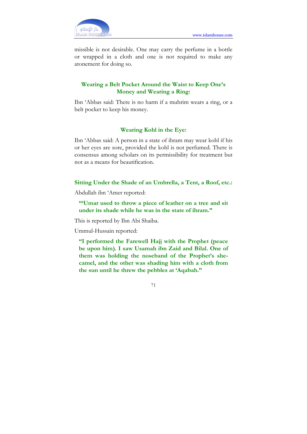

missible is not desirable. One may carry the perfume in a bottle or wrapped in a cloth and one is not required to make any atonement for doing so.

# Wearing a Belt Pocket Around the Waist to Keep One's Money and Wearing a Ring:

Ibn 'Abbas said: There is no harm if a muhrim wears a ring, or a belt pocket to keep his money.

### Wearing Kohl in the Eye:

Ibn 'Abbas said: A person in a state of ihram may wear kohl if his or her eyes are sore, provided the kohl is not perfumed. There is consensus among scholars on its permissibility for treatment but not as a means for beautification.

### Sitting Under the Shade of an Umbrella, a Tent, a Roof, etc.:

Abdullah ibn 'Amer reported:

"'Umar used to throw a piece of leather on a tree and sit under its shade while he was in the state of ihram."

This is reported by Ibn Abi Shaiba.

Ummul-Hussain reported:

"I performed the Farewell Hajj with the Prophet (peace be upon him). I saw Usamah ibn Zaid and Bilal. One of them was holding the noseband of the Prophet's shecamel, and the other was shading him with a cloth from the sun until he threw the pebbles at 'Aqabah."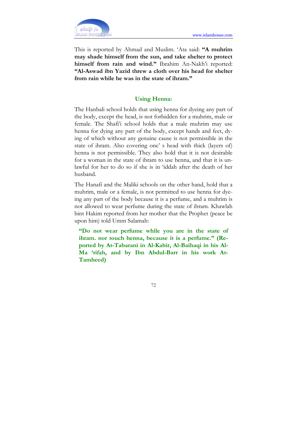

This is reported by Ahmad and Muslim. 'Ata said: "A muhrim may shade himself from the sun, and take shelter to protect himself from rain and wind." Ibrahim An-Nakh'i reported: "Al-Aswad ibn Yazid threw a cloth over his head for shelter from rain while he was in the state of ihram."

## Using Henna:

The Hanbali school holds that using henna for dyeing any part of the body, except the head, is not forbidden for a muhrim, male or female. The Shafi'i school holds that a male muhrim may use henna for dying any part of the body, except hands and feet, dying of which without any genuine cause is not permissible in the state of ihram. Also covering one' s head with thick (layers of) henna is not permissible. They also hold that it is not desirable for a woman in the state of ihram to use henna, and that it is unlawful for her to do so if she is in 'iddah after the death of her husband.

The Hanafi and the Maliki schools on the other hand, hold that a muhrim, male or a female, is not permitted to use henna for dyeing any part of the body because it is a perfume, and a muhrim is not allowed to wear perfume during the state of ihram. Khawlah bint Hakim reported from her mother that the Prophet (peace be upon him) told Umm Salamah:

"Do not wear perfume while you are in the state of ihram. nor touch henna, because it is a perfume." (Reported by At-Tabarani in Al-Kabir, Al-Baihaqi in his Al-Ma 'rifah, and by Ibn Abdul-Barr in his work At-Tamheed)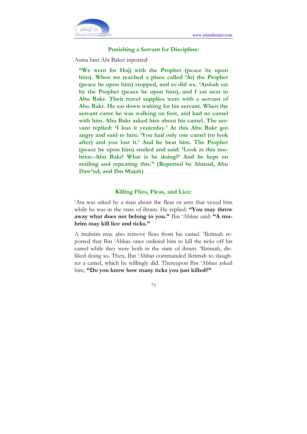

#### Punishing a Servant for Discipline:

Asma bint Abi Baker reported:

"We went for Hajj with the Prophet (peace be upon him). When we reached a place called 'Arj the Prophet (peace be upon him) stopped, and so did we. 'Aishah sat by the Prophet (peace be upon him), and I sat next to Abu Bakr. Their travel supplies were with a servant of Abu Bakr. He sat down waiting for his servant. When the servant came he was walking on foot, and had no camel with him. Abu Bakr asked him about his camel. The servant replied: 'I lost it yesterday.' At this Abu Bakr got angry and said to him: 'You had only one camel (to look after) and you lost it.' And he beat him. The Prophet (peace be upon him) smiled and said: 'Look at this muhrim--Abu Bakr! What is he doing?' And he kept on smiling and repeating this." (Reported by Ahmad, Abu Daw'ud, and Ibn Majah)

#### Killing Flies, Fleas, and Lice:

'Ata was asked by a man about the fleas or ants that vexed him while he was in the state of ihram. He replied: "You may throw away what does not belong to you." Ibn 'Abbas said: "A muhrim may kill lice and ticks."

A muhrim may also remove fleas from his camel. 'Ikrimah reported that Ibn 'Abbas once ordered him to kill the ticks off his camel while they were both in the state of ihram. 'Ikrimah, disliked doing so. Then, Ibn 'Abbas commanded Ikrimah to slaughter a camel, which he willingly did. Thereupon Ibn 'Abbas asked him, "Do you know how many ticks you just killed?"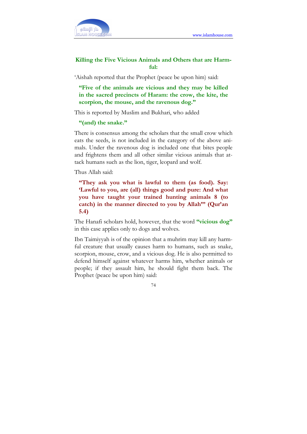

### Killing the Five Vicious Animals and Others that are Harmful:

'Aishah reported that the Prophet (peace be upon him) said:

"Five of the animals are vicious and they may be killed in the sacred precincts of Haram: the crow, the kite, the scorpion, the mouse, and the ravenous dog."

This is reported by Muslim and Bukhari, who added

"(and) the snake."

There is consensus among the scholars that the small crow which eats the seeds, is not included in the category of the above animals. Under the ravenous dog is included one that bites people and frightens them and all other similar vicious animals that attack humans such as the lion, tiger, leopard and wolf.

Thus Allah said:

"They ask you what is lawful to them (as food). Say: 'Lawful to you, are (all) things good and pure: And what you have taught your trained hunting animals 8 (to catch) in the manner directed to you by Allah"' (Qur'an 5.4)

The Hanafi scholars hold, however, that the word "vicious dog" in this case applies only to dogs and wolves.

Ibn Taimiyyah is of the opinion that a muhrim may kill any harmful creature that usually causes harm to humans, such as snake, scorpion, mouse, crow, and a vicious dog. He is also permitted to defend himself against whatever harms him, whether animals or people; if they assault him, he should fight them back. The Prophet (peace be upon him) said: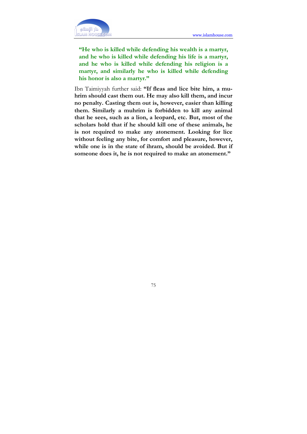

"He who is killed while defending his wealth is a martyr, and he who is killed while defending his life is a martyr, and he who is killed while defending his religion is a martyr, and similarly he who is killed while defending his honor is also a martyr."

Ibn Taimiyyah further said: "If fleas and lice bite him, a muhrim should cast them out. He may also kill them, and incur no penalty. Casting them out is, however, easier than killing them. Similarly a muhrim is forbidden to kill any animal that he sees, such as a lion, a leopard, etc. But, most of the scholars hold that if he should kill one of these animals, he is not required to make any atonement. Looking for lice without feeling any bite, for comfort and pleasure, however, while one is in the state of ihram, should be avoided. But if someone does it, he is not required to make an atonement."

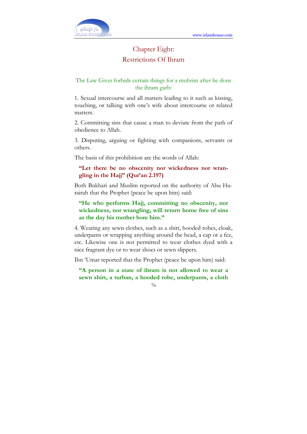

# Chapter Eight: Restrictions Of Ihram

### The Law Giver forbids certain things for a muhrim after he dons the ihram garb:

1. Sexual intercourse and all matters leading to it such as kissing, touching, or talking with one's wife about intercourse or related matters.

2. Committing sins that cause a man to deviate from the path of obedience to Allah.

3. Disputing, arguing or fighting with companions, servants or others.

The basis of this prohibition are the words of Allah:

### "Let there be no obscenity nor wickedness nor wrangling in the Hajj" (Qur'an 2.197)

Both Bukhari and Muslim reported on the authority of Abu Hurairah that the Prophet (peace be upon him) said:

"He who performs Hajj, committing no obscenity, nor wickedness, nor wrangling, will return home free of sins as the day his mother bore him."

4. Wearing any sewn clothes, such as a shirt, hooded robes, cloak, underpants or wrapping anything around the head, a cap or a fez, etc. Likewise one is not permitted to wear clothes dyed with a nice fragrant dye or to wear shoes or sewn slippers.

Ibn 'Umar reported that the Prophet (peace be upon him) said:

"A person in a state of ihram is not allowed to wear a sewn shirt, a turban, a hooded robe, underpants, a cloth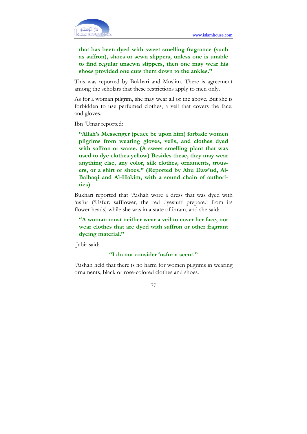

that has been dyed with sweet smelling fragrance (such as saffron), shoes or sewn slippers, unless one is unable to find regular unsewn slippers, then one may wear his shoes provided one cuts them down to the ankles."

This was reported by Bukhari and Muslim. There is agreement among the scholars that these restrictions apply to men only.

As for a woman pilgrim, she may wear all of the above. But she is forbidden to use perfumed clothes, a veil that covers the face, and gloves.

Ibn 'Umar reported:

"Allah's Messenger (peace be upon him) forbade women pilgrims from wearing gloves, veils, and clothes dyed with saffron or warse. (A sweet smelling plant that was used to dye clothes yellow) Besides these, they may wear anything else, any color, silk clothes, ornaments, trousers, or a shirt or shoes." (Reported by Abu Daw'ud, Al-Baihaqi and Al-Hakim, with a sound chain of authorities)

Bukhari reported that 'Aishah wore a dress that was dyed with 'usfur ('Usfur: safflower, the red dyestuff prepared from its flower heads) while she was in a state of ihram, and she said:

### "A woman must neither wear a veil to cover her face, nor wear clothes that are dyed with saffron or other fragrant dyeing material."

Jabir said:

#### "I do not consider 'usfur a scent."

'Aishah held that there is no harm for women pilgrims in wearing ornaments, black or rose-colored clothes and shoes.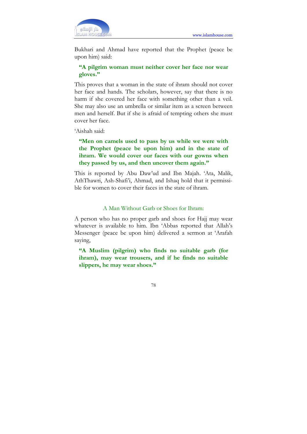

Bukhari and Ahmad have reported that the Prophet (peace be upon him) said:

### "A pilgrim woman must neither cover her face nor wear gloves."

This proves that a woman in the state of ihram should not cover her face and hands. The scholars, however, say that there is no harm if she covered her face with something other than a veil. She may also use an umbrella or similar item as a screen between men and herself. But if she is afraid of tempting others she must cover her face.

'Aishah said:

### "Men on camels used to pass by us while we were with the Prophet (peace be upon him) and in the state of ihram. We would cover our faces with our gowns when they passed by us, and then uncover them again."

This is reported by Abu Daw'ud and Ibn Majah. 'Ata, Malik, AthThawri, Ash-Shafi'i, Ahmad, and Ishaq hold that it permissible for women to cover their faces in the state of ihram.

#### A Man Without Garb or Shoes for Ihram:

A person who has no proper garb and shoes for Hajj may wear whatever is available to him. Ibn 'Abbas reported that Allah's Messenger (peace be upon him) delivered a sermon at 'Arafah saying,

"A Muslim (pilgrim) who finds no suitable garb (for ihram), may wear trousers, and if he finds no suitable slippers, he may wear shoes."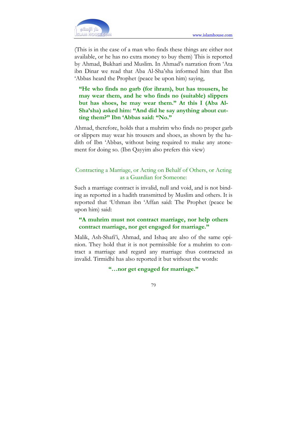

(This is in the case of a man who finds these things are either not available, or he has no extra money to buy them) This is reported by Ahmad, Bukhari and Muslim. In Ahmad's narration from 'Ata ibn Dinar we read that Aba Al-Sha'sha informed him that Ibn 'Abbas heard the Prophet (peace be upon him) saying,

"He who finds no garb (for ihram), but has trousers, he may wear them, and he who finds no (suitable) slippers but has shoes, he may wear them." At this I (Aba Al-Sha'sha) asked him: "And did he say anything about cutting them?" Ibn 'Abbas said: "No."

Ahmad, therefore, holds that a muhrim who finds no proper garb or slippers may wear his trousers and shoes, as shown by the hadith of Ibn 'Abbas, without being required to make any atonement for doing so. (Ibn Qayyim also prefers this view)

### Contracting a Marriage, or Acting on Behalf of Others, or Acting as a Guardian for Someone:

Such a marriage contract is invalid, null and void, and is not binding as reported in a hadith transmitted by Muslim and others. It is reported that 'Uthman ibn 'Affan said: The Prophet (peace be upon him) said:

### "A muhrim must not contract marriage, nor help others contract marriage, nor get engaged for marriage."

Malik, Ash-Shafi'i, Ahmad, and Ishaq are also of the same opinion. They hold that it is not permissible for a muhrim to contract a marriage and regard any marriage thus contracted as invalid. Tirmidhi has also reported it but without the words:

### "…nor get engaged for marriage."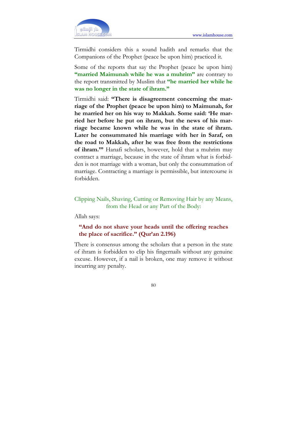

Tirmidhi considers this a sound hadith and remarks that the Companions of the Prophet (peace be upon him) practiced it.

Some of the reports that say the Prophet (peace be upon him) "married Maimunah while he was a muhrim" are contrary to the report transmitted by Muslim that "he married her while he was no longer in the state of ihram."

Tirmidhi said: "There is disagreement concerning the marriage of the Prophet (peace be upon him) to Maimunah, for he married her on his way to Makkah. Some said: 'He married her before he put on ihram, but the news of his marriage became known while he was in the state of ihram. Later he consummated his marriage with her in Saraf, on the road to Makkah, after he was free from the restrictions of ihram.'" Hanafi scholars, however, hold that a muhrim may contract a marriage, because in the state of ihram what is forbidden is not marriage with a woman, but only the consummation of marriage. Contracting a marriage is permissible, but intercourse is forbidden.

Clipping Nails, Shaving, Cutting or Removing Hair by any Means, from the Head or any Part of the Body:

Allah says:

### "And do not shave your heads until the offering reaches the place of sacrifice." (Qur'an 2.196)

There is consensus among the scholars that a person in the state of ihram is forbidden to clip his fingernails without any genuine excuse. However, if a nail is broken, one may remove it without incurring any penalty.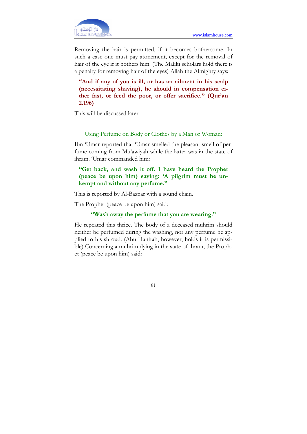

Removing the hair is permitted, if it becomes bothersome. In such a case one must pay atonement, except for the removal of hair of the eye if it bothers him. (The Maliki scholars hold there is a penalty for removing hair of the eyes) Allah the Almighty says:

"And if any of you is ill, or has an ailment in his scalp (necessitating shaving), he should in compensation either fast, or feed the poor, or offer sacrifice." (Qur'an 2.196)

This will be discussed later.

#### Using Perfume on Body or Clothes by a Man or Woman:

Ibn 'Umar reported that 'Umar smelled the pleasant smell of perfume coming from Mu'awiyah while the latter was in the state of ihram. 'Umar commanded him:

### "Get back, and wash it off. I have heard the Prophet (peace be upon him) saying: 'A pilgrim must be unkempt and without any perfume."

This is reported by Al-Bazzar with a sound chain.

The Prophet (peace be upon him) said:

### "Wash away the perfume that you are wearing."

He repeated this thrice. The body of a deceased muhrim should neither be perfumed during the washing, nor any perfume be applied to his shroud. (Abu Hanifah, however, holds it is permissible) Concerning a muhrim dying in the state of ihram, the Prophet (peace be upon him) said: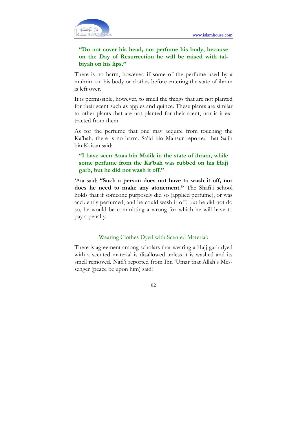

### "Do not cover his head, nor perfume his body, because on the Day of Resurrection he will be raised with talbiyah on his lips."

There is no harm, however, if some of the perfume used by a muhrim on his body or clothes before entering the state of ihram is left over.

It is permissible, however, to smell the things that are not planted for their scent such as apples and quince. These plants are similar to other plants that are not planted for their scent, nor is it extracted from them.

As for the perfume that one may acquire from touching the Ka'bah, there is no harm. Sa'id bin Mansur reported that Salih bin Kaisan said:

### "I have seen Anas bin Malik in the state of ihram, while some perfume from the Ka'bah was rubbed on his Hajj garb, but he did not wash it off."

'Ata said: "Such a person does not have to wash it off, nor does he need to make any atonement." The Shafi'i school holds that if someone purposely did so (applied perfume), or was accidently perfumed, and he could wash it off, but he did not do so, he would be committing a wrong for which he will have to pay a penalty.

#### Wearing Clothes Dyed with Scented Material:

There is agreement among scholars that wearing a Hajj garb dyed with a scented material is disallowed unless it is washed and its smell removed. Nafi'i reported from Ibn 'Umar that Allah's Messenger (peace be upon him) said: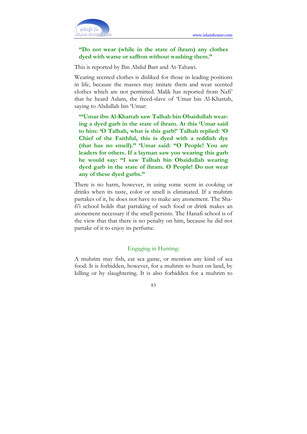

### "Do not wear (while in the state of ihram) any clothes dyed with warse or saffron without washing them."

This is reported by Ibn Abdul Barr and At-Tahawi.

Wearing scented clothes is disliked for those in leading positions in life, because the masses may imitate them and wear scented clothes which are not permitted. Malik has reported from Nafi' that he heard Aslam, the freed-slave of 'Umar bin Al-Khattab, saying to Abdullah bin 'Umar:

"'Umar ibn Al-Khattab saw Talhah bin Obaidullah wearing a dyed garb in the state of ihram. At this 'Umar said to him: 'O Talhah, what is this garb!' Talhah replied: 'O Chief of the Faithful, this is dyed with a reddish dye (that has no smell)." 'Umar said: "O People! You are leaders for others. If a layman saw you wearing this garb he would say: "I saw Talhah bin Obaidullah wearing dyed garb in the state of ihram. O People! Do not wear any of these dyed garbs."

There is no harm, however, in using some scent in cooking or drinks when its taste, color or smell is eliminated. If a muhrim partakes of it, he does not have to make any atonement. The Shafi'i school holds that partaking of such food or drink makes an atonement necessary if the smell persists. The Hanafi school is of the view that that there is no penalty on him, because he did not partake of it to enjoy its perfume.

#### Engaging in Hunting:

A muhrim may fish, eat sea game, or mention any kind of sea food. It is forbidden, however, for a muhrim to hunt on land, by killing or by slaughtering. It is also forbidden for a muhrim to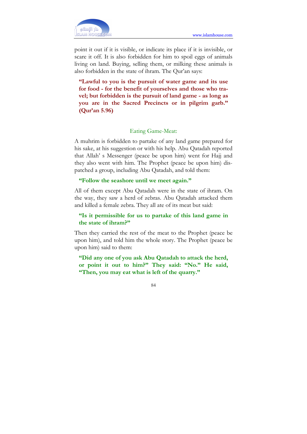point it out if it is visible, or indicate its place if it is invisible, or scare it off. It is also forbidden for him to spoil eggs of animals living on land. Buying, selling them, or milking these animals is also forbidden in the state of ihram. The Qur'an says:

"Lawful to you is the pursuit of water game and its use for food - for the benefit of yourselves and those who travel; but forbidden is the pursuit of land game - as long as you are in the Sacred Precincts or in pilgrim garb." (Qur'an 5.96)

#### Eating Game-Meat:

A muhrim is forbidden to partake of any land game prepared for his sake, at his suggestion or with his help. Abu Qatadah reported that Allah' s Messenger (peace be upon him) went for Hajj and they also went with him. The Prophet (peace be upon him) dispatched a group, including Abu Qatadah, and told them:

#### "Follow the seashore until we meet again."

All of them except Abu Qatadah were in the state of ihram. On the way, they saw a herd of zebras. Abu Qatadah attacked them and killed a female zebra. They all ate of its meat but said:

#### "Is it permissible for us to partake of this land game in the state of ihram?"

Then they carried the rest of the meat to the Prophet (peace be upon him), and told him the whole story. The Prophet (peace be upon him) said to them:

"Did any one of you ask Abu Qatadah to attack the herd, or point it out to him?" They said: "No." He said, "Then, you may eat what is left of the quarry."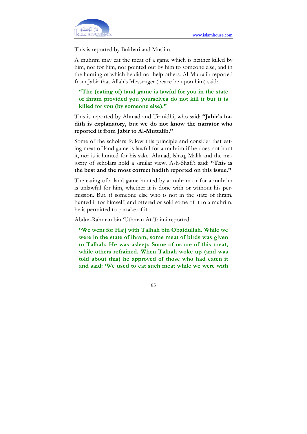

This is reported by Bukhari and Muslim.

A muhrim may eat the meat of a game which is neither killed by him, nor for him, nor pointed out by him to someone else, and in the hunting of which he did not help others. Al-Muttalib reported from Jabir that Allah's Messenger (peace be upon him) said:

"The (eating of) land game is lawful for you in the state of ihram provided you yourselves do not kill it but it is killed for you (by someone else)."

This is reported by Ahmad and Tirmidhi, who said: "Jabir's hadith is explanatory, but we do not know the narrator who reported it from Jabir to Al-Muttalib."

Some of the scholars follow this principle and consider that eating meat of land game is lawful for a muhrim if he does not hunt it, nor is it hunted for his sake. Ahmad, lshaq, Malik and the majority of scholars hold a similar view. Ash-Shafi'i said: "This is the best and the most correct hadith reported on this issue."

The eating of a land game hunted by a muhrim or for a muhrim is unlawful for him, whether it is done with or without his permission. But, if someone else who is not in the state of ihram, hunted it for himself, and offered or sold some of it to a muhrim, he is permitted to partake of it.

Abdur-Rahman bin 'Uthman At-Taimi reported:

"We went for Hajj with Talhah bin Obaidullah. While we were in the state of ihram, some meat of birds was given to Talhah. He was asleep. Some of us ate of this meat, while others refrained. When Talhah woke up (and was told about this) he approved of those who had eaten it and said: 'We used to eat such meat while we were with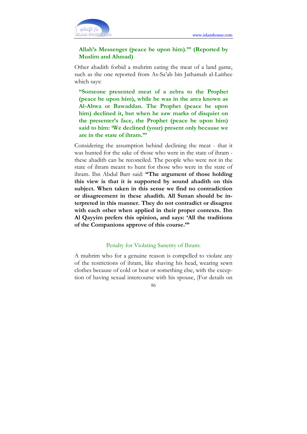

### Allah's Messenger (peace be upon him).'" (Reported by Muslim and Ahmad)

Other ahadith forbid a muhrim eating the meat of a land game, such as the one reported from As-Sa'ab bin Jathamah al-Laithee which says:

"Someone presented meat of a zebra to the Prophet (peace be upon him), while he was in the area known as Al-Abwa or Bawaddan. The Prophet (peace be upon him) declined it, but when he saw marks of disquiet on the presenter's face, the Prophet (peace be upon him) said to him: 'We declined (your) present only because we are in the state of ihram.'"

Considering the assumption behind declining the meat - that it was hunted for the sake of those who were in the state of ihram these ahadith can be reconciled. The people who were not in the state of ihram meant to hunt for those who were in the state of ihram. Ibn Abdul Barr said: "The argument of those holding this view is that it is supported by sound ahadith on this subject. When taken in this sense we find no contradiction or disagreement in these ahadith. All Sunan should be interpreted in this manner. They do not contradict or disagree with each other when applied in their proper contexts. Ibn Al Qayyim prefers this opinion, and says: 'All the traditions of the Companions approve of this course.'"

#### Penalty for Violating Sanctity of Ihram:

A muhrim who for a genuine reason is compelled to violate any of the restrictions of ihram, like shaving his head, wearing sewn clothes because of cold or heat or something else, with the exception of having sexual intercourse with his spouse, (For details on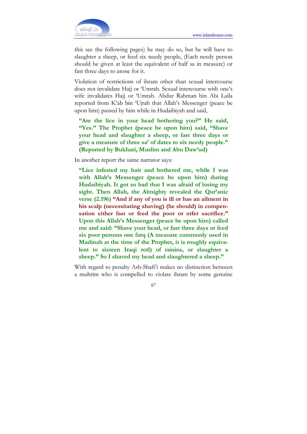

this see the following pages) he may do so, but he will have to slaughter a sheep, or feed six needy people, (Each needy person should be given at least the equivalent of half sa in measure) or fast three days to atone for it.

Violation of restrictions of ihram other than sexual intercourse does not invalidate Hajj or 'Umrah. Sexual intercourse with one's wife invalidates Hajj or 'Umrah. Abdur Rahman bin Abi Laila reported from K'ab bin 'Ujrah that Allah's Messenger (peace be upon him) passed by him while in Hudaibiyah and said,

"Are the lice in your head bothering you?" He said, "Yes." The Prophet (peace be upon him) said, "Shave your head and slaughter a sheep, or fast three days or give a measure of three sa' of dates to six needy people." (Reported by Bukhari, Muslim and Abu Daw'ud)

In another report the same narrator says:

"Lice infested my hair and bothered me, while I was with Allah's Messenger (peace be upon him) during Hudaibiyah. It got so bad that I was afraid of losing my sight. Then Allah, the Almighty revealed the Qur'anic verse (2.196) "And if any of you is ill or has an ailment in his scalp (necessitating shaving) (he should) in compensation either fast or feed the poor or otfer sacrifice." Upon this Allah's Messenger (peace be upon him) called me and said: "Shave your head, or fast three days or feed six poor persons one farq (A measure commonly used in Madinah at the time of the Prophet, it is roughly equivalent to sixteen Iraqi rotl) of raisins, or slaughter a sheep." So I shaved my head and slaughtered a sheep."

With regard to penalty Ash-Shafi'i makes no distinction between a muhrim who is compelled to violate ihram by some genuine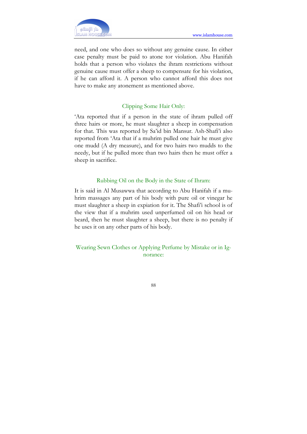

need, and one who does so without any genuine cause. In either case penalty must be paid to atone tor violation. Abu Hanifah holds that a person who violates the ihram restrictions without genuine cause must offer a sheep to compensate for his violation, if he can afford it. A person who cannot afford this does not have to make any atonement as mentioned above.

### Clipping Some Hair Only:

'Ata reported that if a person in the state of ihram pulled off three hairs or more, he must slaughter a sheep in compensation for that. This was reported by Sa'id bin Mansur. Ash-Shafi'i also reported from 'Ata that if a muhrim pulled one hair he must give one mudd (A dry measure), and for two hairs two mudds to the needy, but if he pulled more than two hairs then he must offer a sheep in sacrifice.

#### Rubbing Oil on the Body in the State of Ihram:

It is said in Al Musawwa that according to Abu Hanifah if a muhrim massages any part of his body with pure oil or vinegar he must slaughter a sheep in expiation for it. The Shafi'i school is of the view that if a muhrim used unperfumed oil on his head or beard, then he must slaughter a sheep, but there is no penalty if he uses it on any other parts of his body.

Wearing Sewn Clothes or Applying Perfume by Mistake or in Ignorance: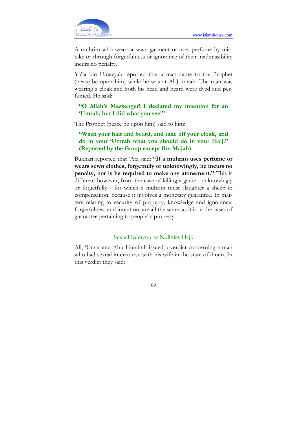

A muhrim who wears a sewn garment or uses perfume by mistake or through forgetfulness or ignorance of their inadmissibility incurs no penalty.

Ya'la bin Umayyah reported that a man came to the Prophet (peace be upon him) while he was at Al-Ji ranah. The man was wearing a cloak and both his head and beard were dyed and perfumed. He said:

### "O Allah's Messenger! I declared my intention for an 'Umrah, but I did what you see!"

The Prophet (peace be upon him) said to him:

"Wash your hair and beard, and take off your cloak, and do in your 'Umrah what you should do in your Hajj." (Reported by the Group except Ibn Majah)

Bukhari reported that 'Ata said: "If a muhrim uses perfume or wears sewn clothes, forgetfully or unknowingly, he incurs no penalty, nor is he required to make any atonement." This is different however, from the case of killing a game - unknowingly or forgetfully - for which a muhrim must slaughter a sheep in compensation, because it involves a monetary guarantee. In matters relating to security of property, knowledge and ignorance, forgetfulness and intention, are all the same, as it is in the cases of guarantee pertaining to people' s property.

#### Sexual Intercourse Nullifies Hajj:

Ali, 'Umar and Abu Hurairah issued a verdict concerning a man who had sexual intercourse with his wife in the state of ihram. In this verdict they said: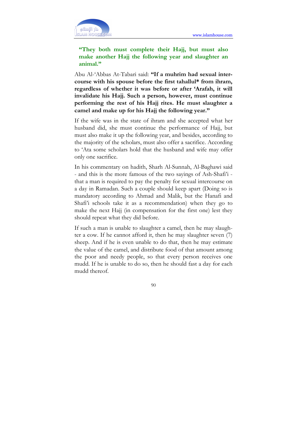

### "They both must complete their Hajj, but must also make another Hajj the following year and slaughter an animal."

Abu Al-'Abbas At-Tabari said: "If a muhrim had sexual intercourse with his spouse before the first tahallul\* from ihram, regardless of whether it was before or after 'Arafah, it will invalidate his Hajj. Such a person, however, must continue performing the rest of his Hajj rites. He must slaughter a camel and make up for his Hajj the following year."

If the wife was in the state of ihram and she accepted what her husband did, she must continue the performance of Hajj, but must also make it up the following year, and besides, according to the majority of the scholars, must also offer a sacrifice. According to 'Ata some scholars hold that the husband and wife may offer only one sacrifice.

In his commentary on hadith, Sharh Al-Sunnah, Al-Baghawi said - and this is the more famous of the two sayings of Ash-Shafi'i that a man is required to pay the penalty for sexual intercourse on a day in Ramadan. Such a couple should keep apart (Doing so is mandatory according to Ahmad and Malik, but the Hanafi and Shafi'i schools take it as a recommendation) when they go to make the next Hajj (in compensation for the first one) lest they should repeat what they did before.

If such a man is unable to slaughter a camel, then he may slaughter a cow. If he cannot afford it, then he may slaughter seven (7) sheep. And if he is even unable to do that, then he may estimate the value of the camel, and distribute food of that amount among the poor and needy people, so that every person receives one mudd. If he is unable to do so, then he should fast a day for each mudd thereof.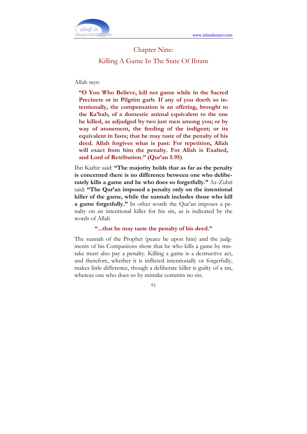

# Chapter Nine: Killing A Game In The State Of Ihram

#### Allah says:

"O You Who Believe, kill not game while in the Sacred Precincts or in Pilgrim garb. If any of you doeth so intentionally, the compensation is an offering, brought to the Ka'bah, of a domestic animal equivalent to the one he killed, as adjudged by two just men among you; or by way of atonement, the feeding of the indigent; or its equivalent in fasts; that he may taste of the penalty of his deed. Allah forgives what is past: For repetition, Allah will exact from him the penalty. For Allah is Exalted, and Lord of Retribution." (Qur'an 5.95)

Ibn Kathir said: "The majority holds that as far as the penalty is concerned there is no difference between one who deliberately kills a game and he who does so forgetfully." Az-Zuhri said: "The Qur'an imposed a penalty only on the intentional killer of the game, while the sunnah includes those who kill a game forgetfully." In other words the Qur'an imposes a penalty on an intentional killer for his sin, as is indicated by the words of Allah

#### "...that he may taste the penalty of his deed."

The sunnah of the Prophet (peace be upon him) and the judgments of his Companions show that he who kills a game by mistake must also pay a penalty. Killing a game is a destructive act, and therefore, whether it is inflicted intentionally or forgetfully, makes little difference, though a deliberate killer is guilty of a sin, whereas one who does so by mistake commits no sin.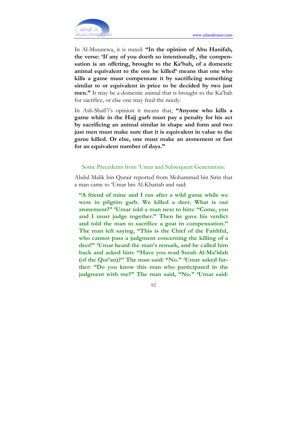

In Al-Musawwa, it is stated: "In the opinion of Abu Hanifah, the verse: 'If any of you doeth so intentionally, the compensation is an offering, brought to the Ka'bah, of a domestic animal equivalent to the one he killed' means that one who kills a game must compensate it by sacrificing something similar to or equivalent in price to be decided by two just men." It may be a domestic animal that is brought to the Ka'bah for sacrifice, or else one may feed the needy.

In Ash-Shafi'i's opinion it means that, "Anyone who kills a game while in the Hajj garb must pay a penalty for his act by sacrificing an animal similar in shape and form and two just men must make sure that it is equivalent in value to the game killed. Or else, one must make an atonement or fast for an equivalent number of days."

#### Some Precedents from 'Umar and Subsequent Generations:

Abdul Malik bin Qurair reported from Mohammad bin Sirin that a man came to 'Umar bin Al-Khattab and said:

"A friend of mine and I ran after a wild game while we were in pilgrim garb. We killed a deer. What is our atonement?" 'Umar told a man next to him: "Come, you and I must judge together." Then he gave his verdict and told the man to sacrifice a goat in compensation." The man left saying, "This is the Chief of the Faithful, who cannot pass a judgment concerning the killing of a deer!" 'Umar heard the man's remark, and he called him back and asked him: "Have you read Surah Al-Ma'idah (of the Qur'an)?" The man said: "No." 'Umar asked further: "Do you know this man who participated in the judgment with me?" The man said, "No." 'Umar said: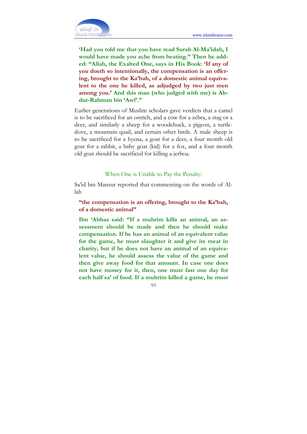

'Had you told me that you have read Surah Al-Ma'idah, I would have made you ache from beating." Then he added: "Allah, the Exalted One, says in His Book: 'If any of you doeth so intentionally, the compensation is an offering, brought to the Ka'bah, of a domestic animal equivalent to the one he killed, as adjudged by two just men among you.' And this man (who judged with me) is Abdur-Rahman bin 'Awf'."

Earlier generations of Muslim scholars gave verdicts that a camel is to be sacrificed for an ostrich, and a cow for a zebra, a stag or a deer, and similarly a sheep for a woodchuck, a pigeon, a turtledove, a mountain quail, and certain other birds. A male sheep is to be sacrificed for a hyena, a goat for a deer, a four month old goat for a rabbit, a baby goat (kid) for a fox, and a four month old goat should be sacrificed for killing a jerboa.

#### When One is Unable to Pay the Penalty:

Sa'id bin Mansur reported that commenting on the words of Allah

"the compensation is an offering, brought to the Ka'bah, of a domestic animal"

Ibn 'Abbas said: "If a muhrim kills an animal, an assessment should be made and then he should make compensation. If he has an animal of an equivalent value for the game, he must slaughter it and give its meat in charity, but if he does not have an animal of an equivalent value, he should assess the value of the game and then give away food for that amount. In case one does not have money for it, then, one must fast one day for each half sa' of food. If a muhrim killed a game, he must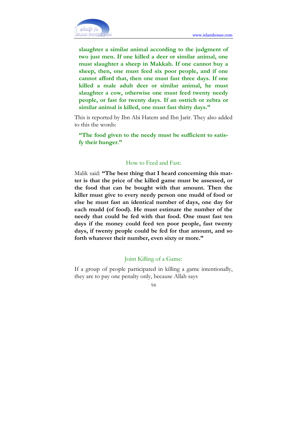

slaughter a similar animal according to the judgment of two just men. If one killed a deer or similar animal, one must slaughter a sheep in Makkah. If one cannot buy a sheep, then, one must feed six poor people, and if one cannot afford that, then one must fast three days. If one killed a male adult deer or similar animal, he must slaughter a cow, otherwise one must feed twenty needy people, or fast for twenty days. If an ostrich or zebra or similar animal is killed, one must fast thirty days."

This is reported by Ibn Abi Hatem and Ibn Jarir. They also added to this the words:

"The food given to the needy must be sufficient to satisfy their hunger."

#### How to Feed and Fast:

Malik said: "The best thing that I heard concerning this matter is that the price of the killed game must be assessed, or the food that can be bought with that amount. Then the killer must give to every needy person one mudd of food or else he must fast an identical number of days, one day for each mudd (of food). He must estimate the number of the needy that could be fed with that food. One must fast ten days if the money could feed ten poor people, fast twenty days, if twenty people could be fed for that amount, and so forth whatever their number, even sixty or more."

#### Joint Killing of a Game:

If a group of people participated in killing a game intentionally, they are to pay one penalty only, because Allah says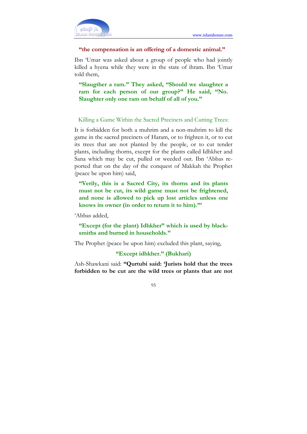

#### "the compensation is an offering of a domestic animal."

Ibn 'Umar was asked about a group of people who had jointly killed a hyena while they were in the state of ihram. Ibn 'Umar told them,

"Slaugther a ram." They asked, "Should we slaughter a ram for each person of our group?" He said, "No. Slaughter only one ram on behalf of all of you."

#### Killing a Game Within the Sacred Precincts and Cutting Trees:

It is forbidden for both a muhrim and a non-muhrim to kill the game in the sacred precincts of Haram, or to frighten it, or to cut its trees that are not planted by the people, or to cut tender plants, including thorns, except for the plants called Idhkher and Sana which may be cut, pulled or weeded out. Ibn 'Abbas reported that on the day of the conquest of Makkah the Prophet (peace be upon him) said,

"Verily, this is a Sacred City, its thorns and its plants must not be cut, its wild game must not be frightened, and none is allowed to pick up lost articles unless one knows its owner (in order to return it to him)."'

'Abbas added,

"Except (for the plant) Idhkher" which is used by blacksmiths and burned in households."

The Prophet (peace be upon him) excluded this plant, saying,

### "Except idhkher." (Bukhari)

Ash-Shawkani said: "Qurtubi said: 'Jurists hold that the trees forbidden to be cut are the wild trees or plants that are not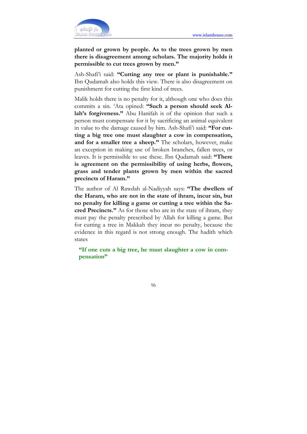

planted or grown by people. As to the trees grown by men there is disagreement among scholars. The majority holds it permissible to cut trees grown by men."

Ash-Shafi'i said: "Cutting any tree or plant is punishable." Ibn Qudamah also holds this view. There is also disagreement on punishment for cutting the first kind of trees.

Malik holds there is no penalty for it, although one who does this commits a sin. 'Ata opined: "Such a person should seek Allah's forgiveness." Abu Hanifah is of the opinion that such a person must compensate for it by sacrificing an animal equivalent in value to the damage caused by him. Ash-Shafi'i said: "For cutting a big tree one must slaughter a cow in compensation, and for a smaller tree a sheep." The scholars, however, make an exception in making use of broken branches, fallen trees, or leaves. It is permissible to use these. Ibn Qudamah said: "There is agreement on the permissibility of using herbs, flowers, grass and tender plants grown by men within the sacred precincts of Haram."

The author of Al Rawdah al-Nadiyyah says: "The dwellers of the Haram, who are not in the state of ihram, incur sin, but no penalty for killing a game or cutting a tree within the Sacred Precincts." As for those who are in the state of ihram, they must pay the penalty prescribed by Allah for killing a game. But for cutting a tree in Makkah they incur no penalty, because the evidence in this regard is not strong enough. The hadith which states

"If one cuts a big tree, he must slaughter a cow in compensation"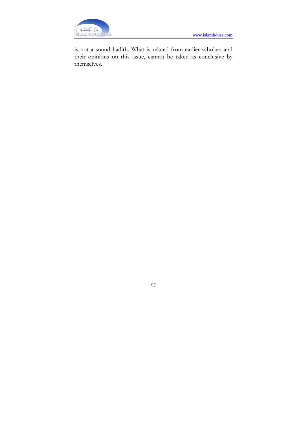is not a sound hadith. What is related from earlier scholars and their opinions on this issue, cannot be taken as conclusive by themselves.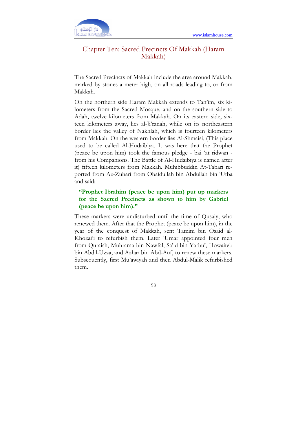

## Chapter Ten: Sacred Precincts Of Makkah (Haram Makkah)

The Sacred Precincts of Makkah include the area around Makkah, marked by stones a meter high, on all roads leading to, or from Makkah.

On the northern side Haram Makkah extends to Tan'im, six kilometers from the Sacred Mosque, and on the southern side to Adah, twelve kilometers from Makkah. On its eastern side, sixteen kilometers away, lies al-Ji'ranah, while on its northeastern border lies the valley of Nakhlah, which is fourteen kilometers from Makkah. On the western border lies Al-Shmaisi, (This place used to be called Al-Hudaibiya. It was here that the Prophet (peace be upon him) took the famous pledge - bai 'at ridwan from his Companions. The Battle of Al-Hudaibiya is named after it) fifteen kilometers from Makkah. Muhibbuddin At-Tabari reported from Az-Zuhari from Obaidullah bin Abdullah bin 'Utba and said:

### "Prophet Ibrahim (peace be upon him) put up markers for the Sacred Precincts as shown to him by Gabriel (peace be upon him)."

These markers were undisturbed until the time of Qusaiy, who renewed them. After that the Prophet (peace be upon him), in the year of the conquest of Makkah, sent Tamim bin Osaid al-Khozai'i to refurbish them. Later 'Umar appointed four men from Quraish, Muhrama bin Nawfal, Sa'id bin Yarbu', Howaiteb bin Abdil-Uzza, and Azhar bin Abd-Auf, to renew these markers. Subsequently, first Mu'awiyah and then Abdul-Malik refurbished them.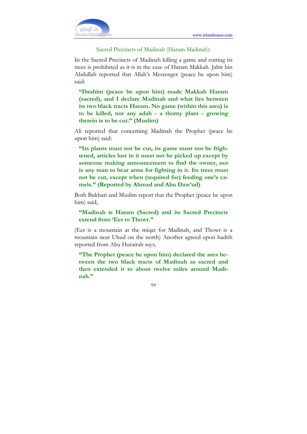

#### Sacred Precincts of Madinah (Haram Madinah):

In the Sacred Precincts of Madinah killing a game and cutting its trees is prohibited as it is in the case of Haram Makkah. Jabir bin Abdullah reported that Allah's Messenger (peace be upon him) said:

"Ibrahim (peace be upon him) made Makkah Haram (sacred), and I declare Madinah and what lies between its two black tracts Haram. No game (within this area) is to be killed, nor any adah - a thorny plant - growing therein is to be cut." (Muslim)

Ali reported that concerning Madinah the Prophet (peace be upon him) said:

"Its plants must not be cut, its game must not be frightened, articles lost in it must not be picked up except by someone making announcement to find the owner, nor is any man to bear arms for fighting in it. Its trees must not be cut, except when (required for) feeding one's camels." (Reported by Ahmad and Ahu Daw'ud)

Both Bukhari and Muslim report that the Prophet (peace be upon him) said,

"Madinah is Haram (Sacred) and its Sacred Precincts extend from 'Eer to Thowr."

(Eer is a mountain at the miqat for Madinah, and Thowr is a mountain near Uhud on the north) Another agreed upon hadith reported from Abu Hurairah says,

"The Prophet (peace be upon him) declared the area between the two black tracts of Madinah as sacred and then extended it to about twelve miles around Madinah."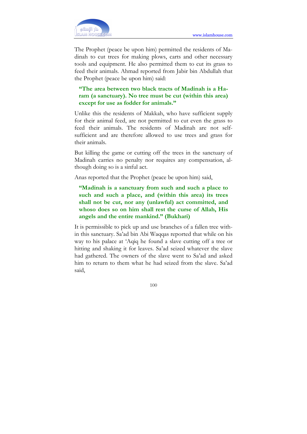

The Prophet (peace be upon him) permitted the residents of Madinah to cut trees for making plows, carts and other necessary tools and equipment. He also permitted them to cut its grass to feed their animals. Ahmad reported from Jabir bin Abdullah that the Prophet (peace be upon him) said:

"The area between two black tracts of Madinah is a Haram (a sanctuary). No tree must be cut (within this area) except for use as fodder for animals."

Unlike this the residents of Makkah, who have sufficient supply for their animal feed, are not permitted to cut even the grass to feed their animals. The residents of Madinah are not selfsufficient and are therefore allowed to use trees and grass for their animals.

But killing the game or cutting off the trees in the sanctuary of Madinah carries no penalty nor requires any compensation, although doing so is a sinful act.

Anas reported that the Prophet (peace be upon him) said,

"Madinah is a sanctuary from such and such a place to such and such a place, and (within this area) its trees shall not be cut, nor any (unlawful) act committed, and whoso does so on him shall rest the curse of Allah, His angels and the entire mankind." (Bukhari)

It is permissible to pick up and use branches of a fallen tree within this sanctuary. Sa'ad bin Abi Waqqas reported that while on his way to his palace at 'Aqiq he found a slave cutting off a tree or hitting and shaking it for leaves. Sa'ad seized whatever the slave had gathered. The owners of the slave went to Sa'ad and asked him to return to them what he had seized from the slave. Sa'ad said,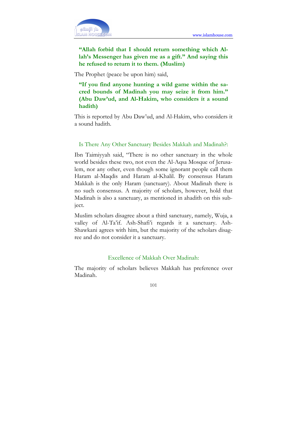

### "Allah forbid that I should return something which Allah's Messenger has given me as a gift." And saying this he refused to return it to them. (Muslim)

The Prophet (peace be upon him) said,

"If you find anyone hunting a wild game within the sacred bounds of Madinah you may seize it from him." (Abu Daw'ud, and Al-Hakim, who considers it a sound hadith)

This is reported by Abu Daw'ud, and Al-Hakim, who considers it a sound hadith.

#### Is There Any Other Sanctuary Besides Makkah and Madinah?:

Ibn Taimiyyah said, "There is no other sanctuary in the whole world besides these two, not even the Al-Aqsa Mosque of Jerusalem, nor any other, even though some ignorant people call them Haram al-Maqdis and Haram al-Khalil. By consensus Haram Makkah is the only Haram (sanctuary). About Madinah there is no such consensus. A majority of scholars, however, hold that Madinah is also a sanctuary, as mentioned in ahadith on this subject.

Muslim scholars disagree about a third sanctuary, namely, Wuja, a valley of Al-Ta'if. Ash-Shafi'i regards it a sanctuary. Ash-Shawkani agrees with him, but the majority of the scholars disagree and do not consider it a sanctuary.

#### Excellence of Makkah Over Madinah:

The majority of scholars believes Makkah has preference over Madinah.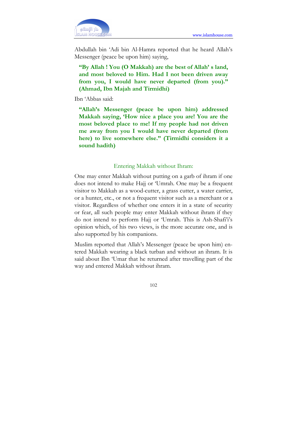

Abdullah bin 'Adi bin Al-Hamra reported that he heard Allah's Messenger (peace be upon him) saying,

"By Allah ! You (O Makkah) are the best of Allah' s land, and most beloved to Him. Had I not been driven away from you, I would have never departed (from you)." (Ahmad, Ibn Majah and Tirmidhi)

Ibn 'Abbas said:

"Allah's Messenger (peace be upon him) addressed Makkah saying, 'How nice a place you are! You are the most beloved place to me! If my people had not driven me away from you I would have never departed (from here) to live somewhere else." (Tirmidhi considers it a sound hadith)

#### Entering Makkah without Ihram:

One may enter Makkah without putting on a garb of ihram if one does not intend to make Hajj or 'Umrah. One may be a frequent visitor to Makkah as a wood-cutter, a grass cutter, a water carrier, or a hunter, etc., or not a frequent visitor such as a merchant or a visitor. Regardless of whether one enters it in a state of security or fear, all such people may enter Makkah without ihram if they do not intend to perform Hajj or 'Umrah. This is Ash-Shafi'i's opinion which, of his two views, is the more accurate one, and is also supported by his companions.

Muslim reported that Allah's Messenger (peace be upon him) entered Makkah wearing a black turban and without an ihram. It is said about Ibn 'Umar that he returned after travelling part of the way and entered Makkah without ihram.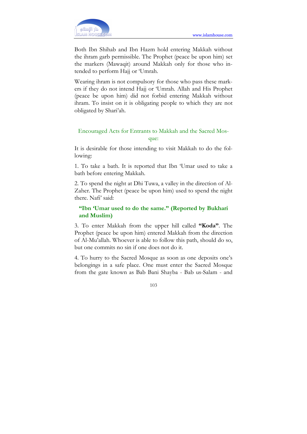

Both Ibn Shihab and Ibn Hazm hold entering Makkah without the ihram garb permissible. The Prophet (peace be upon him) set the markers (Mawaqit) around Makkah only for those who intended to perform Hajj or 'Umrah.

Wearing ihram is not compulsory for those who pass these markers if they do not intend Hajj or 'Umrah. Allah and His Prophet (peace be upon him) did not forbid entering Makkah without ihram. To insist on it is obligating people to which they are not obligated by Shari'ah.

### Encouraged Acts for Entrants to Makkah and the Sacred Mosque:

It is desirable for those intending to visit Makkah to do the following:

1. To take a bath. It is reported that Ibn 'Umar used to take a bath before entering Makkah.

2. To spend the night at Dhi Tuwa, a valley in the direction of Al-Zaher. The Prophet (peace be upon him) used to spend the night there. Nafi' said:

### "Ibn 'Umar used to do the same." (Reported by Bukhari and Muslim)

3. To enter Makkah from the upper hill called "Koda". The Prophet (peace be upon him) entered Makkah from the direction of Al-Mu'allah. Whoever is able to follow this path, should do so, but one commits no sin if one does not do it.

4. To hurry to the Sacred Mosque as soon as one deposits one's belongings in a safe place. One must enter the Sacred Mosque from the gate known as Bab Bani Shayba - Bab us-Salam - and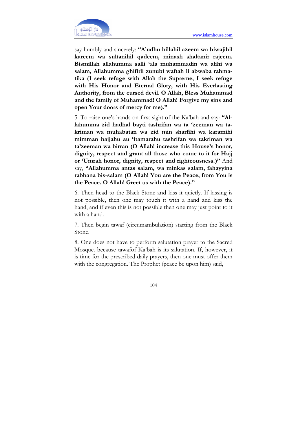

say humbly and sincerely: "A'udhu billahil azeem wa biwajihil kareem wa sultanihil qadeem, minash shaltanir rajeem. Bismillah allahumma salli 'ala muhammadin wa alihi wa salam, Allahumma ghifirli zunubi waftah li abwaba rahmatika (I seek refuge with Allah the Supreme, I seek refuge with His Honor and Eternal Glory, with His Everlasting Authority, from the cursed devil. O Allah, Bless Muhammad and the family of Muhammad! O Allah! Forgive my sins and open Your doors of mercy for me)."

5. To raise one's hands on first sight of the Ka'bah and say: "Allahumma zid hadhal bayti tashrifan wa ta 'zeeman wa takriman wa muhabatan wa zid min sharfihi wa karamihi mimman hajjahu au 'itamarahu tashrifan wa takriman wa ta'zeeman wa birran (O Allah! increase this House's honor, dignity, respect and grant all those who come to it for Hajj or 'Umrah honor, dignity, respect and righteousness.)" And say, "Allahumma antas salam, wa minkas salam, fahayyina rabbana bis-salam (O Allah! You are the Peace, from You is the Peace. O Allah! Greet us with the Peace)."

6. Then head to the Black Stone and kiss it quietly. If kissing is not possible, then one may touch it with a hand and kiss the hand, and if even this is not possible then one may just point to it with a hand.

7. Then begin tawaf (circumambulation) starting from the Black Stone.

8. One does not have to perform salutation prayer to the Sacred Mosque. because tawafof Ka'bah is its salutation. If, however, it is time for the prescribed daily prayers, then one must offer them with the congregation. The Prophet (peace be upon him) said,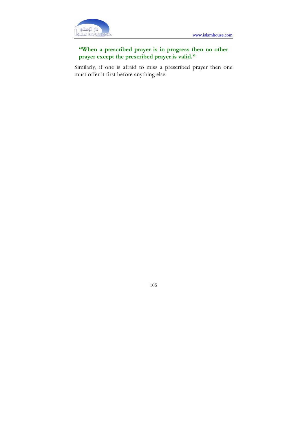

## "When a prescribed prayer is in progress then no other prayer except the prescribed prayer is valid."

Similarly, if one is afraid to miss a prescribed prayer then one must offer it first before anything else.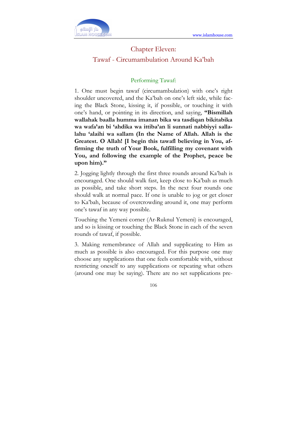

## Chapter Eleven: Tawaf - Circumambulation Around Ka'bah

### Performing Tawaf:

1. One must begin tawaf (circumambulation) with one's right shoulder uncovered, and the Ka'bah on one's left side, while facing the Black Stone, kissing it, if possible, or touching it with one's hand, or pointing in its direction, and saying, "Bismillah wallahak baalla humma imanan bika wa tasdiqan bikitabika wa wafa'an bi 'ahdika wa ittiba'an li sunnati nabbiyyi sallalahu 'alaihi wa sallam (In the Name of Allah. Allah is the Greatest. O Allah! [I begin this tawafl believing in You, affirming the truth of Your Book, fulfilling my covenant with You, and following the example of the Prophet, peace be upon him)."

2. Jogging lightly through the first three rounds around Ka'bah is encouraged. One should walk fast, keep close to Ka'bah as much as possible, and take short steps. In the next four rounds one should walk at normal pace. If one is unable to jog or get closer to Ka'bah, because of overcrowding around it, one may perform one's tawaf in any way possible.

Touching the Yemeni corner (Ar-Ruknul Yemeni) is encouraged, and so is kissing or touching the Black Stone in each of the seven rounds of tawaf, if possible.

3. Making remembrance of Allah and supplicating to Him as much as possible is also encouraged. For this purpose one may choose any supplications that one feels comfortable with, without restricting oneself to any supplications or repeating what others (around one may be saying). There are no set supplications pre-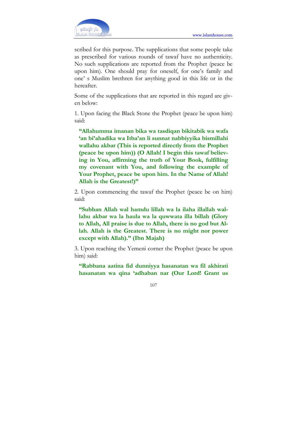scribed for this purpose. The supplications that some people take as prescribed for various rounds of tawaf have no authenticity. No such supplications are reported from the Prophet (peace be upon him). One should pray for oneself, for one's family and one' s Muslim brethren for anything good in this life or in the hereafter.

Some of the supplications that are reported in this regard are given below:

1. Upon facing the Black Stone the Prophet (peace be upon him) said:

"Allahumma imanan bika wa tasdiqan bikitabik wa wafa 'an bi'ahadika wa Itba'an li sunnat nabbiyyika bismillahi wallahu akbar (This is reported directly from the Prophet (peace be upon him)) (O Allah! I begin this tawaf believing in You, affirming the truth of Your Book, fulfilling my covenant with You, and following the example of Your Prophet, peace be upon him. In the Name of Allah! Allah is the Greatest!)"

2. Upon commencing the tawaf the Prophet (peace be on him) said:

"Subhan Allah wal hamdu lillah wa la ilaha illallah wallahu akbar wa la haula wa la quwwata illa billah (Glory to Allah, All praise is due to Allah, there is no god but Allah. Allah is the Greatest. There is no might nor power except with Allah)." (Ibn Majah)

3. Upon reaching the Yemeni corner the Prophet (peace be upon him) said:

"Rabbana aatina fid dunniyya hasanatan wa fil akhirati hasanatan wa qina 'adhaban nar (Our Lord! Grant us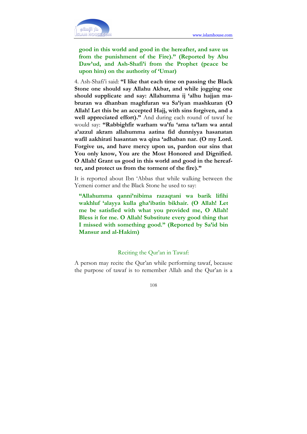

good in this world and good in the hereafter, and save us from the punishment of the Fire)." (Reported by Abu Daw'ud, and Ash-Shafi'i from the Prophet (peace be upon him) on the authority of 'Umar)

4. Ash-Shafi'i said: "I like that each time on passing the Black Stone one should say Allahu Akbar, and while jogging one should supplicate and say: Allahumma ij 'alhu hajjan mabruran wa dhanban maghfuran wa Sa'iyan mashkuran (O Allah! Let this be an accepted Hajj, with sins forgiven, and a well appreciated effort)." And during each round of tawaf he would say: "Rabbighfir warham wa'fu 'ama ta'lam wa antal a'azzul akram allahumma aatina fid dunniyya hasanatan wafil aakhirati hasantan wa qina 'adhaban nar. (O my Lord. Forgive us, and have mercy upon us, pardon our sins that You only know, You are the Most Honored and Dignified. O Allah! Grant us good in this world and good in the hereafter, and protect us from the torment of the fire)."

It is reported about Ibn 'Abbas that while walking between the Yemeni corner and the Black Stone he used to say:

"Allahumma qanni'nibima razaqtani wa barik lifihi wakhluf 'alayya kulla gha'ibatin bikhair. (O Allah! Let me be satisfied with what you provided me, O Allah! Bless it for me. O Allah! Substitute every good thing that I missed with something good." (Reported by Sa'id bin Mansur and al-Hakim)

#### Reciting the Qur'an in Tawaf:

A person may recite the Qur'an while performing tawaf, because the purpose of tawaf is to remember Allah and the Qur'an is a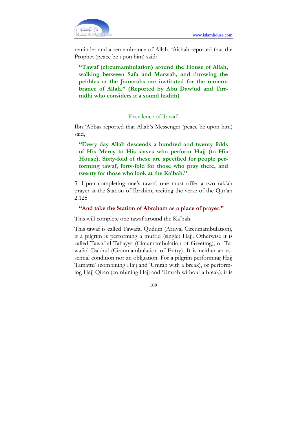

reminder and a remembrance of Allah. 'Aishah reported that the Prophet (peace be upon him) said:

"Tawaf (circumambulation) around the House of Allah, walking between Safa and Marwah, and throwing the pebbles at the Jamarahs are instituted for the remembrance of Allah." (Reported by Abu Daw'ud and Tirrnidhi who considers it a sound hadith)

#### Excellence of Tawaf:

Ibn 'Abbas reported that Allah's Messenger (peace be upon him) said,

"Every day Allah descends a hundred and twenty folds of His Mercy to His slaves who perform Hajj (to His House). Sixty-fold of these are specified for people performing tawaf, forty-fold for those who pray there, and twenty for those who look at the Ka'bah."

5. Upon completing one's tawaf, one must offer a two rak'ah prayer at the Station of Ibrahim, reciting the verse of the Qur'an 2.125

#### "And take the Station of Abraham as a place of prayer."

This will complete one tawaf around the Ka'bah.

This tawaf is called Tawafal Qudum (Arrival Circumambulation), if a pilgrim is performing a mufrid (single) Hajj. Otherwise it is called Tawaf al Tahayya (Circumambulation of Greeting), or Tawafad Dakhul (Circumambulation of Entry). It is neither an essential condition nor an obligation. For a pilgrim performing Hajj Tamattu' (combining Hajj and 'Umrah with a break), or performing Hajj Qiran (combining Hajj and 'Umrah without a break), it is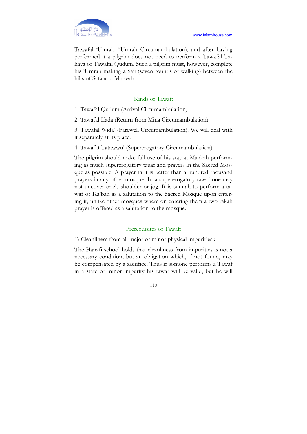

Tawafal 'Umrah ('Umrah Circumambulation), and after having performed it a pilgrim does not need to perform a Tawafal Tahaya or Tawafal Qudum. Such a pilgrim must, however, complete his 'Umrah making a Sa'i (seven rounds of walking) between the hills of Safa and Marwah.

### Kinds of Tawaf:

- 1. Tawafal Qudum (Arrival Circumambulation).
- 2. Tawafal Ifada (Return from Mina Circumambulation).

3. Tawafal Wida' (Farewell Circumambulation). We will deal with it separately at its place.

4. Tawafat Tatawwu' (Supererogatory Circumambulation).

The pilgrim should make full use of his stay at Makkah performing as much supererogatory tauaf and prayers in the Sacred Mosque as possible. A prayer in it is better than a hundred thousand prayers in any other mosque. In a supererogatory tawaf one may not uncover one's shoulder or jog. It is sunnah to perform a tawaf of Ka'bah as a salutation to the Sacred Mosque upon entering it, unlike other mosques where on entering them a two rakah prayer is offered as a salutation to the mosque.

### Prerequisites of Tawaf:

### 1) Cleanliness from all major or minor physical impurities.:

The Hanafi school holds that cleanliness from impurities is not a necessary condition, but an obligation which, if not found, may be compensated by a sacrifice. Thus if somone performs a Tawaf in a state of minor impurity his tawaf will be valid, but he will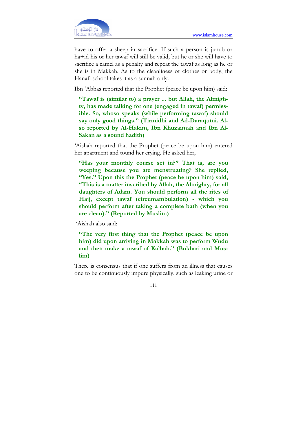

have to offer a sheep in sacrifice. If such a person is junub or ha+id his or her tawaf will still be valid, but he or she will have to sacrifice a camel as a penalty and repeat the tawaf as long as he or she is in Makkah. As to the cleanliness of clothes or body, the Hanafi school takes it as a sunnah only.

Ibn 'Abbas reported that the Prophet (peace be upon him) said:

"Tawaf is (similar to) a prayer ... but Allah, the Almighty, has made talking for one (engaged in tawaf) permissible. So, whoso speaks (while performing tawaf) should say only good things." (Tirmidhi and Ad-Daraqutni. Also reported by Al-Hakim, Ibn Khuzaimah and Ibn Al-Sakan as a sound hadith)

'Aishah reported that the Prophet (peace be upon him) entered her apartment and tound her crying. He asked her,

"Has your monthly course set in?" That is, are you weeping because you are menstruating? She replied, "Yes." Upon this the Prophet (peace be upon him) said, "This is a matter inscribed by Allah, the Almighty, for all daughters of Adam. You should perform all the rites of Hajj, except tawaf (circumambulation) - which you should perform after taking a complete bath (when you are clean)." (Reported by Muslim)

'Aishah also said:

"The very first thing that the Prophet (peace be upon him) did upon arriving in Makkah was to perform Wudu and then make a tawaf of Ka'bah." (Bukhari and Muslim)

There is consensus that if one suffers from an illness that causes one to be continuously impure physically, such as leaking urine or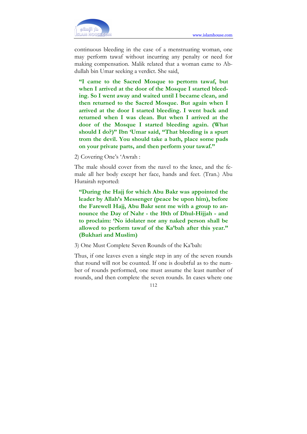

continuous bleeding in the case of a menstruating woman, one may perform tawaf without incurring any penalty or need for making compensation. Malik related that a woman came to Abdullah bin Umar seeking a verdict. She said,

"I came to the Sacred Mosque to pertorm tawaf, but when I arrived at the door of the Mosque I started bleeding. So I went away and waited until I became clean, and then returned to the Sacred Mosque. But again when I arrived at the door I started bleeding. I went back and returned when I was clean. But when I arrived at the door of the Mosque I started bleeding again. (What should I do?)" Ibn 'Umar said, "That bleeding is a spurt trom the devil. You should take a bath, place some pads on your private parts, and then perform your tawaf."

2) Covering One's 'Awrah :

The male should cover from the navel to the knee, and the female all her body except her face, hands and feet. (Tran.) Abu Hurairah reported:

"During the Hajj for which Abu Bakr was appointed the leader by Allah's Messenger (peace be upon him), before the Farewell Hajj, Abu Bakr sent me with a group to announce the Day of Nahr - the 10th of Dhul-Hijjah - and to proclaim: 'No idolater nor any naked person shall be allowed to perform tawaf of the Ka'bah after this year." (Bukhari and Muslim)

3) One Must Complete Seven Rounds of the Ka'bah:

Thus, if one leaves even a single step in any of the seven rounds that round will not be counted. If one is doubtful as to the number of rounds performed, one must assume the least number of rounds, and then complete the seven rounds. In cases where one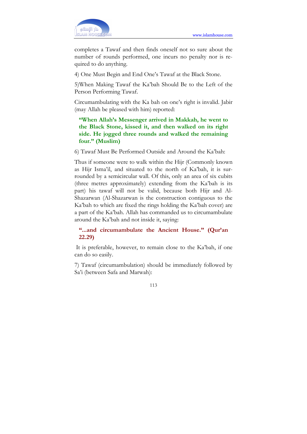

completes a Tawaf and then finds oneself not so sure about the number of rounds performed, one incurs no penalty nor is required to do anything.

4) One Must Begin and End One's Tawaf at the Black Stone.

5)When Making Tawaf the Ka'bah Should Be to the Left of the Person Performing Tawaf.

Circumambulating with the Ka bah on one's right is invalid. Jabir (may Allah be pleased with him) reported:

"When Allah's Messenger arrived in Makkah, he went to the Black Stone, kissed it, and then walked on its right side. He jogged three rounds and walked the remaining four." (Muslim)

6) Tawaf Must Be Performed Outside and Around the Ka'bah:

Thus if someone were to walk within the Hijr (Commonly known as Hijr Isma'il, and situated to the north of Ka'bah, it is surrounded by a semicircular wall. Of this, only an area of six cubits (three metres approximately) extending from the Ka'bah is its part) his tawaf will not be valid, because both Hijr and Al-Shazarwan (Al-Shazarwan is the construction contiguous to the Ka'bah to which are fixed the rings holding the Ka'bah cover) are a part of the Ka'bah. Allah has commanded us to circumambulate around the Ka'bah and not inside it, saying:

"...and circumambulate the Ancient House." (Qur'an 22.29)

 It is preferable, however, to remain close to the Ka'bah, if one can do so easily.

7) Tawaf (circumambulation) should be immediately followed by Sa'i (between Safa and Marwah):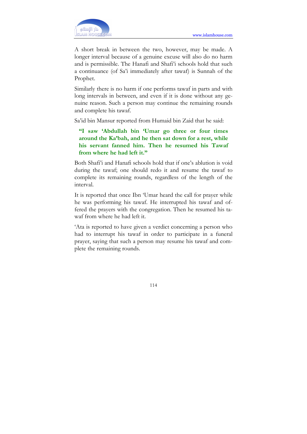

A short break in between the two, however, may be made. A longer interval because of a genuine excuse will also do no harm and is permissible. The Hanafi and Shafi'i schools hold that such a continuance (of Sa'i immediately after tawaf) is Sunnah of the Prophet.

Similarly there is no harm if one performs tawaf in parts and with long intervals in between, and even if it is done without any genuine reason. Such a person may continue the remaining rounds and complete his tawaf.

Sa'id bin Mansur reported from Humaid bin Zaid that he said:

"I saw 'Abdullah bin 'Umar go three or four times around the Ka'bah, and he then sat down for a rest, while his servant fanned him. Then he resumed his Tawaf from where he had left it."

Both Shafi'i and Hanafi schools hold that if one's ablution is void during the tawaf; one should redo it and resume the tawaf to complete its remaining rounds, regardless of the length of the interval.

It is reported that once Ibn 'Umar heard the call for prayer while he was performing his tawaf. He interrupted his tawaf and offered the prayers with the congregation. Then he resumed his tawaf from where he had left it.

'Ata is reported to have given a verdict concerning a person who had to interrupt his tawaf in order to participate in a funeral prayer, saying that such a person may resume his tawaf and complete the remaining rounds.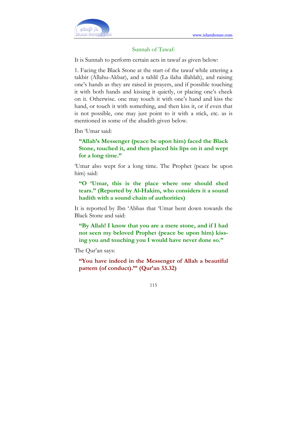

### Sunnah of Tawaf:

It is Sunnah to perform certain acts in tawaf as given below:

1. Facing the Black Stone at the start of the tawaf while uttering a takbir (Allahu-Akbar), and a tahlil (La ilaha illahlah), and raising one's hands as they are raised in prayers, and if possible touching it with both hands and kissing it quietly, or placing one's cheek on it. Otherwise. one may touch it with one's hand and kiss the hand, or touch it with something, and then kiss it, or if even that is not possible, one may just point to it with a stick, etc. as is mentioned in some of the ahadith given below.

Ibn 'Umar said:

### "Allah's Messenger (peace be upon him) faced the Black Stone, touched it, and then placed his lips on it and wept for a long time."

'Umar also wept for a long time. The Prophet (peace be upon him) said:

"O 'Umar, this is the place where one should shed tears." (Reported by Al-Hakim, who considers it a sound hadith with a sound chain of authorities)

It is reported by Ibn 'Abbas that 'Umar bent down towards the Black Stone and said:

"By Allah! I know that you are a mere stone, and if I had not seen my beloved Prophet (peace be upon him) kissing you and touching you I would have never done so."

The Qur'an says:

"You have indeed in the Messenger of Allah a beautiful pattern (of conduct)."" (Qur'an 33.32)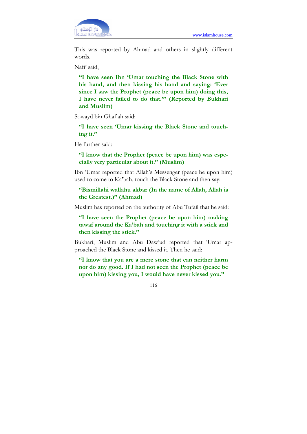

This was reported by Ahmad and others in slightly different words.

Nafi' said,

"I have seen Ibn 'Umar touching the Black Stone with his hand, and then kissing his hand and saying: 'Ever since I saw the Prophet (peace be upon him) doing this, I have never failed to do that.'" (Reported by Bukhari and Muslim)

Sowayd bin Ghaflah said:

"I have seen 'Umar kissing the Black Stone and touching it."

He further said:

"I know that the Prophet (peace be upon him) was especially very particular about it." (Muslim)

Ibn 'Umar reported that Allah's Messenger (peace be upon him) used to come to Ka'bah, touch the Black Stone and then say:

"Bismillahi wallahu akbar (In the name of Allah, Allah is the Greatest.)" (Ahmad)

Muslim has reported on the authority of Abu Tufail that he said:

"I have seen the Prophet (peace be upon him) making tawaf around the Ka'bah and touching it with a stick and then kissing the stick."

Bukhari, Muslim and Abu Daw'ud reported that 'Umar approached the Black Stone and kissed it. Then he said:

"I know that you are a mere stone that can neither harm nor do any good. If I had not seen the Prophet (peace be upon him) kissing you, I would have never kissed you."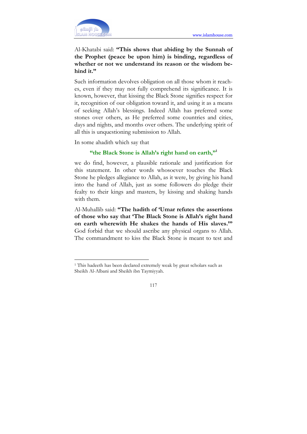

Al-Khatabi said: "This shows that abiding by the Sunnah of the Prophet (peace be upon him) is binding, regardless of whether or not we understand its reason or the wisdom behind it."

Such information devolves obligation on all those whom it reaches, even if they may not fully comprehend its significance. It is known, however, that kissing the Black Stone signifies respect for it, recognition of our obligation toward it, and using it as a means of seeking Allah's blessings. Indeed Allah has preferred some stones over others, as He preferred some countries and cities, days and nights, and months over others. The underlying spirit of all this is unquestioning submission to Allah.

In some ahadith which say that

 $\overline{a}$ 

# "the Black Stone is Allah's right hand on earth,"<sup>1</sup>

we do find, however, a plausible rationale and justification for this statement. In other words whosoever touches the Black Stone he pledges allegiance to Allah, as it were, by giving his hand into the hand of Allah, just as some followers do pledge their fealty to their kings and masters, by kissing and shaking hands with them.

Al-Muhallib said: "The hadith of 'Umar refutes the assertions of those who say that 'The Black Stone is Allah's right hand on earth wherewith He shakes the hands of His slaves.'" God forbid that we should ascribe any physical organs to Allah. The commandment to kiss the Black Stone is meant to test and

<sup>&</sup>lt;sup>1</sup> This hadeeth has been declared extremely weak by great scholars such as Sheikh Al-Albani and Sheikh ibn Taymiyyah.

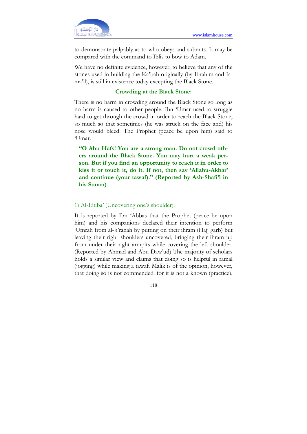

to demonstrate palpably as to who obeys and submits. It may be compared with the command to Iblis to bow to Adam.

We have no definite evidence, however, to believe that any of the stones used in building the Ka'bah originally (by Ibrahim and Isma'il), is still in existence today excepting the Black Stone.

### Crowding at the Black Stone:

There is no harm in crowding around the Black Stone so long as no harm is caused to other people. Ibn 'Umar used to struggle hard to get through the crowd in order to reach the Black Stone, so much so that sometimes (he was struck on the face and) his nose would bleed. The Prophet (peace be upon him) said to 'Umar:

"O Abu Hafs! You are a strong man. Do not crowd others around the Black Stone. You may hurt a weak person. But if you find an opportunity to reach it in order to kiss it or touch it, do it. If not, then say 'Allahu-Akbar' and continue (your tawaf)." (Reported by Ash-Shafi'l in his Sunan)

### 1) Al-Idtiba' (Uncovering one's shoulder):

It is reported by Ibn 'Abbas that the Prophet (peace be upon him) and his companions declared their intention to perform 'Umrah from al-Ji'ranah by putting on their ihram (Hajj garb) but leaving their right shoulders uncovered, bringing their ihram up from under their right armpits while covering the left shoulder. (Reported by Ahmad and Abu Daw'ud) The majority of scholars holds a similar view and claims that doing so is helpful in ramal (jogging) while making a tawaf. Malik is of the opinion, however, that doing so is not commended. for it is not a known (practice),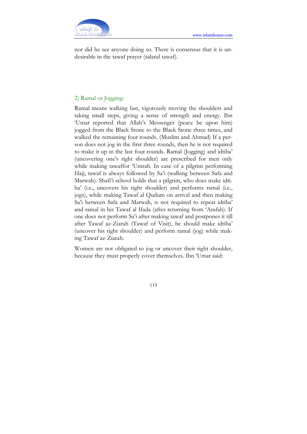

nor did he see anyone doing so. There is consensus that it is undesirable in the tawaf prayer (salatul tawaf).

### 2) Ramal or Jogging:

Ramal means walking fast, vigorously moving the shoulders and taking small steps, giving a sense of strength and energy. Ibn 'Umar reported that Allah's Messenger (peace be upon him) jogged from the Black Stone to the Black Stone three times, and walked the remaining four rounds. (Muslim and Ahmad) If a person does not jog in the first three rounds, then he is not required to make it up in the last four rounds. Ramal (Jogging) and idtiba' (uncovering one's right shoulder) are prescribed for men only while making tawaffor 'Umrah. In case of a pilgrim performing Hajj, tawaf is always followed by Sa'i (walking between Safa and Marwah). Shafi'i school holds that a pilgrim, who does make idtiba' (i.e., uncovers his right shoulder) and performs ramal (i.e., jogs), while making Tawaf al Qudum on arrival and then making Sa'i between Safa and Marwah, is not required to repeat idtiba' and ramal in his Tawaf al Ifada (after returning from 'Arafah). If one does not perform Sa'i after making tawaf and postpones it till after Tawaf az-Ziarah (Tawaf of Visit), he should make idtiba' (uncover his right shoulder) and perform ramal (jog) while making Tawaf az-Ziarah.

Women are not obligated to jog or uncover their right shoulder, because they must properly cover themselves. Ibn 'Umar said: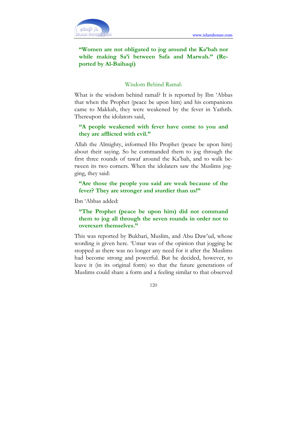

# "Women are not obligated to jog around the Ka'bah nor while making Sa'i between Safa and Marwah." (Reported by Al-Baihaqi)

### Wisdom Behind Ramal:

What is the wisdom behind ramal? It is reported by Ibn 'Abbas that when the Prophet (peace be upon him) and his companions came to Makkah, they were weakened by the fever in Yathrib. Thereupon the idolators said,

# "A people weakened with fever have come to you and they are afflicted with evil."

Allah the Almighty, informed His Prophet (peace be upon him) about their saying. So he commanded them to jog through the first three rounds of tawaf around the Ka'bah, and to walk between its two corners. When the idolaters saw the Muslims jogging, they said:

"Are those the people you said are weak because of the fever? They are stronger and sturdier than us!"

Ibn 'Abbas added:

"The Prophet (peace be upon him) did not command them to jog all through the seven rounds in order not to overexert themselves."

This was reported by Bukhari, Muslim, and Abu Daw'ud, whose wording is given here. 'Umar was of the opinion that jogging be stopped as there was no longer any need for it after the Muslims had become strong and powerful. But he decided, however, to leave it (in its original form) so that the future generations of Muslims could share a form and a feeling similar to that observed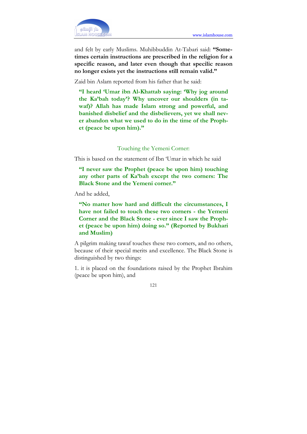

and felt by early Muslims. Muhibbuddin At-Tabari said: "Sometimes certain instructions are prescribed in the religion for a specific reason, and later even though that specilic reason no longer exists yet the instructions still remain valid."

Zaid bin Aslam reported from his father that he said:

"I heard 'Umar ibn Al-Khattab saying: 'Why jog around the Ka'bah today'? Why uncover our shoulders (in tawaf)? Allah has made Islam strong and powerful, and banished disbelief and the disbelievers, yet we shall never abandon what we used to do in the time of the Prophet (peace be upon him)."

### Touching the Yemeni Corner:

This is based on the statement of Ibn 'Umar in which he said

"I never saw the Prophet (peace be upon him) touching any other parts of Ka'bah except the two corners: The Black Stone and the Yemeni corner."

And he added,

"No matter how hard and difficult the circumstances, I have not failed to touch these two corners - the Yemeni Corner and the Black Stone - ever since I saw the Prophet (peace be upon him) doing so." (Reported by Bukhari and Muslim)

A pilgrim making tawaf touches these two corners, and no others, because of their special merits and excellence. The Black Stone is distinguished by two things:

1. it is placed on the foundations raised by the Prophet Ibrahim (peace be upon him), and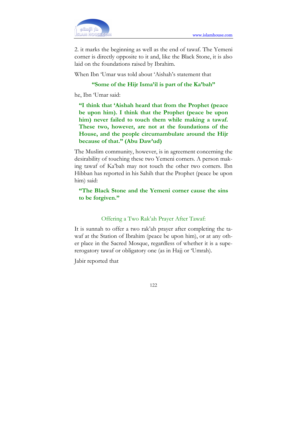

2. it marks the beginning as well as the end of tawaf. The Yemeni corner is directly opposite to it and, like the Black Stone, it is also laid on the foundations raised by Ibrahim.

When Ibn 'Umar was told about 'Aishah's statement that

#### "Some of the Hijr Isma'il is part of the Ka'bah"

he, Ibn 'Umar said:

"I think that 'Aishah heard that from the Prophet (peace be upon him). I think that the Prophet (peace be upon him) never failed to touch them while making a tawaf. These two, however, are not at the foundations of the House, and the people circumambulate around the Hijr because of that." (Abu Daw'ud)

The Muslim community, however, is in agreement concerning the desirability of touching these two Yemeni corners. A person making tawaf of Ka'bah may not touch the other two corners. Ibn Hibban has reported in his Sahih that the Prophet (peace be upon him) said:

"The Black Stone and the Yemeni corner cause the sins to be forgiven."

#### Offering a Two Rak'ah Prayer After Tawaf:

It is sunnah to offer a two rak'ah prayer after completing the tawaf at the Station of Ibrahim (peace be upon him), or at any other place in the Sacred Mosque, regardless of whether it is a supererogatory tawaf or obligatory one (as in Hajj or 'Umrah).

Jabir reported that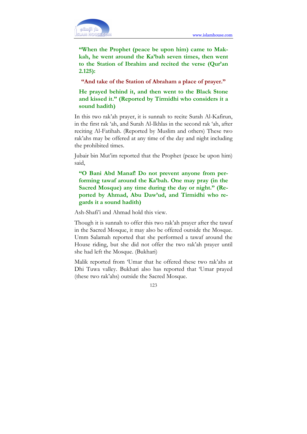

"When the Prophet (peace be upon him) came to Makkah, he went around the Ka'bah seven times, then went to the Station of Ibrahim and recited the verse (Qur'an 2.125):

"And take of the Station of Abraham a place of prayer."

He prayed behind it, and then went to the Black Stone and kissed it." (Reported by Tirmidhi who considers it a sound hadith)

In this two rak'ah prayer, it is sunnah to recite Surah Al-Kafirun, in the first rak 'ah, and Surah Al-Ikhlas in the second rak 'ah, after reciting Al-Fatihah. (Reported by Muslim and others) These two rak'ahs may be offered at any time of the day and night including the prohibited times.

Jubair bin Mut'im reported that the Prophet (peace be upon him) said,

"O Bani Abd Manaf! Do not prevent anyone from performing tawaf around the Ka'bah. One may pray (in the Sacred Mosque) any time during the day or night." (Reported by Ahmad, Abu Daw'ud, and Tirmidhi who regards it a sound hadith)

Ash-Shafi'i and Ahmad hold this view.

Though it is sunnah to offer this two rak'ah prayer after the tawaf in the Sacred Mosque, it may also be offered outside the Mosque. Umm Salamah reported that she performed a tawaf around the House riding, but she did not offer the two rak'ah prayer until she had left the Mosque. (Bukhari)

Malik reported from 'Umar that he offered these two rak'ahs at Dhi Tuwa valley. Bukhari also has reported that 'Umar prayed (these two rak'ahs) outside the Sacred Mosque.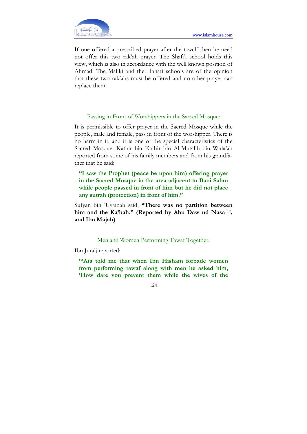If one offered a prescribed prayer after the tawclf then he need not offer this two rak'ah prayer. The Shafi'i school holds this view, which is also in accordance with the well known position of Ahmad. The Maliki and the Hanafi schools are of the opinion that these two rak'ahs must be offered and no other prayer can replace them.

### Passing in Front of Worshippers in the Sacred Mosque:

It is permissible to offer prayer in the Sacred Mosque while the people, male and female, pass in front of the worshipper. There is no harm in it, and it is one of the special characteristics of the Sacred Mosque. Kathir bin Kathir bin Al-Mutalib bin Wida'ah reported from some of his family members and from his grandfather that he said:

"I saw the Prophet (peace be upon him) offering prayer in the Sacred Mosque in the area adjacent to Bani Sahm while people passed in front of him but he did not place any sutrah (protection) in front of him."

Sufyan bin 'Uyainah said, "There was no partition between him and the Ka'bah." (Reported by Abu Daw ud Nasa+i, and Ibn Majah)

### Men and Women Performing Tawaf Together:

Ibn Juraij reported:

""Ata told me that when Ibn Hisham forbade women from performing tawaf along with men he asked him, 'How dare you prevent them while the wives of the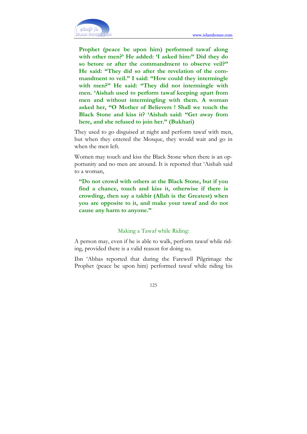

Prophet (peace be upon him) performed tawaf along with other men?' He added: 'I asked him:" Did they do so betore or after the commandment to observe veil?" He said: "They did so after the revelation of the commandment to veil." I said: "How could they intermingle with men?" He said: "They did not intermingle with men. 'Aishah used to perform tawaf keeping apart from men and without intermingling with them. A woman asked her, "O Mother of Believers ! Shall we touch the Black Stone and kiss it? 'Aishah said: "Get away from here, and she refused to join her." (Bukhari)

They used to go disguised at night and perform tawaf with men, but when they entered the Mosque, they would wait and go in when the men left.

Women may touch and kiss the Black Stone when there is an opportunity and no men are around. It is reported that 'Aishah said to a woman,

"Do not crowd with others at the Black Stone, but if you find a chance, touch and kiss it, otherwise if there is crowding, then say a takbir (Allah is the Greatest) when you are opposite to it, and make your tawaf and do not cause any harm to anyone."

#### Making a Tawaf while Riding:

A person may, even if he is able to walk, perform tawaf while riding, provided there is a valid reason for doing so.

Ibn 'Abbas reported that during the Farewell Pilgrimage the Prophet (peace be upon him) performed tawaf while riding his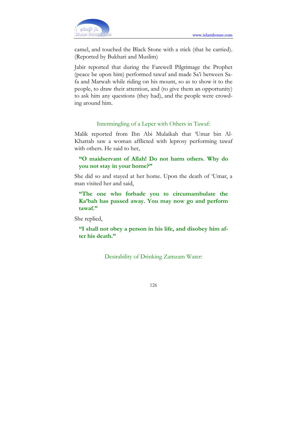

camel, and touched the Black Stone with a stick (that he carried). (Reported by Bukhari and Muslim)

Jabir reported that during the Farewell Pilgrimage the Prophet (peace be upon him) performed tawaf and made Sa'i between Safa and Marwah while riding on his mount, so as to show it to the people, to draw their attention, and (to give them an opportunity) to ask him any questions (they had), and the people were crowding around him.

#### Intermingling of a Leper with Others in Tawaf:

Malik reported from Ibn Abi Mulaikah that 'Umar bin Al-Khattab saw a woman afflicted with leprosy performing tawaf with others. He said to her,

### "O maidservant of Allah! Do not harm others. Why do you not stay in your home?"

She did so and stayed at her home. Upon the death of 'Umar, a man visited her and said,

"The one who forbade you to circumambulate the Ka'bah has passed away. You may now go and perform tawaf."

She replied,

"I shall not obey a person in his life, and disobey him after his death."

Desirability of Drinking Zamzam Water: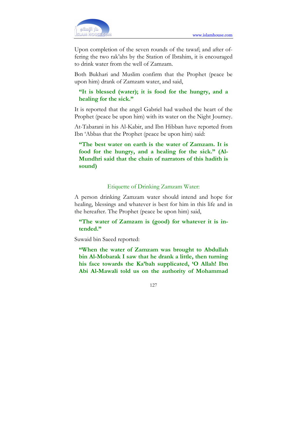

Upon completion of the seven rounds of the tawaf; and after offering the two rak'ahs by the Station of Ibrahim, it is encouraged to drink water from the well of Zamzam.

Both Bukhari and Muslim confirm that the Prophet (peace be upon him) drank of Zamzam water, and said,

### "It is blessed (water); it is food for the hungry, and a healing for the sick."

It is reported that the angel Gabriel had washed the heart of the Prophet (peace be upon him) with its water on the Night Journey.

At-Tabarani in his Al-Kabir, and Ibn Hibban have reported from Ibn 'Abbas that the Prophet (peace be upon him) said:

"The best water on earth is the water of Zamzam. It is food for the hungry, and a healing for the sick." (Al-Mundhri said that the chain of narrators of this hadith is sound)

### Etiquette of Drinking Zamzam Water:

A person drinking Zamzam water should intend and hope for healing, blessings and whatever is best for him in this life and in the hereafter. The Prophet (peace be upon him) said,

"The water of Zamzam is (good) for whatever it is intended."

Suwaid bin Saeed reported:

"When the water of Zamzam was brought to Abdullah bin Al-Mobarak I saw that he drank a little, then turning his face towards the Ka'bah supplicated, 'O Allah! Ibn Abi Al-Mawali told us on the authority of Mohammad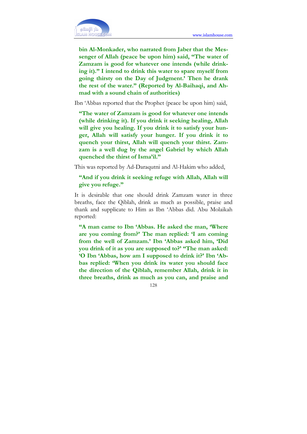

bin Al-Monkader, who narrated from Jaber that the Messenger of Allah (peace be upon him) said, "The water of Zamzam is good for whatever one intends (while drinking it)." I intend to drink this water to spare myself from going thirsty on the Day of Judgment.' Then he drank the rest of the water." (Reported by Al-Baihaqi, and Ahmad with a sound chain of authorities)

Ibn 'Abbas reported that the Prophet (peace be upon him) said,

"The water of Zamzam is good for whatever one intends (while drinking it). If you drink it seeking healing, Allah will give you healing. If you drink it to satisfy your hunger, Allah will satisfy your hunger. If you drink it to quench your thirst, Allah will quench your thirst. Zamzam is a well dug by the angel Gabriel by which Allah quenched the thirst of Isma'il."

This was reported by Ad-Daraqutni and Al-Hakim who added,

# "And if you drink it seeking refuge with Allah, Allah will give you refuge."

It is desirable that one should drink Zamzam water in three breaths, face the Qiblah, drink as much as possible, praise and thank and supplicate to Him as Ibn 'Abbas did. Abu Molaikah reported:

"A man came to Ibn 'Abbas. He asked the man, 'Where are you coming from?' The man replied: 'I am coming from the well of Zamzam.' Ibn 'Abbas asked him, 'Did you drink of it as you are supposed to?' "The man asked: 'O Ibn 'Abbas, how am I supposed to drink it?' Ibn 'Abbas replied: 'When you drink its water you should face the direction of the Qiblah, remember Allah, drink it in three breaths, drink as much as you can, and praise and

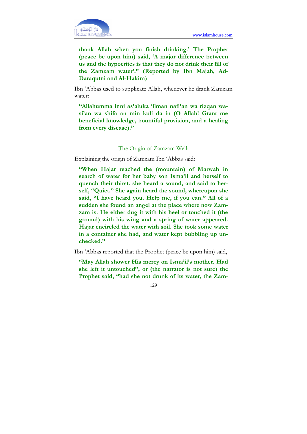thank Allah when you finish drinking.' The Prophet (peace be upon him) said, 'A major difference between us and the hypocrites is that they do not drink their fill of the Zamzam water'." (Reported by Ibn Majah, Ad-Daraqutni and Al-Hakim)

Ibn 'Abbas used to supplicate Allah, whenever he drank Zamzam water:

"Allahumma inni as'aluka 'ilman nafi'an wa rizqan wasi'an wa shifa an min kuli da in (O Allah! Grant me beneficial knowledge, bountiful provision, and a healing from every disease)."

### The Origin of Zamzam Well:

Explaining the origin of Zamzam Ibn 'Abbas said:

"When Hajar reached the (mountain) of Marwah in search of water for her baby son Isma'il and herself to quench their thirst. she heard a sound, and said to herself, "Quiet." She again heard the sound, whereupon she said, "I have heard you. Help me, if you can." All of a sudden she found an angel at the place where now Zamzam is. He either dug it with his heel or touched it (the ground) with his wing and a spring of water appeared. Hajar encircled the water with soil. She took some water in a container she had, and water kept bubbling up unchecked."

Ibn 'Abbas reported that the Prophet (peace be upon him) said,

"May Allah shower His mercy on Isma'il's mother. Had she left it untouched", or (the narrator is not sure) the Prophet said, "had she not drunk of its water, the Zam-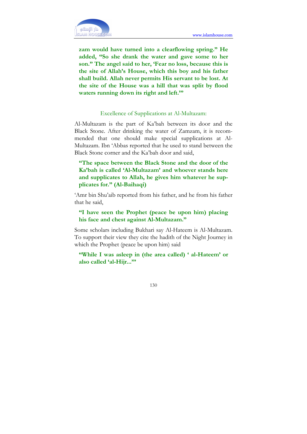

zam would have turned into a clearflowing spring." He added, "So she drank the water and gave some to her son." The angel said to her, 'Fear no loss, because this is the site of Allah's House, which this boy and his father shall build. Allah never permits His servant to be lost. At the site of the House was a hill that was split by flood waters running down its right and left."

### Excellence of Supplications at Al-Multazam:

Al-Multazam is the part of Ka'bah between its door and the Black Stone. After drinking the water of Zamzam, it is recommended that one should make special supplications at Al-Multazam. Ibn 'Abbas reported that he used to stand between the Black Stone corner and the Ka'bah door and said,

"The space between the Black Stone and the door of the Ka'bah is called 'Al-Multazam' and whoever stands here and supplicates to Allah, he gives him whatever he supplicates for." (Al-Baihaqi)

'Amr bin Shu'aib reported from his father, and he from his father that he said,

### "I have seen the Prophet (peace be upon him) placing his face and chest against Al-Multazam."

Some scholars including Bukhari say Al-Hateem is Al-Multazam. To support their view they cite the hadith of the Night Journey in which the Prophet (peace be upon him) said

### "While I was asleep in (the area called) ' al-Hateem' or also called 'al-Hijr...'"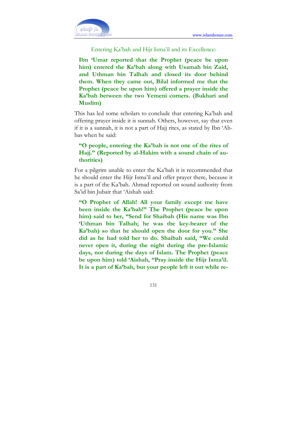

Entering Ka'bah and Hijr Isma'il and its Excellence:

Ibn 'Umar reported that the Prophet (peace be upon him) entered the Ka'bah along with Usamah bin Zaid, and Uthman bin Talhah and closed its door behind them. When they came out, Bilal informed me that the Prophet (peace be upon him) offered a prayer inside the Ka'bah between the two Yemeni corners. (Bukhari and Muslim)

This has led some scholars to conclude that entering Ka'bah and offering prayer inside it is sunnah. Others, however, say that even if it is a sunnah, it is not a part of Hajj rites, as stated by Ibn 'Abbas when he said:

# "O people, entering the Ka'bah is not one of the rites of Hajj." (Reported by al-Hakim with a sound chain of authorities)

For a pilgrim unable to enter the Ka'bah it is recommended that he should enter the Hijr Isma'il and offer prayer there, because it is a part of the Ka'bah. Ahmad reported on sound authority from Sa'id bin Jubair that 'Aishah said:

"O Prophet of Allah! All your family except me have been inside the Ka'bah!" The Prophet (peace be upon him) said to her, "Send for Shaibah (His name was Ibn 'Uthman bin Talhah; he was tbe key-bearer of the Ka'bah) so that he should open the door for you." She did as he had told her to do. Shaibah said, "We could never open it, during the night during the pre-Islamic days, nor during the days of Islam. The Prophet (peace be upon him) told 'Aishah, "Pray inside the Hijr Isma'il. It is a part of Ka'bah, but your people left it out while re-

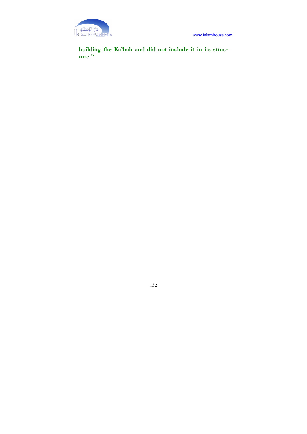

building the Ka'bah and did not include it in its structure."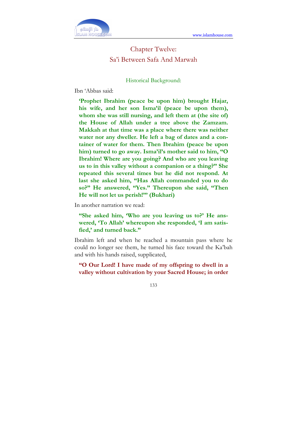

# Chapter Twelve: Sa'i Between Safa And Marwah

Historical Background:

Ibn 'Abbas said:

'Prophet Ibrahim (peace be upon him) brought Hajar, his wife, and her son Isma'il (peace be upon them), whom she was still nursing, and left them at (the site of) the House of Allah under a tree above the Zamzam. Makkah at that time was a place where there was neither water nor any dweller. He left a bag of dates and a container of water for them. Then Ibrahim (peace be upon him) turned to go away. Isma'il's mother said to him, "O Ibrahim! Where are you going? And who are you leaving us to in this valley without a companion or a thing?" She repeated this several times but he did not respond. At last she asked him, "Has Allah commanded you to do so?" He answered, "Yes." Thereupon she said, "Then He will not let us perish!"' (Bukhari)

In another narration we read:

"She asked him, 'Who are you leaving us to?' He answered, 'To Allah' whereupon she responded, 'I am satisfied,' and turned back."

Ibrahim left and when he reached a mountain pass where he could no longer see them, he turned his face toward the Ka'bah and with his hands raised, supplicated,

"O Our Lord! I have made of my offspring to dwell in a valley without cultivation by your Sacred House; in order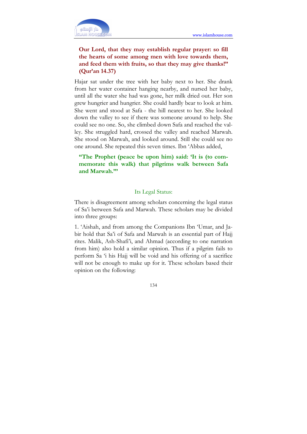

# Our Lord, that they may establish regular prayer: so fill the hearts of some among men with love towards them, and feed them with fruits, so that they may give thanks!" (Qur'an 14.37)

Hajar sat under the tree with her baby next to her. She drank from her water container hanging nearby, and nursed her baby, until all the water she had was gone, her milk dried out. Her son grew hungrier and hungrier. She could hardly bear to look at him. She went and stood at Safa - the hill nearest to her. She looked down the valley to see if there was someone around to help. She could see no one. So, she climbed down Safa and reached the valley. She struggled hard, crossed the valley and reached Marwah. She stood on Marwah, and looked around. Still she could see no one around. She repeated this seven times. Ibn 'Abbas added,

# "The Prophet (peace be upon him) said: 'It is (to commemorate this walk) that pilgrims walk between Safa and Marwah."'

### Its Legal Status:

There is disagreement among scholars concerning the legal status of Sa'i between Safa and Marwah. These scholars may be divided into three groups:

1. 'Aishah, and from among the Companions Ibn 'Umar, and Jabir hold that Sa'i of Safa and Marwah is an essential part of Hajj rites. Malik, Ash-Shafi'i, and Ahmad (according to one narration from him) also hold a similar opinion. Thus if a pilgrim fails to perform Sa 'i his Hajj will be void and his offering of a sacrifice will not be enough to make up for it. These scholars based their opinion on the following: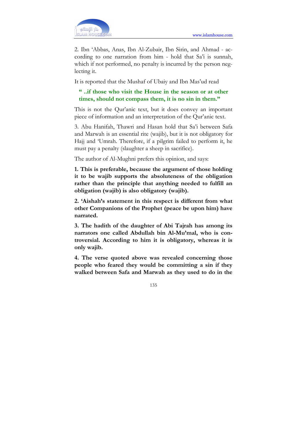

2. Ibn 'Abbas, Anas, Ibn Al-Zubair, Ibn Sirin, and Ahmad - according to one narration from him - hold that Sa'i is sunnah, which if not performed, no penalty is incurred by the person neglecting it.

It is reported that the Mushaf of Ubaiy and Ibn Mas'ud read

### " ..if those who visit the House in the season or at other times, should not compass them, it is no sin in them."

This is not the Qur'anic text, but it does convey an important piece of information and an interpretation of the Qur'anic text.

3. Abu Hanifah, Thawri and Hasan hold that Sa'i between Safa and Marwah is an essential rite (wajib), but it is not obligatory for Hajj and 'Umrah. Therefore, if a pilgrim failed to perform it, he must pay a penalty (slaughter a sheep in sacrifice).

The author of Al-Mughni prefers this opinion, and says:

1. This is preferable, because the argument of those holding it to be wajib supports the absoluteness of the obligation rather than the principle that anything needed to fulfill an obligation (wajib) is also obligatory (wajib).

2. 'Aishah's statement in this respect is different from what other Companions of the Prophet (peace be upon him) have narrated.

3. The hadith of the daughter of Abi Tajrah has among its narrators one called Abdullah bin Al-Mu'mal, who is controversial. According to him it is obligatory, whereas it is only wajib.

4. The verse quoted above was revealed concerning those people who feared they would be committing a sin if they walked between Safa and Marwah as they used to do in the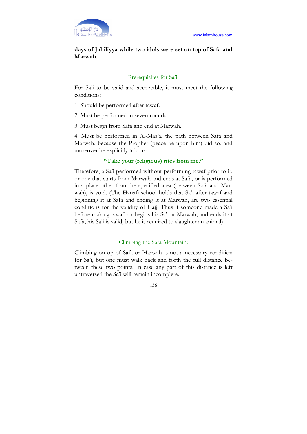

# days of Jahiliyya while two idols were set on top of Safa and Marwah.

### Prerequisites for Sa'i:

For Sa'i to be valid and acceptable, it must meet the following conditions:

- 1. Should be performed after tawaf.
- 2. Must be performed in seven rounds.
- 3. Must begin from Safa and end at Marwah.

4. Must be performed in Al-Mas'a, the path between Safa and Marwah, because the Prophet (peace be upon him) did so, and moreover he explicitly told us:

### "Take your (religious) rites from me."

Therefore, a Sa'i performed without performing tawaf prior to it, or one that starts from Marwah and ends at Safa, or is performed in a place other than the specified area (between Safa and Marwah), is void. (The Hanafi school holds that Sa'i after tawaf and beginning it at Safa and ending it at Marwah, are two essential conditions for the validity of Hajj. Thus if someone made a Sa'i before making tawaf, or begins his Sa'i at Marwah, and ends it at Safa, his Sa'i is valid, but he is required to slaughter an animal)

### Climbing the Safa Mountain:

Climbing on op of Safa or Marwah is not a necessary condition for Sa'i, but one must walk back and forth the full distance between these two points. In case any part of this distance is left untraversed the Sa'i will remain incomplete.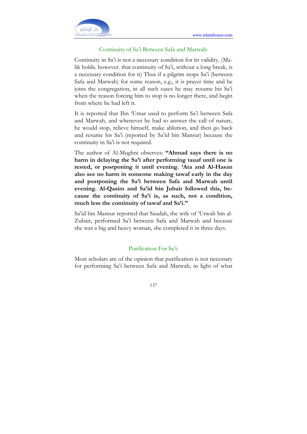

### Continuity of Sa'i Between Safa and Marwah:

Continuity in Sa'i is not a necessary condition for its validity. (Malik holds. however. that continuity of Sa'i, without a long break, is a necessary condition for it) Thus if a pilgrim stops Sa'i (between Safa and Marwah) for some reason, e.g., it is prayer time and he joins the congregation, in all such cases he may resume his Sa'i when the reason forcing him to stop is no longer there, and begin from where he had left it.

It is reported that Ibn 'Umar used to perform Sa'i between Safa and Marwah, and whenever he had to answer the call of nature, he would stop, relieve himself, make ablution, and then go back and resume his Sa'i (reported by Sa'id bin Mansur) because the continuity in Sa'i is not required.

The author of Al-Mughni observes: "Ahmad says there is no harm in delaying the Sa'i after performing tauaf until one is rested, or postponing it until evening. 'Ata and Al-Hasan also see no harm in someone making tawaf early in the day and postponing the Sa'i between Safa and Marwah until evening. Al-Qasim and Sa'id bin Jubair followed this, because the continuity of Sa'i is, as such, not a condition, much less the continuity of tawaf and Sa'i."

Sa'id bin Mansur reported that Saudah, the wife of 'Urwah bin al-Zubair, performed Sa'i between Safa and Marwah and because she was a big and heavy woman, she completed it in three days.

#### Purification For Sa'i:

Most scholars are of the opinion that purification is not necessary for performing Sa'i between Safa and Marwah, in light of what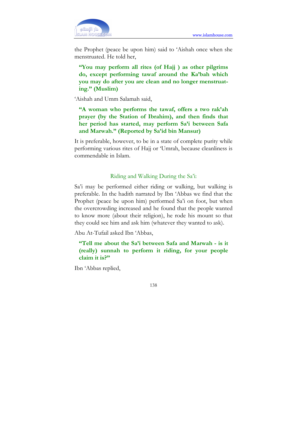

the Prophet (peace be upon him) said to 'Aishah once when she menstruated. He told her,

"You may perform all rites (of Hajj ) as other pilgrims do, except performing tawaf around the Ka'bah which you may do after you are clean and no longer menstruating." (Muslim)

'Aishah and Umm Salamah said,

"A woman who performs the tawaf, offers a two rak'ah prayer (by the Station of Ibrahim), and then finds that her period has started, may perform Sa'i between Safa and Marwah." (Reported by Sa'id bin Mansur)

It is preferable, however, to be in a state of complete purity while performing various rites of Hajj or 'Umrah, because cleanliness is commendable in Islam.

#### Riding and Walking During the Sa'i:

Sa'i may be performed either riding or walking, but walking is preferable. In the hadith narrated by Ibn 'Abbas we find that the Prophet (peace be upon him) performed Sa'i on foot, but when the overcrowding increased and he found that the people wanted to know more (about their religion), he rode his mount so that they could see him and ask him (whatever they wanted to ask).

Abu At-Tufail asked Ibn 'Abbas,

"Tell me about the Sa'i between Safa and Marwah - is it (really) sunnah to perform it riding, for your people claim it is?"

Ibn 'Abbas replied,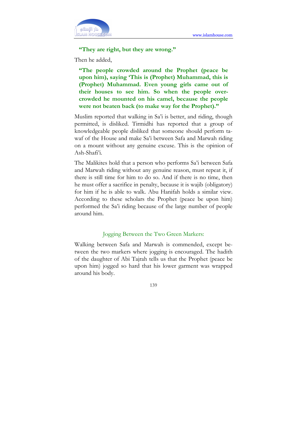

"They are right, but they are wrong."

Then he added,

"The people crowded around the Prophet (peace be upon him), saying 'This is (Prophet) Muhammad, this is (Prophet) Muhammad. Even young girls came out of their houses to see him. So when the people overcrowded he mounted on his camel, because the people were not beaten back (to make way for the Prophet)."

Muslim reported that walking in Sa'i is better, and riding, though permitted, is disliked. Tirmidhi has reported that a group of knowledgeable people disliked that someone should perform tawaf of the House and make Sa'i between Safa and Marwah riding on a mount without any genuine excuse. This is the opinion of Ash-Shafi'i.

The Malikites hold that a person who performs Sa'i between Safa and Marwah riding without any genuine reason, must repeat it, if there is still time for him to do so. And if there is no time, then he must offer a sacrifice in penalty, because it is wajib (obligatory) for him if he is able to walk. Abu Hanifah holds a similar view. According to these scholars the Prophet (peace be upon him) performed the Sa'i riding because of the large number of people around him.

#### Jogging Between the Two Green Markers:

Walking between Safa and Marwah is commended, except between the two markers where jogging is encouraged. The hadith of the daughter of Abi Tajrah tells us that the Prophet (peace be upon him) jogged so hard that his lower garment was wrapped around his body.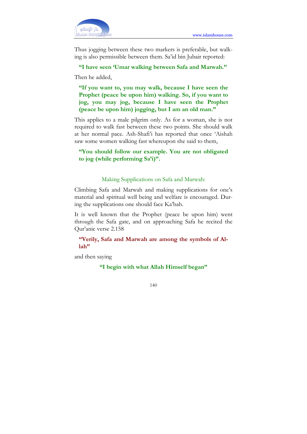Thus jogging between these two markers is preferable, but walking is also permissible between them. Sa'id bin Jubair reported:

### "I have seen 'Umar walking between Safa and Marwah."

Then he added,

"If you want to, you may walk, because I have seen the Prophet (peace be upon him) walking. So, if you want to jog, you may jog, because I have seen the Prophet (peace be upon him) jogging, but I am an old man."

This applies to a male pilgrim only. As for a woman, she is not required to walk fast between these two points. She should walk at her normal pace. Ash-Shafi'i has reported that once 'Aishah saw some women walking fast whereupon she said to them,

# "You should follow our example. You are not obligated to jog (while performing Sa'i)".

#### Making Supplications on Safa and Marwah:

Climbing Safa and Marwah and making supplications for one's material and spiritual well being and welfare is encouraged. During the supplications one should face Ka'bah.

It is well known that the Prophet (peace be upon him) went through the Safa gate, and on approaching Safa he recited the Qur'anic verse 2.158

# "Verily, Safa and Marwah are among the symbols of Allah"

and then saying

"I begin with what Allah Himself began"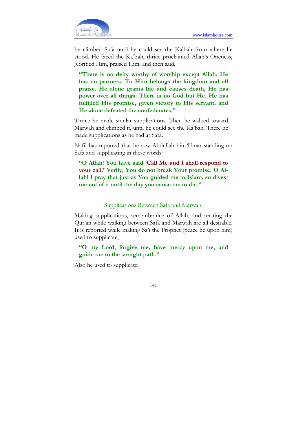

he climbed Safa until he could see the Ka'bah from where he stood. He faced the Ka'bah, thrice proclaimed Allah's Oneness, glorified Him, praised Him, and then said,

"There is no deity worthy of worship except Allah. He has no partners. To Him belongs the kingdom and all praise. He alone grants life and causes death, He has power over all things. There is no God but He. He has fulfilled His promise, given victory to His servant, and He alone defeated the confederates."

Thrice he made similar supplications. Then he walked toward Marwah and climbed it, until he could see the Ka'bah. There he made supplications as he had at Safa.

Nafi' has reported that he saw Abdullah bin 'Umar standing on Safa and supplicating in these words:

"O Allah! You have said 'Call Me and I shall respond to your call.' Verily, You do not break Your promise. O Allah! I pray that just as You guided me to Islam, so divest me not of it until the day you cause me to die."

#### Supplications Between Safa and Marwah:

Making supplications, remembrance of Allah, and reciting the Qur'an while walking between Safa and Marwah are all desirable. It is reported while making Sa'i the Prophet (peace be upon him) used to supplicate,

"O my Lord, forgive me, have mercy upon me, and guide me to the straight path."

Also he used to supplicate,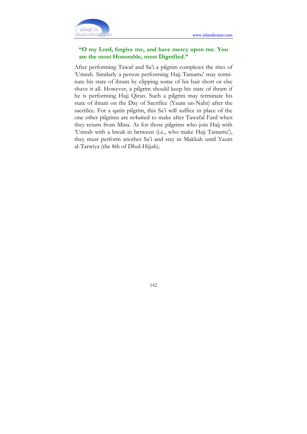

# "O my Lord, forgive me, and have mercy upon me. You are the most Honorable, most Dignified."

After performing Tawaf and Sa'i a pilgrim completes the rites of 'Umrah. Similarly a person performing Hajj Tamattu' may terminate his state of ihram by clipping some of his hair short or else shave it all. However, a pilgrim should keep his state of ihram if he is performing Hajj Qiran. Such a pilgrim may terminate his state of ihram on the Day of Sacrifice (Yaum un-Nahr) after the sacrifice. For a qarin pilgrim, this Sa'i will suffice in place of the one other pilgrims are re4uired to make after Tawafal Fard when they return from Mina. As for those pilgrims who join Hajj with 'Umrah with a break in between (i.e., who make Hajj Tamattu'), they must perform another Sa'i and stay in Makkah until Yaum al-Tarwiya (the 8th of Dhul-Hijjah).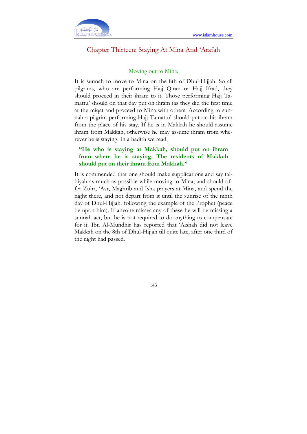

# Chapter Thirteen: Staying At Mina And 'Arafah

#### Moving out to Mina:

It is sunnah to move to Mina on the 8th of Dhul-Hijjah. So all pilgrims, who are performing Hajj Qiran or Hajj Ifrad, they should proceed in their ihram to it. Those performing Hajj Tamattu' should on that day put on ihram (as they did the first time at the miqat and proceed to Mina with others. According to sunnah a pilgrim performing Hajj Tamattu' should put on his ihram from the place of his stay. If he is in Makkah he should assume ihram from Makkah, otherwise he may assume ihram trom wherever he is staying. In a hadith we read,

# "He who is staying at Makkah, should put on ihram from where he is staying. The residents of Makkah should put on their ihram from Makkah."

It is commended that one should make supplications and say talbiyah as much as possible while moving to Mina, and should offer Zuhr, 'Asr, Maghrib and Isha prayers at Mina, and spend the night there, and not depart from it until the sunrise of the ninth day of Dhul-Hijjah. following the example of the Prophet (peace be upon him). If anyone misses any of these he will be missing a sunnah act, but he is not required to do anything to compensate for it. Ibn Al-Mundhir has reported that 'Aishah did not leave Makkah on the 8th of Dhul-Hijjah till quite late, after one third of the night had passed.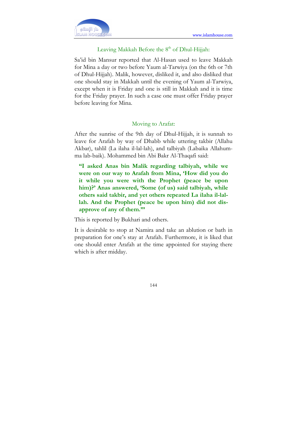# Leaving Makkah Before the 8<sup>th</sup> of Dhul-Hijjah:

Sa'id bin Mansur reported that Al-Hasan used to leave Makkah for Mina a day or two before Yaum al-Tarwiya (on the 6th or 7th of Dhul-Hijjah). Malik, however, disliked it, and also disliked that one should stay in Makkah until the evening of Yaum al-Tarwiya, except when it is Friday and one is still in Makkah and it is time for the Friday prayer. In such a case one must offer Friday prayer before leaving for Mina.

### Moving to Arafat:

After the sunrise of the 9th day of Dhul-Hijjah, it is sunnah to leave for Arafah by way of Dhabb while uttering takbir (Allahu Akbar), tahlil (La ilaha il-lal-lah), and talbiyah (Labaika Allahumma lab-baik). Mohammed bin Abi Bakr Al-Thaqafi said:

"I asked Anas bin Malik regarding talbiyah, while we were on our way to Arafah from Mina, 'How did you do it while you were with the Prophet (peace be upon him)?' Anas answered, 'Some (of us) said talbiyah, while others said takbir, and yet others repeated La ilaha il-lallah. And the Prophet (peace be upon him) did not disapprove of any of them."'

This is reported by Bukhari and others.

It is desirable to stop at Namira and take an ablution or bath in preparation for one's stay at Arafah. Furthermore, it is liked that one should enter Arafah at the time appointed for staying there which is after midday.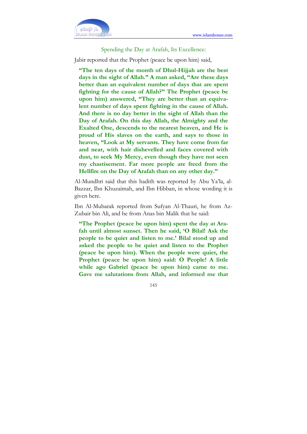

Spending the Day at Arafah, Its Excellence:

Jabir reported that the Prophet (peace be upon him) said,

"The ten days of the month of Dhul-Hijjah are the best days in the sight of Allah." A man asked, "Are these days better than an equivalent number of days that are spent fighting for the cause of Allah?" The Prophet (peace be upon him) answered, "They are better than an equivalent number of days spent fighting in the cause of Allah. And there is no day better in the sight of Allah than the Day of Arafah. On this day Allah, the Almighty and the Exalted One, descends to the nearest heaven, and He is proud of His slaves on the earth, and says to those in heaven, "Look at My servants. They have come from far and near, with hair dishevelled and faces covered with dust, to seek My Mercy, even though they have not seen my chastisement. Far more people are freed from the Hellfire on the Day of Arafah than on any other day."

Al-Mundhri said that this hadith was reported by Abu Ya'la, al-Bazzar, Ibn Khuzaimah, and Ibn Hibban, in whose wording it is given here.

Ibn Al-Mubarak reported from Sufyan Al-Thauri, he from Az-Zubair bin Ali, and he from Anas bin Malik that he said:

"The Prophet (peace be upon him) spent the day at Arafah until almost sunset. Then he said, 'O Bilal! Ask the people to be quiet and listen to me.' Bilal stood up and asked the people to be quiet and listen to the Prophet (peace be upon him). When the people were quiet, the Prophet (peace be upon him) said: O People! A little while ago Gabriel (peace be upon him) came to me. Gave me salutations from Allah, and informed me that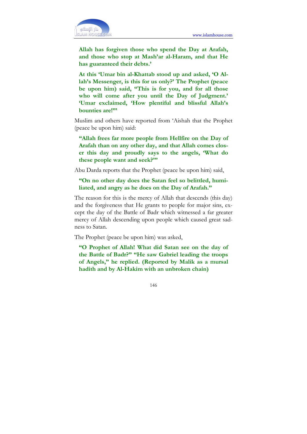

Allah has forgiven those who spend the Day at Arafah, and those who stop at Mash'ar al-Haram, and that He has guaranteed their debts.'

At this 'Umar bin al-Khattab stood up and asked, 'O Allah's Messenger, is this for us only?' The Prophet (peace be upon him) said, "This is for you, and for all those who will come after you until the Day of Judgment.' 'Umar exclaimed, 'How plentiful and blissful Allah's bounties are!"'

Muslim and others have reported from 'Aishah that the Prophet (peace be upon him) said:

"Allah frees far more people from Hellfire on the Day of Arafah than on any other day, and that Allah comes closer this day and proudly says to the angels, 'What do these people want and seek?'"

Abu Darda reports that the Prophet (peace be upon him) said,

"On no other day does the Satan feel so belittled, humiliated, and angry as he does on the Day of Arafah."

The reason for this is the mercy of Allah that descends (this day) and the forgiveness that He grants to people for major sins, except the day of the Battle of Badr which witnessed a far greater mercy of Allah descending upon people which caused great sadness to Satan.

The Prophet (peace be upon him) was asked,

"O Prophet of Allah! What did Satan see on the day of the Battle of Badr?" "He saw Gabriel leading the troops of Angels," he replied. (Reported by Malik as a mursal hadith and by Al-Hakim with an unbroken chain)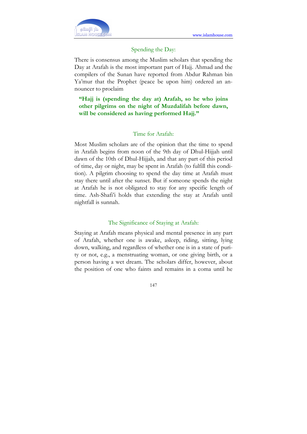

### Spending the Day:

There is consensus among the Muslim scholars that spending the Day at Arafah is the most important part of Hajj. Ahmad and the compilers of the Sunan have reported from Abdur Rahman bin Ya'mur that the Prophet (peace be upon him) ordered an announcer to proclaim

"Hajj is (spending the day at) Arafah, so he who joins other pilgrims on the night of Muzdalifah before dawn, will be considered as having performed Hajj."

## Time for Arafah:

Most Muslim scholars are of the opinion that the time to spend in Arafah begins from noon of the 9th day of Dhul-Hijjah until dawn of the 10th of Dhul-Hijjah, and that any part of this period of time, day or night, may be spent in Arafah (to fulfill this condition). A pilgrim choosing to spend the day time at Arafah must stay there until after the sunset. But if someone spends the night at Arafah he is not obligated to stay for any specific length of time. Ash-Shafi'i holds that extending the stay at Arafah until nightfall is sunnah.

#### The Significance of Staying at Arafah:

Staying at Arafah means physical and mental presence in any part of Arafah, whether one is awake, asleep, riding, sitting, lying down, walking, and regardless of whether one is in a state of purity or not, e.g., a menstruating woman, or one giving birth, or a person having a wet dream. The scholars differ, however, about the position of one who faints and remains in a coma until he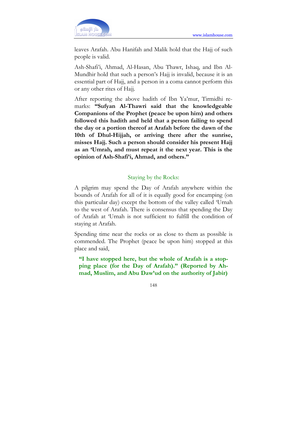

leaves Arafah. Abu Hanifah and Malik hold that the Hajj of such people is valid.

Ash-Shafi'i, Ahmad, Al-Hasan, Abu Thawr, Ishaq, and Ibn Al-Mundhir hold that such a person's Hajj is invalid, because it is an essential part of Hajj, and a person in a coma cannot perform this or any other rites of Hajj.

After reporting the above hadith of Ibn Ya'mur, Tirmidhi remarks: "Sufyan Al-Thawri said that the knowledgeable Companions of the Prophet (peace be upon him) and others followed this hadith and held that a person failing to spend the day or a portion thereof at Arafah before the dawn of the 10th of Dhul-Hijjah, or arriving there after the sunrise, misses Hajj. Such a person should consider his present Hajj as an 'Umrah, and must repeat it the next year. This is the opinion of Ash-Shafi'i, Ahmad, and others."

## Staying by the Rocks:

A pilgrim may spend the Day of Arafah anywhere within the bounds of Arafah for all of it is equally good for encamping (on this particular day) except the bottom of the valley called 'Urnah to the west of Arafah. There is consensus that spending the Day of Arafah at 'Urnah is not sufficient to fulfill the condition of staying at Arafah.

Spending time near the rocks or as close to them as possible is commended. The Prophet (peace be upon him) stopped at this place and said,

"I have stopped here, but the whole of Arafah is a stopping place (for the Day of Arafah)." (Reported by Ahmad, Muslim, and Abu Daw'ud on the authority of Jabir)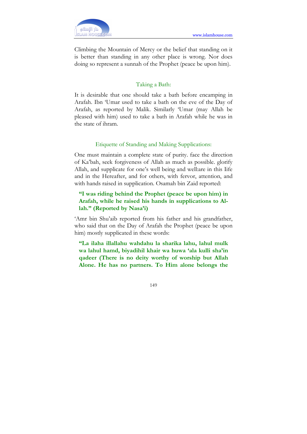Climbing the Mountain of Mercy or the belief that standing on it is better than standing in any other place is wrong. Nor does doing so represent a sunnah of the Prophet (peace be upon him).

# Taking a Bath:

It is desirable that one should take a bath before encamping in Arafah. Ibn 'Umar used to take a bath on the eve of the Day of Arafah, as reported by Malik. Similarly 'Umar (may Allah be pleased with him) used to take a bath in Arafah while he was in the state of ihram.

# Etiquette of Standing and Making Supplications:

One must maintain a complete state of purity. face the direction of Ka'bah, seek forgiveness of Allah as much as possible. glorify Allah, and supplicate for one's well being and well:are in this Iife and in the Hereafter, and for others, with fervor, attention, and with hands raised in supplication. Osamah bin Zaid reported:

# "I was riding behind the Prophet (peace be upon him) in Arafah, while he raised his hands in supplications to Allah." (Reported by Nasa'i)

'Amr bin Shu'aib reported from his father and his grandfather, who said that on the Day of Arafah the Prophet (peace be upon him) mostly supplicated in these words:

"La ilaha illallahu wahdahu la sharika lahu, lahul mulk wa lahul hamd, biyadihil khair wa huwa 'ala kulli sha'in qadeer (There is no deity worthy of worship but Allah Alone. He has no partners. To Him alone belongs the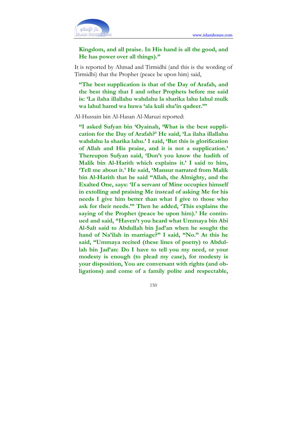

# Kingdom, and all praise. In His hand is all the good, and He has power over all things)."

It is reported by Ahmad and Tirmidhi (and this is the wording of Tirmidhi) that the Prophet (peace be upon him) said,

"The best supplication is that of the Day of Arafah, and the best thing that I and other Prophets before me said is: 'La ilaha illallahu wahdahu la sharika lahu lahul mulk wa lahul hamd wa huwa 'ala kuli sha'in qadeer.'"

Al-Hussain bin Al-Hasan Al-Maruzi reported:

"I asked Sufyan bin 'Oyainah, 'What is the best supplication for the Day of Arafah?' He said, 'La ilaha illallahu wahdahu la sharika lahu.' I said, 'But this is glorification of Allah and His praise, and it is not a supplication.' Thereupon Sufyan said, 'Don't you know the hadith of Malik bin Al-Harith which explains it.' I said to him, 'Tell me about it.' He said, 'Mansur narrated from Malik bin Al-Harith that he said "Allah, the Almighty, and the Exalted One, says: 'If a servant of Mine occupies himself in extolling and praising Me instead of asking Me for his needs I give him better than what I give to those who ask for their needs."' Then he added, 'This explains the saying of the Prophet (peace be upon him).' He continued and said, "Haven't you heard what Ummaya bin Abi Al-Salt said to Abdullah bin Jad'an when he sought the hand of Na'ilah in marriage?" I said, "No." At this he said, "Ummaya recited (these lines of poetry) to Abdullah bin Jad'an: Do I have to tell you my need, or your modesty is enough (to plead my case), for modesty is your disposition, You are conversant with rights (and obligations) and come of a family polite and respectable,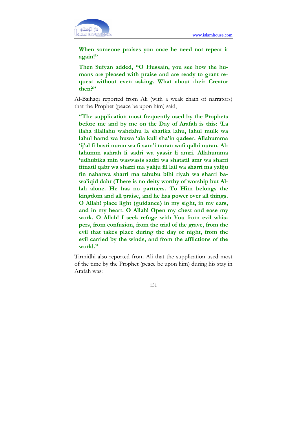

When someone praises you once he need not repeat it again!"

Then Sufyan added, "O Hussain, you see how the humans are pleased with praise and are ready to grant request without even asking. What about their Creator then?"

Al-Baihaqi reported from Ali (with a weak chain of narrators) that the Prophet (peace be upon him) said,

"The supplication most frequently used by the Prophets before me and by me on the Day of Arafah is this: 'La ilaha illallahu wahdahu la sharika lahu, lahul mulk wa lahul hamd wa huwa 'ala kuli sha'in qadeer. Allahumma 'ij'al fi basri nuran wa fi sam'i nuran wafi qalbi nuran. Allahumm ashrah li sadri wa yassir li amri. Allahumma 'udhubika min waswasis sadri wa shatatil amr wa sharri fitnatil qabr wa sharri ma yaliju fil lail wa sharri ma yaliju fin naharwa sharri ma tahubu bihi riyah wa sharri bawa'iqid dahr (There is no deity worthy of worship but Allah alone. He has no partners. To Him belongs the kingdom and all praise, and he has power over all things. O Allah! place light (guidance) in my sight, in my ears, and in my heart. O Allah! Open my chest and ease my work. O Allah! I seek refuge with You from evil whispers, from confusion, from the trial of the grave, from the evil that takes place during the day or night, from the evil carried by the winds, and from the afflictions of the world."

Tirmidhi also reported from Ali that the supplication used most of the time by the Prophet (peace be upon him) during his stay in Arafah was: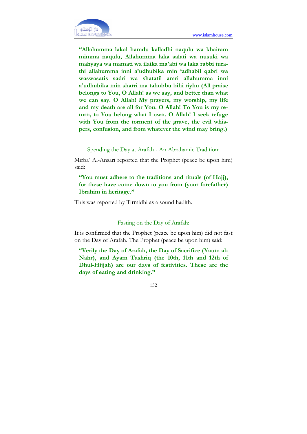

"Allahumma lakal hamdu kalladhi naqulu wa khairam mimma naqulu, Allahumma laka salati wa nusuki wa mahyaya wa mamati wa ilaika ma'abi wa laka rabbi turathi allahumma inni a'udhubika min 'adhabil qabri wa waswasatis sadri wa shatatil amri allahumma inni a'udhubika min sharri ma tahubbu bihi riyhu (All praise belongs to You, O Allah! as we say, and better than what we can say. O Allah! My prayers, my worship, my life and my death are all for You. O Allah! To You is my return, to You belong what I own. O Allah! I seek refuge with You from the torment of the grave, the evil whispers, confusion, and from whatever the wind may bring.)

Spending the Day at Arafah - An Abrahamic Tradition:

Mirba' Al-Ansari reported that the Prophet (peace be upon him) said:

"You must adhere to the traditions and rituals (of Hajj), for these have come down to you from (your forefather) Ibrahim in heritage."

This was reported by Tirmidhi as a sound hadith.

#### Fasting on the Day of Arafah:

It is confirmed that the Prophet (peace be upon him) did not fast on the Day of Arafah. The Prophet (peace be upon him) said:

"Verily the Day of Arafah, the Day of Sacrifice (Yaum al-Nahr), and Ayam Tashriq (the 10th, 11th and 12th of Dhul-Hijjah) are our days of festivities. These are the days of eating and drinking."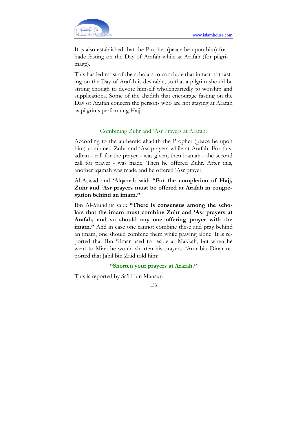

It is also established that the Prophet (peace be upon him) forbade fasting on the Day of Arafah while at Arafah (for pilgrimage).

This has led most of the scholars to conclude that in fact not fasting on the Day of Arafah is desirable, so that a pilgrim should be strong enough to devote himself wholeheartedly to worship and supplications. Some of the ahadith that encourage fasting on the Day of Arafah concern the persons who are not staying at Arafah as pilgrims performing Hajj.

## Combining Zuhr and 'Asr Prayers at Arafah:

According to the authentic ahadith the Prophet (peace be upon him) combined Zuhr and 'Asr prayers while at Arafah. For this, adhan - call for the prayer - was given, then iqamah - the second call for prayer - was made. Then he offered Zuhr. After this, another iqamah was made and he offered 'Asr prayer.

Al-Aswad and 'Alqamah said: "For the completion of Hajj, Zuhr and 'Asr prayers must be offered at Arafah in congregation behind an imam."

Ibn Al-Mundhir said: "There is consensus among the scholars that the imam must combine Zuhr and 'Asr prayers at Arafah, and so should any one offering prayer with the imam." And in case one cannot combine these and pray behind an imam, one should combine them while praying alone. It is reported that Ibn 'Umar used to reside at Makkah, but when he went to Mina he would shorten his prayers. 'Amr bin Dinar reported that Jabil bin Zaid told him:

#### "Shorten your prayers at Arafah."

This is reported by Sa'id bin Mansur.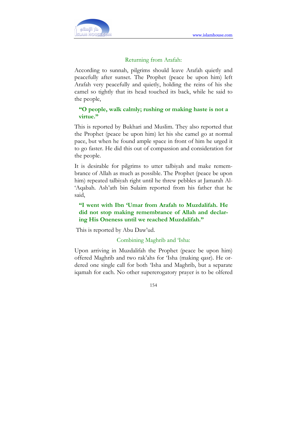

### Returning from Arafah:

According to sunnah, pilgrims should leave Arafah quietly and peacefully after sunset. The Prophet (peace be upon him) left Arafah very peacefully and quietly, holding the reins of his she camel so tightly that its head touched its back, while he said to the people,

# "O people, walk calmly; rushing or making haste is not a virtue."

This is reported by Bukhari and Muslim. They also reported that the Prophet (peace be upon him) let his she camel go at normal pace, but when he found ample space in front of him he urged it to go faster. He did this out of compassion and consideration for the people.

It is desirable for pilgrims to utter talbiyah and make remembrance of Allah as much as possible. The Prophet (peace be upon him) repeated talbiyah right until he threw pebbles at Jamarah Al- 'Aqabah. Ash'ath bin Sulaim reported from his father that he said,

# "I went with Ibn 'Umar from Arafah to Muzdalifah. He did not stop making remembrance of Allah and declaring His Oneness until we reached Muzdalifah."

This is reported by Abu Daw'ud.

## Combining Maghrib and 'Isha:

Upon arriving in Muzdalifah the Prophet (peace be upon him) offered Maghrib and two rak'ahs for 'Isha (making qasr). He ordered one single call for both 'Isha and Maghrib, but a separate iqamah for each. No other supererogatory prayer is to be olfered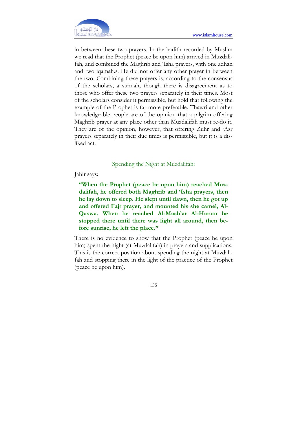

in between these two prayers. In the hadith recorded by Muslim we read that the Prophet (peace be upon him) arrived in Muzdalifah, and combined the Maghrib and 'Isha prayers, with one adhan and two iqamah.s. He did not offer any other prayer in between the two. Combining these prayers is, according to the consensus of the scholars, a sunnah, though there is disagreement as to those who offer these two prayers separately in their times. Most of the scholars consider it permissible, but hold that following the example of the Prophet is far more preferable. Thawri and other knowledgeable people are of the opinion that a pilgrim offering Maghrib prayer at any place other than Muzdalifah must re-do it. They are of the opinion, however, that offering Zuhr and 'Asr prayers separately in their due times is permissible, but it is a disliked act.

#### Spending the Night at Muzdalifah:

Jabir says:

"When the Prophet (peace be upon him) reached Muzdalifah, he offered both Maghrib and 'Isha prayers, then he lay down to sleep. He slept until dawn, then he got up and offered Fajr prayer, and mounted his she camel, Al-Qaswa. When he reached Al-Mash'ar Al-Haram he stopped there until there was light all around, then before sunrise, he left the place."

There is no evidence to show that the Prophet (peace be upon him) spent the night (at Muzdalifah) in prayers and supplications. This is the correct position about spending the night at Muzdalifah and stopping there in the light of the practice of the Prophet (peace be upon him).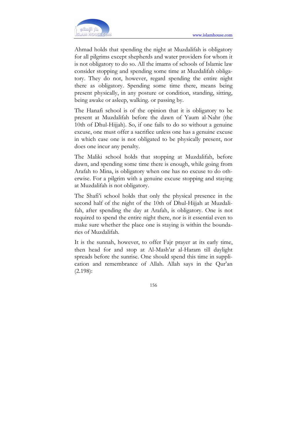

Ahmad holds that spending the night at Muzdalifah is obligatory for all pilgrims except shepherds and water providers for whom it is not obligatory to do so. All the imams of schools of Islamic law consider stopping and spending some time at Muzdalifah obligatory. They do not, however, regard spending the entire night there as obligatory. Spending some time there, means being present physically, in any posture or condition, standing, sitting, being awake or asleep, walking. or passing by.

The Hanafi school is of the opinion that it is obligatory to be present at Muzdalifah before the dawn of Yaum al-Nahr (the 10th of Dhul-Hijjah). So, if one fails to do so without a genuine excuse, one must offer a sacrifice unless one has a genuine excuse in which case one is not obligated to be physically present, nor does one incur any penalty.

The Maliki school holds that stopping at Muzdalifah, before dawn, and spending some time there is enough, while going from Arafah to Mina, is obligatory when one has no excuse to do otherwise. For a pilgrim with a genuine excuse stopping and staying at Muzdalifah is not obligatory.

The Shafi'i school holds that only the physical presence in the second half of the night of the 10th of Dhul-Hijjah at Muzdalifah, after spending the day at Arafah, is obligatory. One is not required to spend the entire night there, nor is it essential even to make sure whether the place one is staying is within the boundaries of Muzdalifah.

It is the sunnah, however, to offer Fajr prayer at its early time, then head for and stop at Al-Mash'ar al-Haram till daylight spreads before the sunrise. One should spend this time in supplication and remembrance of Allah. Allah says in the Qur'an (2.198):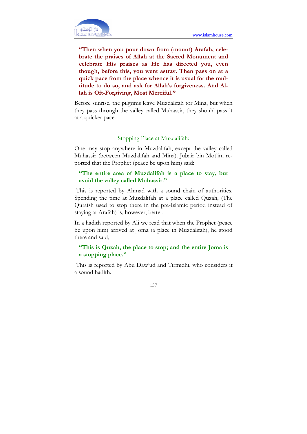

"Then when you pour down from (mount) Arafah, celebrate the praises of Allah at the Sacred Monument and celebrate His praises as He has directed you, even though, before this, you went astray. Then pass on at a quick pace from the place whence it is usual for the multitude to do so, and ask for Allah's forgiveness. And Allah is Oft-Forgiving, Most Merciful."

Before sunrise, the pilgrims leave Muzdalifah tor Mina, but when they pass through the valley called Muhassir, they should pass it at a quicker pace.

# Stopping Place at Muzdalifah:

One may stop anywhere in Muzdalifah, except the valley called Muhassir (between Muzdalifah and Mina). Jubair bin Mot'im reported that the Prophet (peace be upon him) said:

# "The entire area of Muzdalifah is a place to stay, but avoid the valley called Muhassir."

 This is reported by Ahmad with a sound chain of authorities. Spending the time at Muzdalifah at a place called Quzah, (The Quraish used to stop there in the pre-Islamic period instead of staying at Arafah) is, however, better.

In a hadith reported by Ali we read that when the Prophet (peace be upon him) arrived at Joma (a place in Muzdalifah), he stood there and said,

# "This is Quzah, the place to stop; and the entire Joma is a stopping place."

 This is reported by Abu Daw'ud and Tirmidhi, who considers it a sound hadith.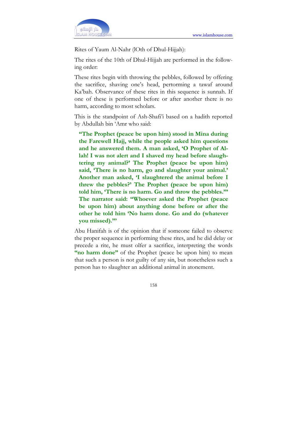

Rites of Yaum Al-Nahr (lOth of Dhul-Hijjah):

The rites of the 10th of Dhul-Hijjah are performed in the following order:

These rites begin with throwing the pebbles, followed by offering the sacrifice, shaving one's head, pertorming a tawaf around Ka'bah. Observance of these rites in this sequence is sunnah. If one of these is performed before or after another there is no harm, according to most scholars.

This is the standpoint of Ash-Shafi'i based on a hadith reported by Abdullah bin 'Amr who said:

"The Prophet (peace be upon him) stood in Mina during the Farewell Hajj, while the people asked him questions and he answered them. A man asked, 'O Prophet of Allah! I was not alert and I shaved my head before slaughtering my animal?' The Prophet (peace be upon him) said, 'There is no harm, go and slaughter your animal.' Another man asked, 'I slaughtered the animal before I threw the pebbles?' The Prophet (peace be upon him) told him, 'There is no harm. Go and throw the pebbles.'" The narrator said: "Whoever asked the Prophet (peace be upon him) about anything done before or after the other he told him 'No harm done. Go and do (whatever you missed)."'

Abu Hanifah is of the opinion that if someone failed to observe the proper sequence in performing these rites, and he did delay or precede a rite, he must olfer a sacrifice, interpreting the words "no harm done" of the Prophet (peace be upon him) to mean that such a person is not guilty of any sin, but nonetheless such a person has to slaughter an additional animal in atonement.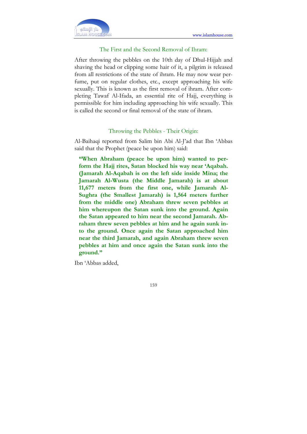

## The First and the Second Removal of Ihram:

After throwing the pebbles on the 10th day of Dhul-Hijjah and shaving the head or clipping some hair of it, a pilgrim is released from all restrictions of the state of ihram. He may now wear perfume, put on regular clothes, etc., except approaching his wife sexually. This is known as the first removal of ihram. After completing Tawaf Al-Ifada, an essential rite of Hajj, everything is permissible for him including approaching his wife sexually. This is called the second or final removal of the state of ihram.

#### Throwing the Pebbles - Their Origin:

Al-Baihaqi reported from Salim bin Abi Al-J'ad that Ibn 'Abbas said that the Prophet (peace be upon him) said:

"When Abraham (peace be upon him) wanted to perform the Hajj rites, Satan blocked his way near 'Aqabah. (Jamarah Al-Aqabah is on the left side inside Mina; the Jamarah Al-Wusta (the Middle Jamarah) is at about 11,677 meters from the first one, while Jamarah Al-Sughra (the Smallest Jamarah) is 1,564 meters further from the middle one) Abraham threw seven pebbles at him whereupon the Satan sunk into the ground. Again the Satan appeared to him near the second Jamarah. Abraham threw seven pebbles at him and he again sunk into the ground. Once again the Satan approached him near the third Jamarah, and again Abraham threw seven pebbles at him and once again the Satan sunk into the ground."

Ibn 'Abbas added,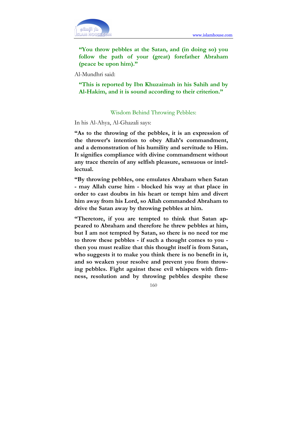

"You throw pebbles at the Satan, and (in doing so) you follow the path of your (great) forefather Abraham (peace be upon him)."

Al-Mundhri said:

"This is reported by Ibn Khuzaimah in his Sahih and by Al-Hakim, and it is sound according to their criterion."

#### Wisdom Behind Throwing Pebbles:

In his Al-Ahya, Al-Ghazali says:

"As to the throwing of the pebbles, it is an expression of the thrower's intention to obey Allah's commandment, and a demonstration of his humility and servitude to Him. It signifies compliance with divine commandment without any trace therein of any selfish pleasure, sensuous or intellectual.

"By throwing pebbles, one emulates Abraham when Satan - may Allah curse him - blocked his way at that place in order to cast doubts in his heart or tempt him and divert him away from his Lord, so Allah commanded Abraham to drive the Satan away by throwing pebbles at him.

"Theretore, if you are tempted to think that Satan appeared to Abraham and therefore he threw pebbles at him, but I am not tempted by Satan, so there is no need tor me to throw these pebbles - if such a thought comes to you then you must realize that this thought itself is from Satan, who suggests it to make you think there is no benefit in it, and so weaken your resolve and prevent you from throwing pebbles. Fight against these evil whispers with firmness, resolution and by throwing pebbles despite these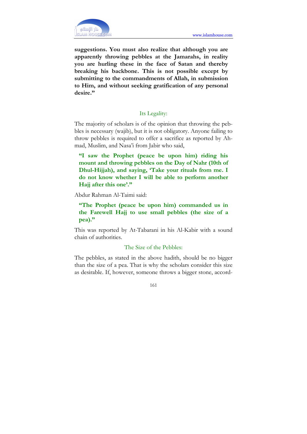

suggestions. You must also realize that although you are apparently throwing pebbles at the Jamarahs, in reality you are hurling these in the face of Satan and thereby breaking his backbone. This is not possible except by submitting to the commandments of Allah, in submission to Him, and without seeking gratification of any personal desire."

## Its Legality:

The majority of scholars is of the opinion that throwing the pebbles is necessary (wajib), but it is not obligatory. Anyone failing to throw pebbles is required to offer a sacrifice as reported by Ahmad, Muslim, and Nasa'i from Jabir who said,

"I saw the Prophet (peace be upon him) riding his mount and throwing pebbles on the Day of Nahr (10th of Dhul-Hijjah), and saying, 'Take your rituals from me. I do not know whether I will be able to perform another Hajj after this one'."

Abdur Rahman Al-Taimi said:

"The Prophet (peace be upon him) commanded us in the Farewell Hajj to use small pebbles (the size of a pea)."

This was reported by At-Tabarani in his Al-Kabir with a sound chain of authorities.

## The Size of the Pebbles:

The pebbles, as stated in the above hadith, should be no bigger than the size of a pea. That is why the scholars consider this size as desirable. If, however, someone throws a bigger stone, accord-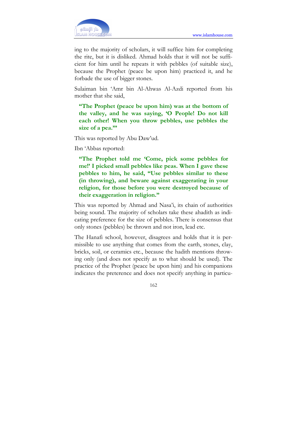

ing to the majority of scholars, it will suffice him for completing the rite, but it is disliked. Ahmad holds that it will not be sufficient for him until he repeats it with pebbles (of suitable size), because the Prophet (peace be upon him) practiced it, and he forbade the use of bigger stones.

Sulaiman bin 'Amr bin Al-Ahwas Al-Azdi reported from his mother that she said,

"The Prophet (peace be upon him) was at the bottom of the valley, and he was saying, 'O People! Do not kill each other! When you throw pebbles, use pebbles the size of a pea."

This was reported by Abu Daw'ud.

Ibn 'Abbas reported:

"The Prophet told me 'Come, pick some pebbles for me!' I picked small pebbles like peas. When I gave these pebbles to him, he said, "Use pebbles similar to these (in throwing), and beware against exaggerating in your religion, for those before you were destroyed because of their exaggeration in religion."

This was reported by Ahmad and Nasa'i, its chain of authorities being sound. The majority of scholars take these ahadith as indicating preference for the size of pebbles. There is consensus that only stones (pebbles) be thrown and not iron, lead etc.

The Hanafi school, however, disagrees and holds that it is permissible to use anything that comes from the earth, stones, clay, bricks, soil, or ceramics etc., because the hadith mentions throwing only (and does not specify as to what should be used). The practice of the Prophet (peace be upon him) and his companions indicates the preterence and does not specify anything in particu-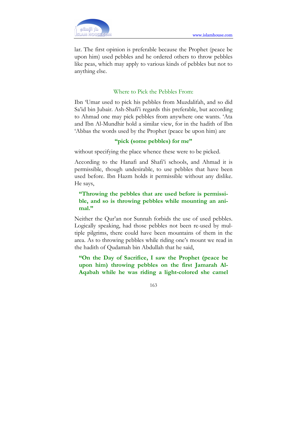

lar. The first opinion is preferable because the Prophet (peace be upon him) used pebbles and he ordered others to throw pebbles like peas, which may apply to various kinds of pebbles but not to anything else.

# Where to Pick the Pebbles From:

Ibn 'Umar used to pick his pebbles from Muzdalifah, and so did Sa'id bin Jubair. Ash-Shafi'i regards this preferable, but according to Ahmad one may pick pebbles from anywhere one wants. 'Ata and Ibn Al-Mundhir hold a similar view, for in the hadith of Ibn 'Abbas the words used by the Prophet (peace be upon him) are

# "pick (some pebbles) for me"

without specifying the place whence these were to be picked.

According to the Hanafi and Shafi'i schools, and Ahmad it is permissible, though undesirable, to use pebbles that have been used before. Ibn Hazm holds it permissible without any dislike. He says,

# "Throwing the pebbles that are used before is permissible, and so is throwing pebbles while mounting an animal."

Neither the Qur'an nor Sunnah forbids the use of used pebbles. Logically speaking, had those pebbles not been re-used by multiple pilgrims, there could have been mountains of them in the area. As to throwing pebbles while riding one's mount we read in the hadith of Qudamah bin Abdullah that he said,

"On the Day of Sacrifice, I saw the Prophet (peace be upon him) throwing pebbles on the first Jamarah Al-Aqabah while he was riding a light-colored she camel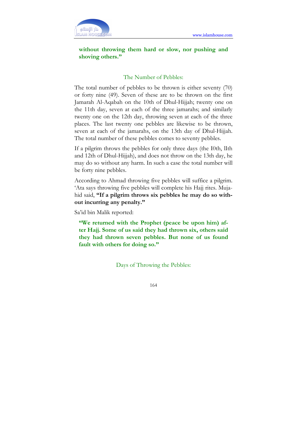

# without throwing them hard or slow, nor pushing and shoving others."

## The Number of Pebbles:

The total number of pebbles to be thrown is either seventy (70) or forty nine (49). Seven of these are to be thrown on the first Jamarah Al-Aqabah on the 10th of Dhul-Hijjah; twenty one on the 11th day, seven at each of the three jamarahs; and similarly twenty one on the 12th day, throwing seven at each of the three places. The last twenty one pebbles are likewise to be thrown, seven at each of the jamarahs, on the 13th day of Dhul-Hijjah. The total number of these pebbles comes to seventy pebbles.

If a pilgrim throws the pebbles for only three days (the I0th, lIth and 12th of Dhul-Hijjah), and does not throw on the 13th day, he may do so without any harm. In such a case the total number will be forty nine pebbles.

According to Ahmad throwing five pebbles will suffice a pilgrim. 'Ata says throwing five pebbles will complete his Hajj rites. Mujahid said, "If a pilgrim throws six pebbles he may do so without incurring any penalty."

Sa'id bin Malik reported:

"We returned with the Prophet (peace be upon him) after Hajj. Some of us said they had thrown six, others said they had thrown seven pebbles. But none of us found fault with others for doing so."

Days of Throwing the Pebbles: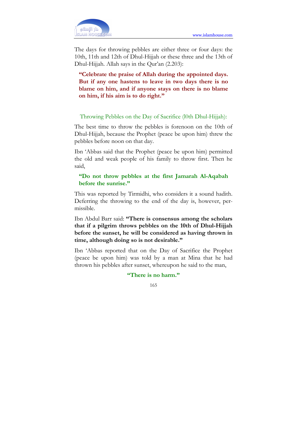

The days for throwing pebbles are either three or four days: the 10th, 11th and 12th of Dhul-Hijjah or these three and the 13th of Dhul-Hijjah. Allah says in the Qur'an (2.203):

"Celebrate the praise of Allah during the appointed days. But if any one hastens to leave in two days there is no blame on him, and if anyone stays on there is no blame on him, if his aim is to do right."

#### Throwing Pebbles on the Day of Sacrifice (l0th Dhul-Hijjah):

The best time to throw the pebbles is forenoon on the 10th of Dhul-Hijjah, because the Prophet (peace be upon him) threw the pebbles before noon on that day.

Ibn 'Abbas said that the Prophet (peace be upon him) permitted the old and weak people of his family to throw first. Then he said,

### "Do not throw pebbles at the first Jamarah Al-Aqabah before the sunrise."

This was reported by Tirmidhi, who considers it a sound hadith. Deferring the throwing to the end of the day is, however, permissible.

Ibn Abdul Barr said: "There is consensus among the scholars that if a pilgrim throws pebbles on the 10th of Dhul-Hijjah before the sunset, he will be considered as having thrown in time, although doing so is not desirable."

Ibn 'Abbas reported that on the Day of Sacrifice the Prophet (peace be upon him) was told by a man at Mina that he had thrown his pebbles after sunset, whereupon he said to the man,

"There is no harm."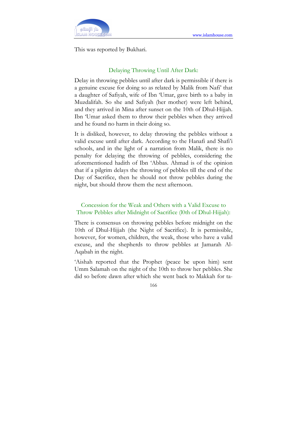

This was reported by Bukhari.

## Delaying Throwing Until After Dark:

Delay in throwing pebbles until after dark is permissible if there is a genuine excuse for doing so as related by Malik from Nafi' that a daughter of Safiyah, wife of Ibn 'Umar, gave birth to a baby in Muzdalifah. So she and Safiyah (her mother) were left behind, and they arrived in Mina after sunset on the 10th of Dhul-Hijjah. Ibn 'Umar asked them to throw their pebbles when they arrived and he found no harm in their doing so.

It is disliked, however, to delay throwing the pebbles without a valid excuse until after dark. According to the Hanafi and Shafi'i schools, and in the light of a narration from Malik, there is no penalty for delaying the throwing of pebbles, considering the aforementioned hadith of Ibn 'Abbas. Ahmad is of the opinion that if a pilgrim delays the throwing of pebbles till the end of the Day of Sacrifice, then he should not throw pebbles during the night, but should throw them the next afternoon.

# Concession for the Weak and Others with a Valid Excuse to Throw Pebbles after Midnight of Sacrifice (l0th of Dhul-Hijjah):

There is consensus on throwing pebbles before midnight on the 10th of Dhul-Hijjah (the Night of Sacrifice). It is permissible, however, for women, children, the weak, those who have a valid excuse, and the shepherds to throw pebbles at Jamarah Al-Aqabah in the night.

'Aishah reported that the Prophet (peace be upon him) sent Umm Salamah on the night of the 10th to throw her pebbles. She did so before dawn after which she went back to Makkah for ta-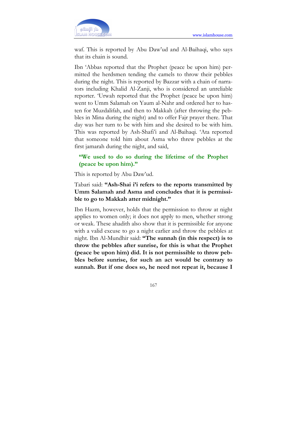

waf. This is reported by Abu Daw'ud and Al-Baihaqi, who says that its chain is sound.

Ibn 'Abbas reported that the Prophet (peace be upon him) permitted the herdsmen tending the camels to throw their pebbles during the night. This is reported by Bazzar with a chain of narrators including Khalid Al-Zanji, who is considered an unreliable reporter. 'Urwah reported that the Prophet (peace be upon him) went to Umm Salamah on Yaum al-Nahr and ordered her to hasten for Muzdalifah, and then to Makkah (after throwing the pebbles in Mina during the night) and to offer Fajr prayer there. That day was her turn to be with him and she desired to be with him. This was reported by Ash-Shafi'i and Al-Baihaqi. 'Ata reported that someone told him about Asma who threw pebbles at the first jamarah during the night, and said,

## "We used to do so during the lifetime of the Prophet (peace be upon him)."

This is reported by Abu Daw'ud.

Tabari said: "Ash-Shai i'i refers to the reports transmitted by Umm Salamah and Asma and concludes that it is permissible to go to Makkah atter midnight."

Ibn Hazm, however, holds that the permission to throw at night applies to women only; it does not apply to men, whether strong or weak. These ahadith also show that it is permissible for anyone with a valid excuse to go a night earlier and throw the pebbles at night. Ibn Al-Mundhir said: "The sunnah (in this respect) is to throw the pebbles after sunrise, for this is what the Prophet (peace be upon him) did. It is not permissible to throw pebbles before sunrise, for such an act would be contrary to sunnah. But if one does so, he need not repeat it, because I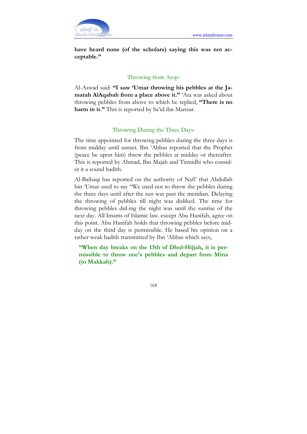

have heard none (of the scholars) saying this was not acceptable."

## Throwing from Atop:

Al-Aswad said: "I saw 'Umar throwing his pebbles at the Jamarah AlAqabah from a place above it." 'Ata was asked about throwing pebbles from above to which he replied, "There is no harm in it." This is reported by Sa'id ibn Mansur.

## Throwing During the Three Days:

The time appointed for throwing pebbles during the three days is from midday until sunset. Ibn 'Abbas reported that the Prophet (peace be upon him) threw the pebbles at midday or thereafter. This is reported by Ahmad, Ibn Majah and Tirmidhi who consider it a sound hadith.

Al-Baihaqi has reported on the authority of Nafi' that Abdullah bin 'Umar used to say "We used not to throw the pebbles during the three days until after the sun was past the meridian. Delaying the throwing of pebbles till night was disliked. The time for throwing pebbles dul-ing the night was until the sunrise of the next day. All Imams of Islamic law. except Abu Hanifah, agree on this point. Abu Hanifah holds that throwing pebbles before midday on the third day is permissible. He based his opinion on a rather weak hadith transmitted by Ibn 'Abbas which says,

"When day breaks on the 13th of Dhul-Hijjah, it is permissible to throw one's pebbles and depart from Mina (to Makkah)."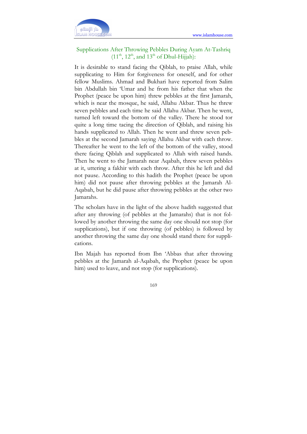

# Supplications After Throwing Pebbles During Ayam At-Tashriq  $(11<sup>th</sup>, 12<sup>th</sup>, and 13<sup>th</sup> of Dhul-Hijjah):$

It is desirable to stand facing the Qiblah, to praise Allah, while supplicating to Him for forgiveness for oneself, and for other fellow Muslims. Ahmad and Bukhari have reported from Salim bin Abdullah bin 'Umar and he from his father that when the Prophet (peace be upon him) threw pebbles at the first Jamarah, which is near the mosque, he said, Allahu Akbar. Thus he threw seven pebbles and each time he said Allahu Akbar. Then he went, turned left toward the bottom of the valley. There he stood tor quite a long time tacing the direction of Qiblah, and raising his hands supplicated to Allah. Then he went and threw seven pebbles at the second Jamarah saying Allahu Akbar with each throw. Thereafter he went to the left of the bottom of the valley, stood there facing Qiblah and supplicated to Allah with raised hands. Then he went to the Jamarah near Aqabah, threw seven pebbles at it, uttering a fakhir with each throw. After this he left and did not pause. According to this hadith the Prophet (peace be upon him) did not pause after throwing pebbles at the Jamarah Al-Aqabah, but he did pause after throwing pebbles at the other two Jamarahs.

The scholars have in the light of the above hadith suggested that after any throwing (of pebbles at the Jamarahs) that is not followed by another throwing the same day one should not stop (for supplications), but if one throwing (of pebbles) is followed by another throwing the same day one should stand there for supplications.

Ibn Majah has reported from Ibn 'Abbas that after throwing pebbles at the Jamarah al-Aqabah, the Prophet (peace be upon him) used to leave, and not stop (for supplications).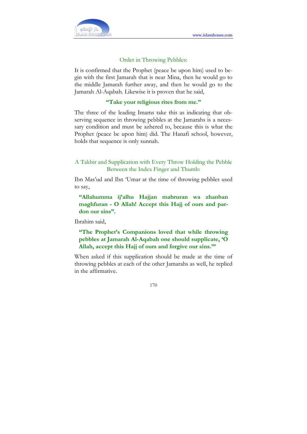

### Order in Throwing Pebbles:

It is confirmed that the Prophet (peace be upon him) used to begin with the first Jamarah that is near Mina, then he would go to the middle Jamarah further away, and then he would go to the Jamarah Al-Aqabah. Likewise it is proven that he said,

### "Take your religious rites from me."

The three of the leading Imams take this as indicating that observing sequence in throwing pebbles at the Jamarahs is a necessary condition and must be azhered to, because this is what the Prophet (peace be upon him) did. The Hanafi school, however, holds that sequence is only sunnah.

# A Takbir and Supplication with Every Throw Holding the Pebble Between the Index Finger and Thumb:

Ibn Mas'ud and Ibn 'Umar at the time of throwing pebbles used to say,

"Allahumma ij'alhu Hajjan mabruran wa zhanban maghfuran - O Allah! Accept this Hajj of ours and pardon our sins".

Ibrahim said,

# "The Prophet's Companions loved that while throwing pebbles at Jamarah Al-Aqabah one should supplicate, 'O Allah, accept this Hajj of ours and forgive our sins.'"

When asked if this supplication should be made at the time of throwing pebbles at each of the other Jamarahs as well, he replied in the affirmative.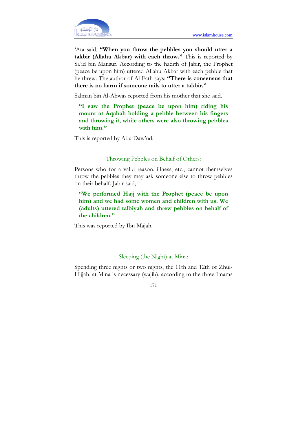

'Ata said, "When you throw the pebbles you should utter a takbir (Allahu Akbar) with each throw." This is reported by Sa'id bin Mansur. According to the hadith of Jabir, the Prophet (peace be upon him) uttered Allahu Akbar with each pebble that he threw. The author of Al-Fath says: "There is consensus that there is no harm if someone tails to utter a takbir."

Salman bin Al-Ahwas reported from his mother that she said.

"I saw the Prophet (peace be upon him) riding his mount at Aqabah holding a pebble between his fingers and throwing it, while others were also throwing pebbles with him."

This is reported by Abu Daw'ud.

## Throwing Pebbles on Behalf of Others:

Persons who for a valid reason, illness, etc., cannot themselves throw the pebbles they may ask someone else to throw pebbles on their behalf. Jabir said,

"We performed Hajj with the Prophet (peace be upon him) and we had some women and children with us. We (adults) uttered talbiyah and threw pebbles on behalf of the children."

This was reported by Ibn Majah.

# Sleeping (the Night) at Mina:

Spending three nights or two nights, the 11th and 12th of Zhul-Hijjah, at Mina is necessary (wajib), according to the three Imams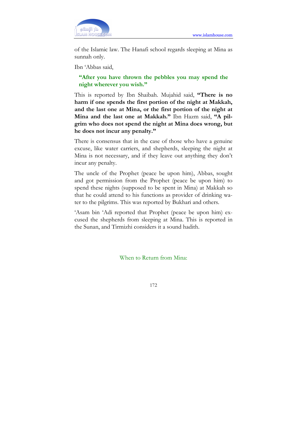

of the Islamic law. The Hanafi school regards sleeping at Mina as sunnah only.

Ibn 'Abbas said,

# "After you have thrown the pebbles you may spend the night wherever you wish."

This is reported by Ibn Shaibah. Mujahid said, "There is no harm if one spends the first portion of the night at Makkah, and the last one at Mina, or the first portion of the night at Mina and the last one at Makkah." Ibn Hazm said, "A pilgrim who does not spend the night at Mina does wrong, but he does not incur any penalty."

There is consensus that in the case of those who have a genuine excuse, like water carriers, and shepherds, sleeping the night at Mina is not necessary, and if they leave out anything they don't incur any penalty.

The uncle of the Prophet (peace be upon him), Abbas, sought and got permission from the Prophet (peace be upon him) to spend these nights (supposed to be spent in Mina) at Makkah so that he could attend to his functions as provider of drinking water to the pilgrims. This was reported by Bukhari and others.

'Asam bin 'Adi reported that Prophet (peace be upon him) excused the shepherds from sleeping at Mina. This is reported in the Sunan, and Tirmizhi considers it a sound hadith.

When to Return from Mina: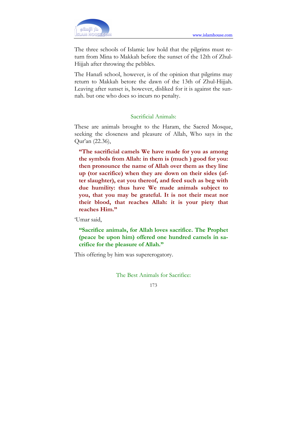

The three schools of Islamic law hold that the pilgrims must return from Mina to Makkah before the sunset of the 12th of Zhul-Hijjah after throwing the pebbles.

The Hanafi school, however, is of the opinion that pilgrims may return to Makkah betore the dawn of the 13th of Zhul-Hijjah. Leaving after sunset is, however, disliked for it is against the sunnah. but one who does so incurs no penalty.

#### Sacrificial Animals:

These are animals brought to the Haram, the Sacred Mosque, seeking the closeness and pleasure of Allah, Who says in the Qur'an (22.36),

"The sacrificial camels We have made for you as among the symbols from Allah: in them is (much ) good for you: then pronounce the name of Allah over them as they line up (tor sacrifice) when they are down on their sides (after slaughter), eat you thereof, and feed such as beg with due humility: thus have We made animals subject to you, that you may be grateful. It is not their meat nor their blood, that reaches Allah: it is your piety that reaches Him."

'Umar said,

"Sacrifice animals, for Allah loves sacrifice. The Prophet (peace be upon him) offered one hundred camels in sacrifice for the pleasure of Allah."

This offering by him was supererogatory.

The Best Animals for Sacrifice:

<sup>173</sup>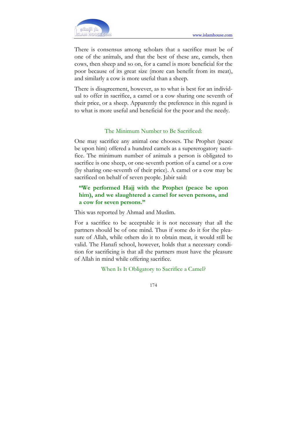

There is consensus among scholars that a sacrifice must be of one of the animals, and that the best of these are, camels, then cows, then sheep and so on, for a camel is more beneficial for the poor because of its great size (more can benefit from its meat), and similarly a cow is more useful than a sheep.

There is disagreement, however, as to what is best for an individual to offer in sacrifice, a camel or a cow sharing one seventh of their price, or a sheep. Apparently the preference in this regard is to what is more useful and beneficial for the poor and the needy.

#### The Minimum Number to Be Sacrificed:

One may sacrifice any animal one chooses. The Prophet (peace be upon him) offered a hundred camels as a supererogatory sacrifice. The minimum number of animals a person is obligated to sacrifice is one sheep, or one-seventh portion of a camel or a cow (by sharing one-seventh of their price). A camel or a cow may be sacrificed on behalf of seven people. Jabir said:

# "We performed Hajj with the Prophet (peace be upon him), and we slaughtered a camel for seven persons, and a cow for seven persons."

This was reported by Ahmad and Muslim.

For a sacrifice to be acceptable it is not necessary that all the partners should be of one mind. Thus if some do it for the pleasure of Allah, while others do it to obtain meat, it would still be valid. The Hanafi school, however, holds that a necessary condition for sacrificing is that all the partners must have the pleasure of Allah in mind while offering sacrifice.

When Is It Obligatory to Sacrifice a Camel?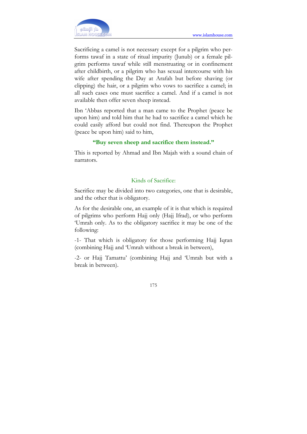

Sacrificing a camel is not necessary except for a pilgrim who performs tawaf in a state of ritual impurity (Junub) or a female pilgrim performs tawaf while still menstruating or in confinement after childbirth, or a pilgrim who has sexual intercourse with his wife after spending the Day at Arafah but before shaving (or clipping) the hair, or a pilgrim who vows to sacrifice a camel; in all such cases one must sacrifice a camel. And if a camel is not available then offer seven sheep instead.

Ibn 'Abbas reported that a man came to the Prophet (peace be upon him) and told him that he had to sacrifice a camel which he could easily afford but could not find. Thereupon the Prophet (peace be upon him) said to him,

## "Buy seven sheep and sacrifice them instead."

This is reported by Ahmad and Ibn Majah with a sound chain of narrators.

## Kinds of Sacrifice:

Sacrifice may be divided into two categories, one that is desirable, and the other that is obligatory.

As for the desirable one, an example of it is that which is required of pilgrims who perform Hajj only (Hajj Ifrad), or who perform 'Umrah only. As to the obligatory sacrifice it may be one of the following:

-1- That which is obligatory for those performing Hajj Iqran (combining Hajj and 'Umrah without a break in between),

-2- or Hajj Tamattu' (combining Hajj and 'Umrah but with a break in between).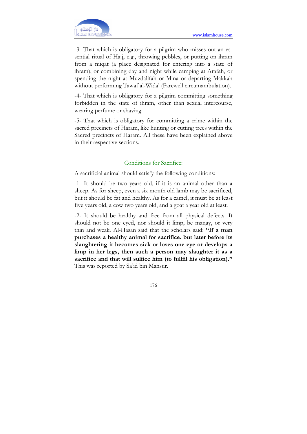

-3- That which is obligatory for a pilgrim who misses out an essential ritual of Hajj, e.g., throwing pebbles, or putting on ihram from a miqat (a place designated for entering into a state of ihram), or combining day and night while camping at Arafah, or spending the night at Muzdalifah or Mina or departing Makkah without performing Tawaf al-Wida' (Farewell circumambulation).

-4- That which is obligatory for a pilgrim committing something forbidden in the state of ihram, other than sexual intercourse, wearing perfume or shaving.

-5- That which is obligatory for committing a crime within the sacred precincts of Haram, like hunting or cutting trees within the Sacred precincts of Haram. All these have been explained above in their respective sections.

## Conditions for Sacrifice:

A sacrificial animal should satisfy the following conditions:

-1- It should be two years old, if it is an animal other than a sheep. As for sheep, even a six month old lamb may be sacrificed, but it should be fat and healthy. As for a camel, it must be at least five years old, a cow two years old, and a goat a year old at least.

-2- It should be healthy and free from all physical defects. It should not be one eyed, nor should it limp, be mangy, or very thin and weak. Al-Hasan said that the scholars said: "If a man purchases a healthy animal for sacrifice. but later before its slaughtering it becomes sick or loses one eye or develops a limp in her legs, then such a person may slaughter it as a sacrifice and that will sulfice him (to fullfil his obligation)." This was reported by Sa'id bin Mansur.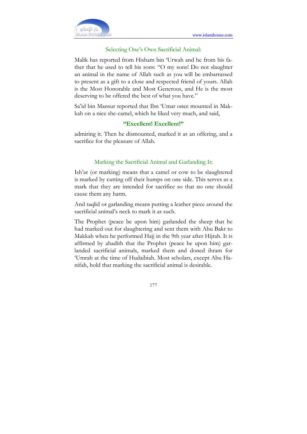

#### Selecting One's Own Sacrificial Animal:

Malik has reported from Hisham bin 'Urwah and he from his father that he used to tell his sons: "O my sons! Do not slaughter an animal in the name of Allah such as you will be embarrassed to present as a gift to a close and respected friend of yours. Allah is the Most Honorable and Most Generous, and He is the most deserving to be offered the best of what you have."

Sa'id bin Mansur reported that Ibn 'Umar once mounted in Makkah on a nice she-camel, which he liked very much, and said,

### "Excellent! Excellent!"

admiring it. Then he dismounted, marked it as an offering, and a sacrifice for the pleasure of Allah.

#### Marking the Sacrificial Animal and Garlanding It:

Ish'ar (or marking) means that a camel or cow to be slaughtered is marked by cutting off their humps on one side. This serves as a mark that they are intended for sacrifice so that no one should cause them any harm.

And taqlid or garlanding means putting a leather piece around the sacrificial animal's neck to mark it as such.

The Prophet (peace be upon him) garlanded the sheep that he had marked out for slaughtering and sent them with Abu Bakr to Makkah when he performed Hajj in the 9th year after Hijrah. It is affirmed by ahadith that the Prophet (peace be upon him) garlanded sacrificial animals, marked them and doned ihram for 'Umrah at the time of Hudaibiah. Most scholars, except Abu Hanifah, hold that marking the sacrificial animal is desirable.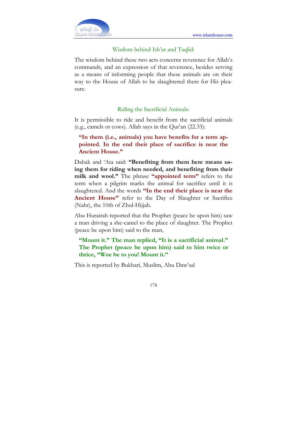

#### Wisdom behind Ish'ar and Taqlid:

The wisdom behind these two acts concerns reverence for Allah's commands, and an expression of that reverence, besides serving as a means of informing people that these animals are on their way to the House of Allah to be slaughtered there for His pleasure.

#### Riding the Sacrificial Animals:

It is permissible to ride and benefit from the sacrificial animals (e.g., camels or cows). Allah says in the Qur'an (22.33):

"In them (i.e., animals) you have benefits for a term appointed. In the end their place of sacrifice is near the Ancient House."

Dahak and 'Ata said: "Benefiting from them here means using them for riding when needed, and benefiting from their milk and wool." The phrase "appointed term" refers to the term when a pilgrim marks the animal for sacrifice until it is slaughtered. And the words "In the end their place is near the Ancient House" refer to the Day of Slaughter or Sacrifice (Nahr), the 10th of Zhul-Hijjah.

Abu Hurairah reported that the Prophet (peace be upon him) saw a man driving a she-camel to the place of slaughter. The Prophet (peace be upon him) said to the man,

"Mount it." The man replied, "It is a sacrificial animal." The Prophet (peace be upon him) said to him twice or thrice, "Woe be to you! Mount it."

This is reported by Bukhari, Muslim, Abu Daw'ud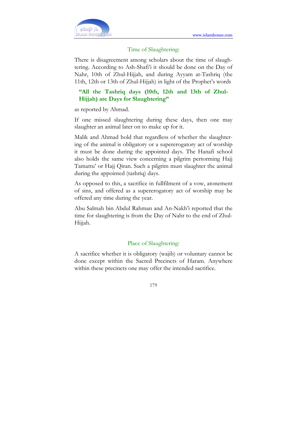

#### Time of Slaughtering:

There is disagreement among scholars about the time of slaughtering. According to Ash-Shafi'i it should be done on the Day of Nahr, 10th of Zhul-Hijjah, and during Ayyam at-Tashriq (the 11th, 12th or 13th of Zhul-Hijjah) in light of the Prophet's words

# "All the Tashriq days (10th, 12th and 13th of Zhul-Hijjah) are Days for Slaughtering"

as reported by Ahmad.

If one missed slaughtering during these days, then one may slaughter an animal later on to make up for it.

Malik and Ahmad hold that regardless of whether the slaughtering of the animal is obligatory or a supererogatory act of worship it must be done during the appointed days. The Hanafi school also holds the same view concerning a pilgrim pertorming Hajj Tamattu' or Hajj Qiran. Such a pilgrim must slaughter the animal during the appointed (tashriq) days.

As opposed to this, a sacrifice in fullfilment of a vow, atonement of sins, and offered as a supererogatory act of worship may be offered any time during the year.

Abu Salmah bin Abdul Rahman and An-Nakh'i reported that the time for slaughtering is from the Day of Nahr to the end of Zhul-Hijjah.

#### Place of Slaughtering:

A sacrifice whether it is obligatory (wajib) or voluntary cannot be done except within the Sacred Precincts of Haram. Anywhere within these precincts one may offer the intended sacrifice.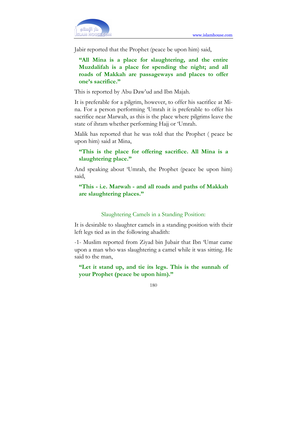

Jabir reported that the Prophet (peace be upon him) said,

"All Mina is a place for slaughtering, and the entire Muzdalifah is a place for spending the night; and all roads of Makkah are passageways and places to offer one's sacrifice."

This is reported by Abu Daw'ud and Ibn Majah.

It is preferable for a pilgrim, however, to offer his sacrifice at Mina. For a person performing 'Umrah it is preferable to offer his sacrifice near Marwah, as this is the place where pilgrims leave the state of ihram whether performing Hajj or 'Umrah.

Malik has reported that he was told that the Prophet ( peace be upon him) said at Mina,

"This is the place for offering sacrifice. All Mina is a slaughtering place."

And speaking about 'Umrah, the Prophet (peace be upon him) said,

"This - i.e. Marwah - and all roads and paths of Makkah are slaughtering places."

#### Slaughtering Camels in a Standing Position:

It is desirable to slaughter camels in a standing position with their left legs tied as in the following ahadith:

-1- Muslim reported from Ziyad bin Jubair that Ibn 'Umar came upon a man who was slaughtering a camel while it was sitting. He said to the man,

"Let it stand up, and tie its legs. This is the sunnah of your Prophet (peace be upon him)."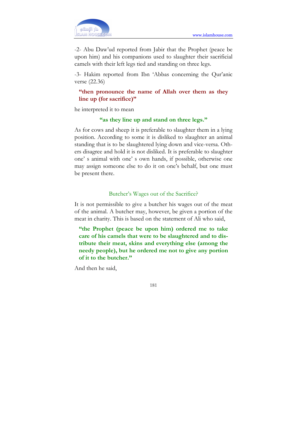

-2- Abu Daw'ud reported from Jabir that the Prophet (peace be upon him) and his companions used to slaughter their sacrificial camels with their left legs tied and standing on three legs.

-3- Hakim reported from Ibn 'Abbas concerning the Qur'anic verse (22.36)

## "then pronounce the name of Allah over them as they line up (for sacrifice)"

he interpreted it to mean

### "as they line up and stand on three legs."

As for cows and sheep it is preferable to slaughter them in a lying position. According to some it is disliked to slaughter an animal standing that is to be slaughtered lying down and vice-versa. Others disagree and hold it is not disliked. It is preferable to slaughter one' s animal with one' s own hands, if possible, otherwise one may assign someone else to do it on one's behalf, but one must be present there.

### Butcher's Wages out of the Sacrifice?

It is not permissible to give a butcher his wages out of the meat of the animal. A butcher may, however, be given a portion of the meat in charity. This is based on the statement of Ali who said,

"the Prophet (peace be upon him) ordered me to take care of his camels that were to be slaughtered and to distribute their meat, skins and everything else (among the needy people), but he ordered me not to give any portion of it to the butcher."

And then he said,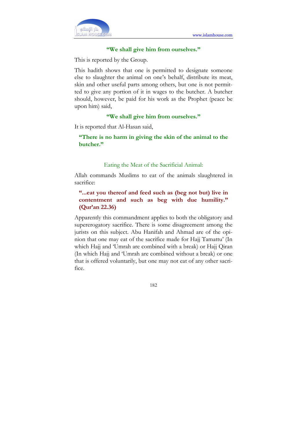

### "We shall give him from ourselves."

This is reported by the Group.

This hadith shows that one is permitted to designate someone else to slaughter the animal on one's behalf, distribute its meat, skin and other useful parts among others, but one is not permitted to give any portion of it in wages to the butcher. A butcher should, however, be paid for his work as the Prophet (peace be upon him) said,

### "We shall give him from ourselves."

It is reported that Al-Hasan said,

"There is no harm in giving the skin of the animal to the butcher."

### Eating the Meat of the Sacrificial Animal:

Allah commands Muslims to eat of the animals slaughtered in sacrifice:

## "...eat you thereof and feed such as (beg not but) live in contentment and such as beg with due humility." (Qur'an 22.36)

Apparently this commandment applies to both the obligatory and supererogatory sacrifice. There is some disagreement among the jurists on this subject. Abu Hanifah and Ahmad are of the opinion that one may eat of the sacrifice made for Hajj Tamattu' (In which Hajj and 'Umrah are combined with a break) or Hajj Qiran (In which Hajj and 'Umrah are combined without a break) or one that is offered voluntarily, but one may not eat of any other sacrifice.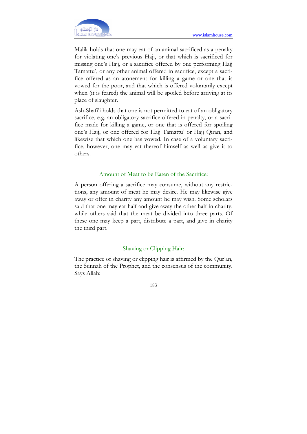Malik holds that one may eat of an animal sacrificed as a penalty for violating one's previous Hajj, or that which is sacrificed for missing one's Hajj, or a sacrifice offered by one performing Hajj Tamattu', or any other animal offered in sacrifice, except a sacrifice offered as an atonement for killing a game or one that is vowed for the poor, and that which is offered voluntarily except when (it is feared) the animal will be spoiled before arriving at its place of slaughter.

Ash-Shafi'i holds that one is not permitted to eat of an obligatory sacrifice, e.g. an obligatory sacrifice olfered in penalty, or a sacrifice made for killing a game, or one that is offered for spoiling one's Hajj, or one offered for Hajj Tamattu' or Hajj Qiran, and likewise that which one has vowed. In case of a voluntary sacrifice, however, one may eat thereof himself as well as give it to others.

### Amount of Meat to be Eaten of the Sacrifice:

A person offering a sacrifice may consume, without any restrictions, any amount of meat he may desire. He may likewise give away or offer in charity any amount he may wish. Some scholars said that one may eat half and give away the other half in charity, while others said that the meat be divided into three parts. Of these one may keep a part, distribute a part, and give in charity the third part.

### Shaving or Clipping Hair:

The practice of shaving or clipping hair is affirmed by the Qur'an, the Sunnah of the Prophet, and the consensus of the community. Says Allah: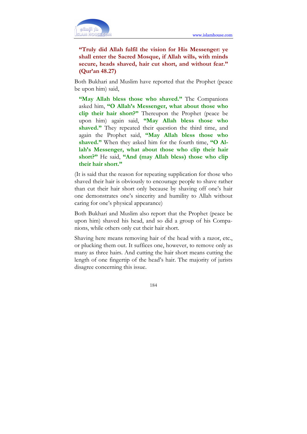

"Truly did Allah fulfil the vision for His Messenger: ye shall enter the Sacred Mosque, if Allah wills, with minds secure, heads shaved, hair cut short, and without fear." (Qur'an 48.27)

Both Bukhari and Muslim have reported that the Prophet (peace be upon him) said,

"May Allah bless those who shaved." The Companions asked him, "O Allah's Messenger, what about those who clip their hair short?" Thereupon the Prophet (peace be upon him) again said, "May Allah bless those who shaved." They repeated their question the third time, and again the Prophet said, "May Allah bless those who shaved." When they asked him for the fourth time, "O Allah's Messenger, what about those who clip their hair short?" He said, "And (may Allah bless) those who clip their hair short."

(It is said that the reason for repeating supplication for those who shaved their hair is obviously to encourage people to shave rather than cut their hair short only because by shaving off one's hair one demonstrates one's sincerity and humility to Allah without caring for one's physical appearance)

Both Bukhari and Muslim also report that the Prophet (peace be upon him) shaved his head, and so did a group of his Companions, while others only cut their hair short.

Shaving here means removing hair of the head with a razor, etc., or plucking them out. It suffices one, however, to remove only as many as three hairs. And cutting the hair short means cutting the length of one fingertip of the head's hair. The majority of jurists disagree concerning this issue.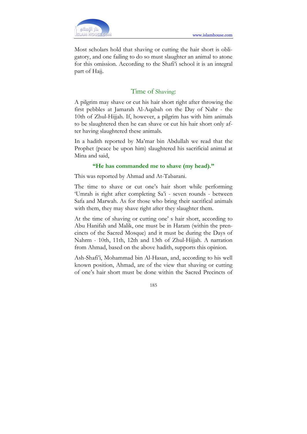Most scholars hold that shaving or cutting the hair short is obligatory, and one failing to do so must slaughter an animal to atone for this omission. According to the Shafi'i school it is an integral part of Hajj.

## Time of Shaving:

A pilgrim may shave or cut his hair short right after throwing the first pebbles at Jamarah Al-Aqabah on the Day of Nahr - the 10th of Zhul-Hijjah. If, however, a pilgrim has with him animals to be slaughtered then he can shave or cut his hair short only after having slaughtered these animals.

In a hadith reported by Ma'mar bin Abdullah we read that the Prophet (peace be upon him) slaughtered his sacrificial animal at Mina and said,

### "He has commanded me to shave (my head)."

This was reported by Ahmad and At-Tabarani.

The time to shave or cut one's hair short while performing 'Umrah is right after completing Sa'i - seven rounds - between Safa and Marwah. As for those who bring their sacrifical animals with them, they may shave right after they slaughter them.

At the time of shaving or cutting one' s hair short, according to Abu Hanifah and Malik, one must be in Haram (within the prencincts of the Sacred Mosque) and it must be during the Days of Nahrm - 10th, 11th, 12th and 13th of Zhul-Hijjah. A narration from Ahmad, based on the above hadith, supports this opinion.

Ash-Shafi'i, Mohammad bin Al-Hasan, and, according to his well known position, Ahmad, are of the view that shaving or cutting of one's hair short must be done within the Sacred Precincts of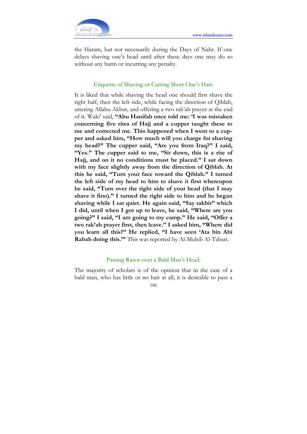

the Haram, but not necessarily during the Days of Nahr. If one delays shaving one's head until after these days one may do so without any harm or incurring any penalty.

### Etiquette of Shaving or Cutting Short One's Hair:

It is liked that while shaving the head one should first shave the right half, then the left side, while facing the direction of Qiblah, uttering Allahu Akbar, and offering a two rak'ah prayer at the end of it. Waki' said, "Abu Hanifah once told me: 'I was mistaken concerning five rites of Hajj and a cupper taught these to me and corrected me. This happened when I went to a cupper and asked him, "How much will you charge for shaving my head?" The cupper said, "Are you from Iraq?" I said, "Yes." The cupper said to me, "Sit down, this is a rite of Hajj, and on it no conditions must be placed." I sat down with my face slightly away from the direction of Qiblah. At this he said, "Turn your face toward the Qiblah." I turned the left side of my head to him to shave it first whereupon he said, "Turn over the right side of your head (that I may shave it first)." I turned the right side to him and he began shaving while I sat quiet. He again said, "Say takbir" which I did, until when I got up to leave, he said, "Where are you going?" I said, "I am going to my camp." He said, "Offer a two rak'ah prayer first, then leave." I asked him, "Where did you learn all this?" He replied, "I have seen 'Ata bin Abi Rabah doing this." This was reported by Al-Muhib Al-Tabari.

### Passing Razor over a Bald Man's Head:

The majority of scholars is of the opinion that in the case of a bald man, who has little or no hair at all, it is desirable to pass a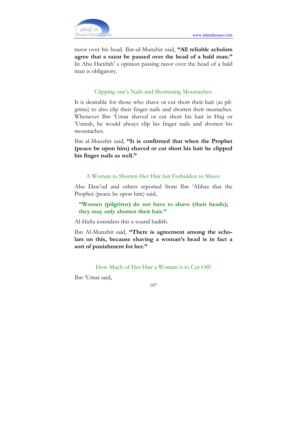razor over his head. Ibn-ul-Munzhir said, "All reliable scholars agree that a razor be passed over the head of a bald man." In Abu Hanifah' s opinion passing razor over the head of a bald man is obligatory.

### Clipping one's Nails and Shortening Moustaches:

It is desirable for those who shave or cut short their hair (as pilgrims) to also clip their finger nails and shorten their mustaches. Whenever Ibn 'Umar shaved or cut short his hair in Hajj or 'Umrah, he would always clip his finger nails and shorten his moustaches.

Ibn al-Munzhir said, "It is confirmed that when the Prophet (peace be upon him) shaved or cut short his hair he clipped his finger nails as well."

### A Woman to Shorten Her Hair but Forbidden to Shave:

Abu Daw'ud and others reported from Ibn 'Abbas that the Prophet (peace be upon him) said,

## "Women (pilgrims) do not have to shave (their heads); they may only shorten their hair."

Al-Hafiz considers this a sound hadith.

Ibn Al-Munzhir said, "There is agreement among the scholars on this, because shaving a woman's head is in fact a sort of punishment for her."

How Much of Her Hair a Woman is to Cut Off:

Ibn 'Umar said,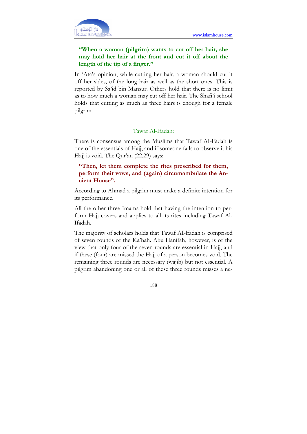

## "When a woman (pilgrim) wants to cut off her hair, she may hold her hair at the front and cut it off about the length of the tip of a finger."

In 'Ata's opinion, while cutting her hair, a woman should cut it off her sides, of the long hair as well as the short ones. This is reported by Sa'id bin Mansur. Others hold that there is no limit as to how much a woman may cut off her hair. The Shafi'i school holds that cutting as much as three hairs is enough for a female pilgrim.

### Tawaf Al-Ifadah:

There is consensus among the Muslims that Tawaf AI-lfadah is one of the essentials of Hajj, and if someone fails to observe it his Hajj is void. The Qur'an (22.29) says:

## "Then, let them complete the rites prescribed for them, perform their vows, and (again) circumambulate the Ancient House".

According to Ahmad a pilgrim must make a definite intention for its performance.

All the other three Imams hold that having the intention to perform Hajj covers and applies to all its rites including Tawaf Al-Ifadah.

The majority of scholars holds that Tawaf AI-lfadah is comprised of seven rounds of the Ka'bah. Abu Hanifah, however, is of the view that only four of the seven rounds are essential in Hajj, and if these (four) are missed the Hajj of a person becomes void. The remaining three rounds are necessary (wajib) but not essential. A pilgrim abandoning one or all of these three rounds misses a ne-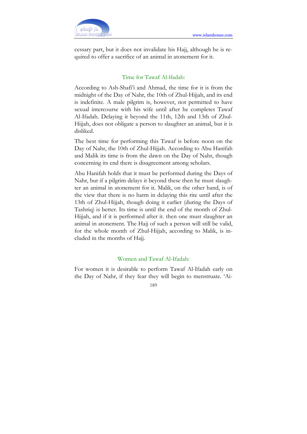

cessary part, but it does not invalidate his Hajj, although he is required to offer a sacrifice of an animal in atonement for it.

### Time for Tawaf Al-lfadah:

According to Ash-Shafi'i and Ahmad, the time for it is from the midnight of the Day of Nahr, the 10th of Zhul-Hijjah, and its end is indefinite. A male pilgrim is, however, not permitted to have sexual intercourse with his wife until after he completes Tawaf Al-Ifadah. Delaying it beyond the 11th, 12th and 13th of Zhul-Hijjah, does not obligate a person to slaughter an animal, but it is disliked.

The best time for performing this Tawaf is before noon on the Day of Nahr, the 10th of Zhul-Hijjah. According to Abu Hanifah and Malik its time is from the dawn on the Day of Nahr, though concerning its end there is disagreement among scholars.

Abu Hanifah holds that it must be performed during the Days of Nahr, but if a pilgrim delays it beyond these then he must slaughter an animal in atonement for it. Malik, on the other hand, is of the view that there is no harm in delaying this rite until after the 13th of Zhul-Hijjah, though doing it earlier (during the Days of Tashriq) is better. Its time is until the end of the month of Zhul-Hijjah, and if it is performed after it. then one must slaughter an animal in atonement. The Hajj of such a person will still be valid, for the whole month of Zhul-Hijjah, according to Malik, is included in the months of Hajj.

#### Women and Tawaf Al-Ifadah:

For women it is desirable to perform Tawaf Al-Ifadah early on the Day of Nahr, if they fear they will begin to menstruate. 'Ai-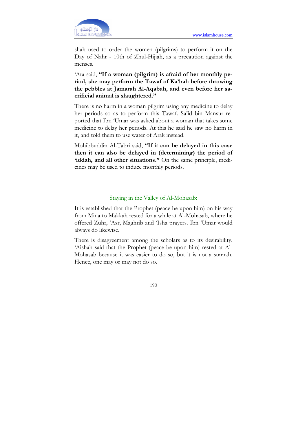

shah used to order the women (pilgrims) to perform it on the Day of Nahr - 10th of Zhul-Hijjah, as a precaution against the menses.

'Ata said, "If a woman (pilgrim) is afraid of her monthly period, she may perform the Tawaf of Ka'bah before throwing the pebbles at Jamarah Al-Aqabah, and even before her sacrificial animal is slaughtered."

There is no harm in a woman pilgrim using any medicine to delay her periods so as to perform this Tawaf. Sa'id bin Mansur reported that Ibn 'Umar was asked about a woman that takes some medicine to delay her periods. At this he said he saw no harm in it, and told them to use water of Arak instead.

Mohibbuddin Al-Tabri said, "If it can be delayed in this case then it can also be delayed in (determining) the period of 'iddah, and all other situations." On the same principle, medicines may be used to induce monthly periods.

### Staying in the Valley of Al-Mohasab:

It is established that the Prophet (peace be upon him) on his way from Mina to Makkah rested for a while at Al-Mohasab, where he offered Zuhr, 'Asr, Maghrib and 'Isha prayers. Ibn 'Umar would always do likewise.

There is disagreement among the scholars as to its desirability. 'Aishah said that the Prophet (peace be upon him) rested at Al-Mohasab because it was easier to do so, but it is not a sunnah. Hence, one may or may not do so.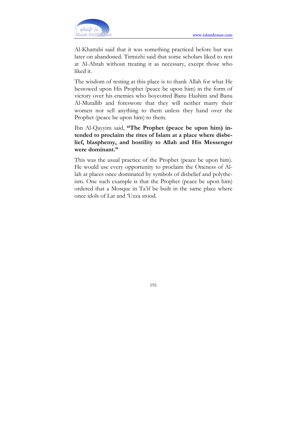

Al-Khattabi said that it was something practiced before but was later on abandoned. Tirmizhi said that some scholars liked to rest at Al-Abtah without treating it as necessary, except those who liked it.

The wisdom of resting at this place is to thank Allah for what He bestowed upon His Prophet (peace be upon him) in the form of victory over his enemies who boycotted Banu Hashim and Banu Al-Mutallib and foreswore that they will neither marry their women nor sell anything to them unless they hand over the Prophet (peace be upon him) to them.

Ibn Al-Qayyim said, "The Prophet (peace be upon him) intended to proclaim the rites of Islam at a place where disbelief, blasphemy, and hostility to Allah and His Messenger were dominant."

This was the usual practice of the Prophet (peace be upon him). He would use every opportunity to proclaim the Oneness of Allah at places once dominated by symbols of disbelief and polytheism. One such example is that the Prophet (peace be upon him) ordered that a Mosque in Ta'if be built in the same place where once idols of Lat and 'Uzza stood.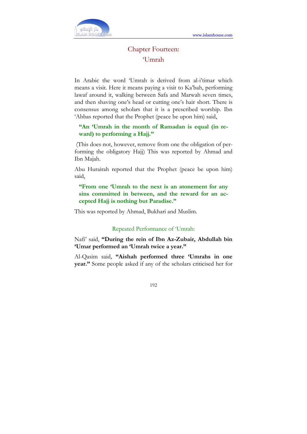

# Chapter Fourteen: 'Umrah

In Arabic the word 'Umrah is derived from al-i'timar which means a visit. Here it means paying a visit to Ka'bah, performing lawaf around it, walking between Safa and Marwah seven times, and then shaving one's head or cutting one's hair short. There is consensus among scholars that it is a prescribed worship. Ibn 'Abbas reported that the Prophet (peace be upon him) said,

## "An 'Umrah in the month of Ramadan is equal (in reward) to performing a Hajj."

 (This does not, however, remove from one the obligation of performing the obligatory Hajj) This was reported by Ahmad and Ibn Majah.

Abu Hurairah reported that the Prophet (peace be upon him) said,

## "From one 'Umrah to the next is an atonement for any sins committed in between, and the reward for an accepted Hajj is nothing but Paradise."

This was reported by Ahmad, Bukhari and Muslim.

### Repeated Performance of 'Umrah:

Nafi' said, "During the rein of Ibn Az-Zubair, Abdullah bin 'Umar performed an 'Umrah twice a year."

Al-Qasim said, "Aishah performed three 'Umrahs in one year." Some people asked if any of the scholars criticised her for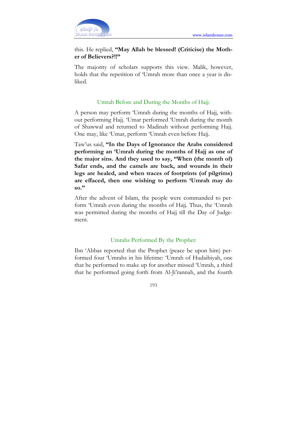

## this. He replied, "May Allah be blessed! (Criticise) the Mother of Believers?!!"

The majority of scholars supports this view. Malik, however, holds that the repetition of 'Umrah more than once a year is disliked.

## Umrah Before and During the Months of Hajj:

A person may perform 'Umrah during the months of Hajj, without performing Hajj. 'Umar performed 'Umrah during the month of Shawwal and returned to Madinah without performing Hajj. One may, like 'Umar, perform 'Umrah even before Hajj.

Taw'us said, "In the Days of Ignorance the Arabs considered performing an 'Umrah during the months of Hajj as one of the major sins. And they used to say, "When (the month of) Safar ends, and the camels are back, and wounds in their legs are healed, and when traces of footprints (of pilgrims) are effaced, then one wishing to perform 'Umrah may do so."

After the advent of Islam, the people were commanded to perform 'Umrah even during the months of Hajj. Thus, the 'Umrah was permitted during the months of Hajj till the Day of Judgement.

### Umrahs Performed By the Prophet:

Ibn 'Abbas reported that the Prophet (peace be upon him) performed four 'Umrahs in his lifetime: 'Umrah of Hudaibiyah, one that he performed to make up for another missed 'Umrah, a third that he performed going forth from Al-Ji'rannah, and the fourth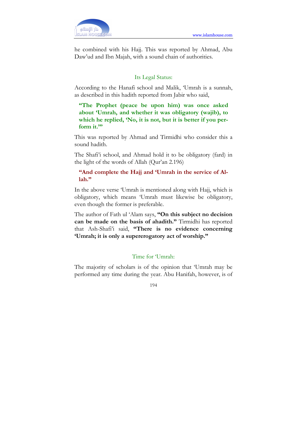

he combined with his Hajj. This was reported by Ahmad, Abu Daw'ud and Ibn Majah, with a sound chain of authorities.

## Its Legal Status:

According to the Hanafi school and Malik, 'Umrah is a sunnah, as described in this hadith reported from Jabir who said,

"The Prophet (peace be upon him) was once asked about 'Umrah, and whether it was obligatory (wajib), to which he replied, 'No, it is not, but it is better if you perform it."

This was reported by Ahmad and Tirmidhi who consider this a sound hadith.

The Shafi'i school, and Ahmad hold it to be obligatory (fard) in the light of the words of Allah (Qur'an 2.196)

## "And complete the Hajj and 'Umrah in the service of Allah."

In the above verse 'Umrah is mentioned along with Hajj, which is obligatory, which means 'Umrah must likewise be obligatory, even though the former is preferable.

The author of Fath ul 'Alam says, "On this subject no decision can be made on the basis of ahadith." Tirmidhi has reported that Ash-Shafi'i said, "There is no evidence concerning 'Umrah; it is only a supererogatory act of worship."

## Time for 'Umrah:

The majority of scholars is of the opinion that 'Umrah may be performed any time during the year. Abu Hanifah, however, is of

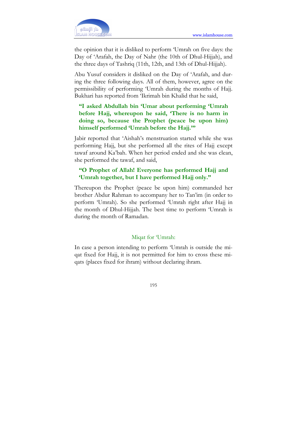

the opinion that it is disliked to perform 'Umrah on five days: the Day of 'Arafah, the Day of Nahr (the 10th of Dhul-Hijjah), and the three days of Tashriq (11th, 12th, and 13th of Dhul-Hijjah).

Abu Yusuf considers it disliked on the Day of 'Arafah, and during the three following days. All of them, however, agree on the permissibility of performing 'Umrah during the months of Hajj. Bukhari has reported from 'Ikrimah bin Khalid that he said,

## "I asked Abdullah bin 'Umar about performing 'Umrah before Hajj, whereupon he said, 'There is no harm in doing so, because the Prophet (peace be upon him) himself performed 'Umrah before the Hajj."

Jabir reported that 'Aishah's menstruation started while she was performing Hajj, but she performed all the rites of Hajj except tawaf around Ka'bah. When her period ended and she was clean, she performed the tawaf, and said,

## "O Prophet of Allah! Everyone has performed Hajj and 'Umrah together, but I have performed Hajj only."

Thereupon the Prophet (peace be upon him) commanded her brother Abdur Rahman to accompany her to Tan'im (in order to perform 'Umrah). So she performed 'Umrah right after Hajj in the month of Dhul-Hijjah. The best time to perform 'Umrah is during the month of Ramadan.

### Miqat for 'Umrah:

In case a person intending to perform 'Umrah is outside the miqat fixed for Hajj, it is not permitted for him to cross these miqats (places fixed for ihram) without declaring ihram.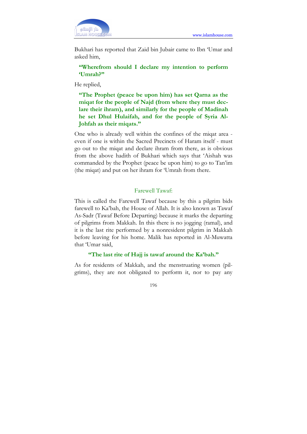

Bukhari has reported that Zaid bin Jubair came to Ibn 'Umar and asked him,

"Wherefrom should I declare my intention to perform 'Umrah?"

He replied,

"The Prophet (peace be upon him) has set Qarna as the miqat for the people of Najd (from where they must declare their ihram), and similarly for the people of Madinah he set Dhul Hulaifah, and for the people of Syria Al-Johfah as their miqats."

One who is already well within the confines of the miqat area even if one is within the Sacred Precincts of Haram itself - must go out to the miqat and declare ihram from there, as is obvious from the above hadith of Bukhari which says that 'Aishah was commanded by the Prophet (peace be upon him) to go to Tan'im (the miqat) and put on her ihram for 'Umrah from there.

### Farewell Tawaf:

This is called the Farewell Tawaf because by this a pilgrim bids farewell to Ka'bah, the House of Allah. It is also known as Tawaf As-Sadr (Tawaf Before Departing) because it marks the departing of pilgrims from Makkah. In this there is no jogging (ramal), and it is the last rite performed by a nonresident pilgrim in Makkah before leaving for his home. Malik has reported in Al-Muwatta that 'Umar said,

#### "The last rite of Hajj is tawaf around the Ka'bah."

As for residents of Makkah, and the menstruating women (pilgrims), they are not obligated to perform it, nor to pay any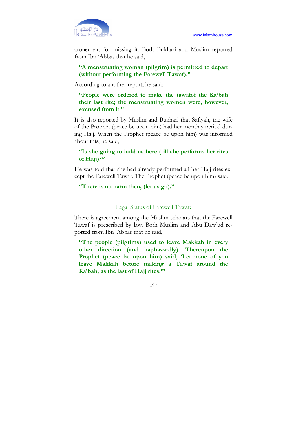

atonement for missing it. Both Bukhari and Muslim reported from Ibn 'Abbas that he said,

## "A menstruating woman (pilgrim) is permitted to depart (without performing the Farewell Tawaf)."

According to another report, he said:

"People were ordered to make the tawafof the Ka'bah their last rite; the menstruating women were, however, excused from it."

It is also reported by Muslim and Bukhari that Safiyah, the wife of the Prophet (peace be upon him) had her monthly period during Hajj. When the Prophet (peace be upon him) was informed about this, he said,

## "Is she going to hold us here (till she performs her rites of Hajj)?"

He was told that she had already performed all her Hajj rites except the Farewell Tawaf. The Prophet (peace be upon him) said,

### "There is no harm then, (let us go)."

### Legal Status of Farewell Tawaf:

There is agreement among the Muslim scholars that the Farewell Tawaf is prescribed by law. Both Muslim and Abu Daw'ud reported from Ibn 'Abbas that he said,

"The people (pilgrims) used to leave Makkah in every other direction (and haphazardly). Thereupon the Prophet (peace be upon him) said, 'Let none of you leave Makkah betore making a Tawaf around the Ka'bah, as the last of Hajj rites.'"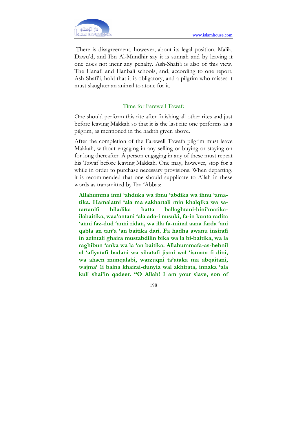There is disagreement, however, about its legal position. Malik, Dawu'd, and Ibn Al-Mundhir say it is sunnah and by leaving it one does not incur any penalty. Ash-Shafi'i is also of this view. The Hanafi and Hanbali schools, and, according to one report, Ash-Shafi'i, hold that it is obligatory, and a pilgrim who misses it must slaughter an animal to atone for it.

## Time for Farewell Tawaf:

One should perform this rite after finishing all other rites and just before leaving Makkah so that it is the last rite one performs as a pilgrim, as mentioned in the hadith given above.

After the completion of the Farewell Tawafa pilgrim must leave Makkah, without engaging in any selling or buying or staying on for long thereafter. A person engaging in any of these must repeat his Tawaf before leaving Makkah. One may, however, stop for a while in order to purchase necessary provisions. When departing, it is recommended that one should supplicate to Allah in these words as transmitted by Ibn 'Abbas:

Allahumma inni 'ahduka wa ibnu 'abdika wa ihnu 'amatika. Hamalatni 'ala ma sakhartali min khalqika wa satartanifi hiladika hatta ballaghtani-bini'matikailabaitika, waa'antani 'ala ada-i nusuki, fa-in kunta radita 'anni faz-dud 'anni ridan, wa illa fa-minal aana farda 'ani qabla an tan'a 'an baitika dari. Fa hadha awanu insirafi in azintali ghaira mustabdilin bika wa la bi-baitika, wa la raghibun 'anka wa la 'an baitika. Allahummafa-as-hebnil al 'afiyatafi badani wa sihatafi jismi wal 'ismata fi dini, wa ahsen munqalabi, warzuqni ta'ataka ma abqaitani, wajma' 1i balna khairai-dunyia wal akhirata, innaka 'ala kuli shai'in qadeer. "O Allah! I am your slave, son of

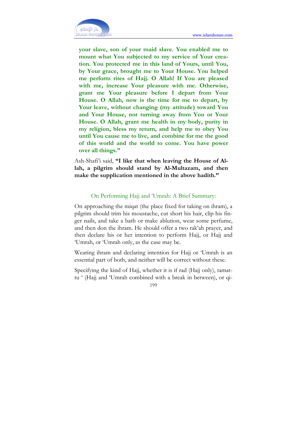

your slave, son of your maid slave. You enabled me to mount what You subjected to my service of Your creation. You protected me in this land of Yours, until You, by Your grace, brought me to Your House. You helped me perform rites of Hajj. O Allah! If You are pleased with me, increase Your pleasure with me. Otherwise, grant me Your pleasure before I depart from Your House. O Allah, now is the time for me to depart, by Your leave, without changing (my attitude) toward You and Your House, nor turning away from You or Your House. O Allah, grant me health in my body, purity in my religion, bless my return, and help me to obey You until You cause me to live, and combine for me the good of this world and the world to come. You have power over all things."

Ash-Shafi'i said, "I like that when leaving the House of Allah, a pilgrim should stand by Al-Multazam, and then make the supplication mentioned in the above hadith."

### On Performing Hajj and 'Umrah: A Brief Summary:

On approaching the miqat (the place fixed for taking on ihram), a pilgrim should trim his moustache, cut short his hair, clip his finger nails, and take a bath or make ablution, wear some perfume, and then don the ihram. He should offer a two rak'ah prayer, and then declare his or her intention to perform Hajj, or Hajj and 'Umrah, or 'Umrah only, as the case may be.

Wearing ihram and declaring intention for Hajj or 'Umrah is an essential part of both, and neither will be correct without these.

Specifying the kind of Hajj, whether it is if rad (Hajj only), tamattu ' (Hajj and 'Umrah combined with a break in between), or qi-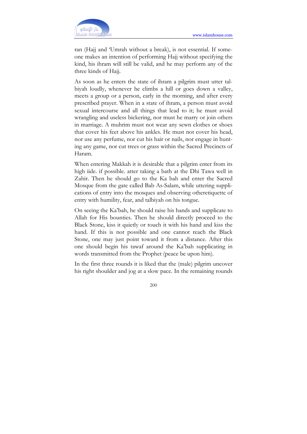

ran (Hajj and 'Umrah without a break), is not essential. If someone makes an intention of performing Hajj without specifying the kind, his ihram will still be valid, and he may perform any of the three kinds of Hajj.

As soon as he enters the state of ihram a pilgrim must utter talbiyah loudly, whenever he climbs a hill or goes down a valley, meets a group or a person, early in the morning, and after every prescribed prayer. When in a state of ihram, a person must avoid sexual intercourse and all things that lead to it; he must avoid wrangling and useless bickering, nor must he marry or join others in marriage. A muhrim must not wear any sewn clothes or shoes that cover his feet above his ankles. He must not cover his head, nor use any perfume, nor cut his hair or nails, nor engage in hunting any game, nor cut trees or grass within the Sacred Precincts of Haram.

When entering Makkah it is desirable that a pilgrim enter from its high iide. if possible. atter taking a bath at the Dhi Tawa well in Zahir. Then he should go to the Ka bah and enter the Sacred Mosque from the gate called Bab As-Salam, while uttering supplications of entry into the mosques and observing otheretiquette of entry with humility, fear, and talbiyah on his tongue.

On seeing the Ka'bah, he should raise his hands and supplicate to Allah for His bounties. Then he should directly proceed to the Black Stone, kiss it quietly or touch it with his hand and kiss the hand. If this is not possible and one cannot reach the Black Stone, one may just point toward it from a distance. After this one should begin his tawaf around the Ka'bah supplicating in words transmitted from the Prophet (peace be upon him).

In the first three rounds it is liked that the (male) pilgrim uncover his right shoulder and jog at a slow pace. In the remaining rounds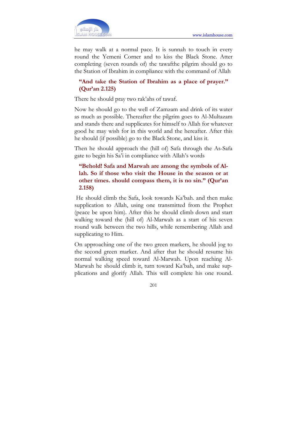

he may walk at a normal pace. It is sunnah to touch in every round the Yemeni Corner and to kiss the Black Stone. Atter completing (seven rounds of) the tawafthe pilgrim should go to the Station of Ibrahim in compliance with the command of Allah

## "And take the Station of Ibrahim as a place of prayer." (Qur'an 2.125)

There he should pray two rak'ahs of tawaf.

Now he should go to the well of Zamzam and drink of its water as much as possible. Thereafter the pilgrim goes to Al-Multazam and stands there and supplicates for himself to Allah for whatever good he may wish for in this world and the hereafter. After this he should (if possible) go to the Black Stone, and kiss it.

Then he should approach the (hill of) Safa through the As-Safa gate to begin his Sa'i in compliance with Allah's words

## "Behold! Safa and Marwah are among the symbols of Allah. So if those who visit the House in the season or at other times. should compass them, it is no sin." (Qur'an 2.158)

 He should climb the Safa, look towards Ka'bah. and then make supplication to Allah, using one transmitted from the Prophet (peace be upon him). After this he should climb down and start walking toward the (hill of) Al-Marwah as a start of his seven round walk between the two hills, while remembering Allah and supplicating to Him.

On approaching one of the two green markers, he should jog to the second green marker. And after that he should resume his normal walking speed toward Al-Marwah. Upon reaching Al-Marwah he should climb it, turn toward Ka'bah, and make supplications and glorify Allah. This will complete his one round.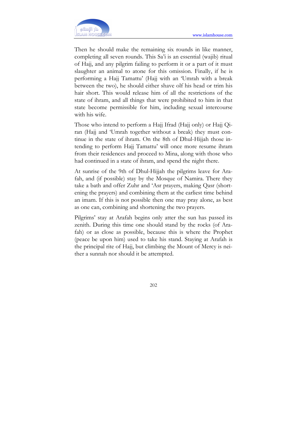

Then he should make the remaining six rounds in like manner, completing all seven rounds. This Sa'i is an essential (wajib) ritual of Hajj, and any pilgrim failing to perform it or a part of it must slaughter an animal to atone for this omission. Finally, if he is performing a Hajj Tamattu' (Hajj with an 'Umrah with a break between the two), he should either shave olf his head or trim his hair short. This would release him of all the restrictions of the state of ihram, and all things that were prohibited to him in that state become permissible for him, including sexual intercourse with his wife.

Those who intend to perform a Hajj Ifrad (Hajj only) or Hajj Qiran (Hajj and 'Umrah together without a break) they must continue in the state of ihram. On the 8th of Dhul-Hijjah those intending to perform Hajj Tamattu' will once more resume ihram from their residences and proceed to Mina, along with those who had continued in a state of ihram, and spend the night there.

At sunrise of the 9th of Dhul-Hijjah the pilgrims leave for Arafah, and (if possible) stay by the Mosque of Namira. There they take a bath and offer Zuhr and 'Asr prayers, making Qasr (shortening the prayers) and combining them at the earliest time behind an imam. If this is not possible then one may pray alone, as best as one can, combining and shortening the two prayers.

Pilgrims' stay at Arafah begins only atter the sun has passed its zenith. During this time one should stand by the rocks (of Arafah) or as close as possible, because this is where the Prophet (peace be upon him) used to take his stand. Staying at Arafah is the principal rite of Hajj, but climbing the Mount of Mercy is neither a sunnah nor should it be attempted.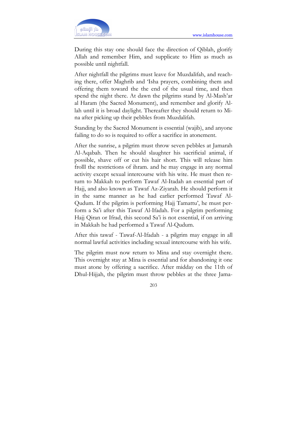

During this stay one should face the direction of Qiblah, glorify Allah and remember Him, and supplicate to Him as much as possible until nightfall.

After nightfall the pilgrims must leave for Muzdalifah, and reaching there, offer Maghrib and 'Isha prayers, combining them and offering them toward the the end of the usual time, and then spend the night there. At dawn the pilgrims stand by Al-Mash'ar al Haram (the Sacred Monument), and remember and glorify Allah until it is broad daylight. Thereafter they should return to Mina after picking up their pebbles from Muzdalifah.

Standing by the Sacred Monument is essential (wajib), and anyone failing to do so is required to offer a sacrifice in atonement.

After the sunrise, a pilgrim must throw seven pebbles at Jamarah Al-Aqabah. Then he should slaughter his sacrificial animal, if possible, shave off or cut his hair short. This will release him frolll the restrictions of ihram. and he may engage in any normal activity except sexual intercourse with his wite. He must then return to Makkah to perform Tawaf Al-Itadah an essential part of Hajj, and also known as Tawaf Az-Ziyarah. He should perform it in the same manner as he had earlier performed Tawaf Al-Qudum. If the pilgrim is performing Hajj Tamattu', he must perform a Sa'i after this Tawaf Al-Ifadah. For a pilgrim performing Hajj Qiran or Ifrad, this second Sa'i is not essential, if on arriving in Makkah he had performed a Tawaf Al-Qudum.

After this tawaf - Tawaf-Al-Ifadah - a pilgrim may engage in all normal lawful activities including sexual intercourse with his wife.

The pilgrim must now return to Mina and stay overnight there. This overnight stay at Mina is essential and for abandoning it one must atone by offering a sacrifice. After midday on the 11th of Dhul-Hijjah, the pilgrim must throw pebbles at the three Jama-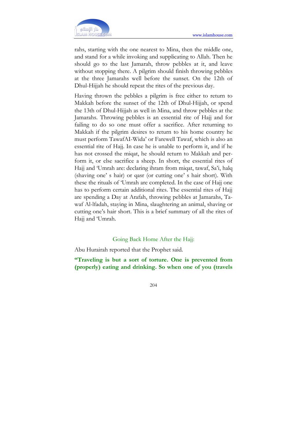

rahs, starting with the one nearest to Mina, then the middle one, and stand for a while invoking and supplicating to Allah. Then he should go to the last Jamarah, throw pebbles at it, and leave without stopping there. A pilgrim should finish throwing pebbles at the three Jamarahs well before the sunset. On the 12th of Dhul-Hijjah he should repeat the rites of the previous day.

Having thrown the pebbles a pilgrim is free either to return to Makkah before the sunset of the 12th of Dhul-Hijjah, or spend the 13th of Dhul-Hijjah as well in Mina, and throw pebbles at the Jamarahs. Throwing pebbles is an essential rite of Hajj and for failing to do so one must offer a sacrifice. After returning to Makkah if the pilgrim desires to return to his home country he must perform TawafAI-Wida' or Farewell Tawaf, which is also an essential rite of Hajj. In case he is unable to perform it, and if he has not crossed the miqat, he should return to Makkah and perform it, or else sacrifice a sheep. In short, the essential rites of Hajj and 'Umrah are: declaring ihram from miqat, tawaf, Sa'i, halq (shaving one' s hair) or qasr (or cutting one' s hair short). With these the rituals of 'Umrah are completed. In the case of Hajj one has to perform certain additional rites. The essential rites of Hajj are spending a Day at Arafah, throwing pebbles at Jamarahs, Tawaf Al-lfadah, staying in Mina, slaughtering an animal, shaving or cutting one's hair short. This is a brief summary of all the rites of Hajj and 'Umrah.

### Going Back Home After the Hajj:

Abu Hurairah reported that the Prophet said.

"Traveling is but a sort of torture. One is prevented from (properly) eating and drinking. So when one of you (travels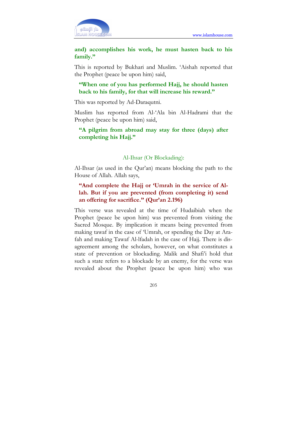

and) accomplishes his work, he must hasten back to his family."

This is reported by Bukhari and Muslim. 'Aishah reported that the Prophet (peace be upon him) said,

## "When one of you has performed Hajj, he should hasten back to his family, for that will increase his reward."

This was reported by Ad-Daraqutni.

Muslim has reported from Al-'Ala bin Al-Hadrami that the Prophet (peace be upon him) said,

## "A pilgrim from abroad may stay for three (days) after completing his Hajj."

#### Al-Ihsar (Or Blockading):

Al-Ihsar (as used in the Qur'an) means blocking the path to the House of Allah. Allah says,

## "And complete the Hajj or 'Umrah in the service of Allah. But if you are prevented (from completing it) send an offering for sacrifice." (Qur'an 2.196)

This verse was revealed at the time of Hudaibiah when the Prophet (peace be upon him) was prevented from visiting the Sacred Mosque. By implication it means being prevented from making tawaf in the case of 'Umrah, or spending the Day at Arafah and making Tawaf Al-lfadah in the case of Hajj. There is disagreement among the scholars, however, on what constitutes a state of prevention or blockading. Malik and Shafi'i hold that such a state refers to a blockade by an enemy, for the verse was revealed about the Prophet (peace be upon him) who was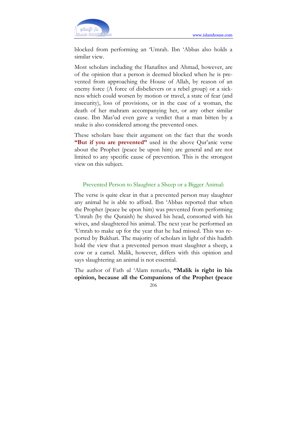

blocked from performing an 'Umrah. Ibn 'Abbas also holds a similar view.

Most scholars including the Hanafites and Ahmad, however, are of the opinion that a person is deemed blocked when he is prevented from approaching the House of Allah, by reason of an enemy force (A force of disbelievers or a rebel group) or a sickness which could worsen by motion or travel, a state of fear (and insecurity), loss of provisions, or in the case of a woman, the death of her mahram accompanying her, or any other similar cause. Ibn Mas'ud even gave a verdict that a man bitten by a snake is also considered among the prevented ones.

These scholars base their argument on the fact that the words "But if you are prevented" used in the above Qur'anic verse about the Prophet (peace be upon him) are general and are not limited to any specific cause of prevention. This is the strongest view on this subject.

### Prevented Person to Slaughter a Sheep or a Bigger Animal:

The verse is quite clear in that a prevented person may slaughter any animal he is able to afford. Ibn 'Abbas reported that when the Prophet (peace be upon him) was prevented from performing 'Umrah (by the Quraish) he shaved his head, consorted with his wives, and slaughtered his animal. The next year he performed an 'Umrah to make up for the year that he had missed. This was reported by Bukhari. The majority of scholars in light of this hadith hold the view that a prevented person must slaughter a sheep, a cow or a camel. Malik, however, differs with this opinion and says slaughtering an animal is not essential.

The author of Fath ul 'Alam remarks, "Malik is right in his opinion, because all the Companions of the Prophet (peace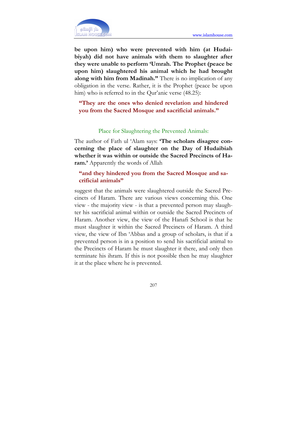

be upon him) who were prevented with him (at Hudaibiyah) did not have animals with them to slaughter after they were unable to perform 'Umrah. The Prophet (peace be upon him) slaughtered his animal which he had brought along with him from Madinah." There is no implication of any obligation in the verse. Rather, it is the Prophet (peace be upon him) who is referred to in the Qur'anic verse (48.25):

"They are the ones who denied revelation and hindered you from the Sacred Mosque and sacrificial animals."

#### Place for Slaughtering the Prevented Animals:

The author of Fath ul 'Alam says: 'The scholars disagree concerning the place of slaughter on the Day of Hudaibiah whether it was within or outside the Sacred Precincts of Haram.' Apparently the words of Allah

### "and they hindered you from the Sacred Mosque and sacrificial animals"

suggest that the animals were slaughtered outside the Sacred Precincts of Haram. There are various views concerning this. One view - the majority view - is that a prevented person may slaughter his sacrificial animal within or outside the Sacred Precincts of Haram. Another view, the view of the Hanafi School is that he must slaughter it within the Sacred Precincts of Haram. A third view, the view of Ibn 'Abbas and a group of scholars, is that if a prevented person is in a position to send his sacrificial animal to the Precincts of Haram he must slaughter it there, and only then terminate his ihram. If this is not possible then he may slaughter it at the place where he is prevented.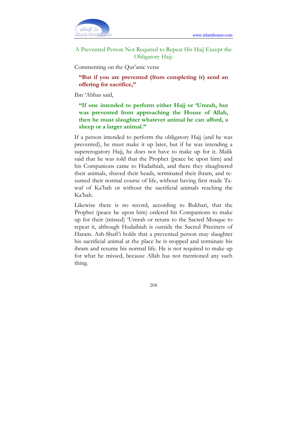

A Prevented Person Not Required to Repeat His Hajj Except the Obligatory Hajj:

Commenting on the Qur'anic verse

"But if you are prevented (from completing it) send an offering for sacrifice,"

Ibn 'Abbas said,

"If one intended to perform either Hajj or 'Umrah, but was prevented from approaching the House of Allah, then he must slaughter whatever animal he can afford, a sheep or a larger animal."

If a person intended to perform the obligatory Hajj (and he was prevented), he must make it up later, but if he was intending a supererogatory Hajj, he does not have to make up for it. Malik said that he was told that the Prophet (peace be upon him) and his Companions came to Hudaibiah, and there they slaughtered their animals, shaved their heads, terminated their ihram, and resumed their normal course of life, without having first made Tawaf of Ka'bah or without the sacrificial animals reaching the Ka'bah.

Likewise there is no record, according to Bukhari, that the Prophet (peace be upon him) ordered his Companions to make up for their (missed) 'Umrah or return to the Sacred Mosque to repeat it, although Hudaibiah is outside the Sacred Precincts of Haram. Ash-Shafi'i holds that a prevented person may slaughter his sacrificial animal at the place he is stopped and terminate his ihram and resume his norrnal life. He is not required to make up for what he missed, because Allah has not mentioned any such thing.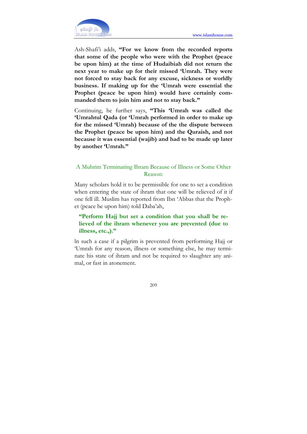

Ash-Shafi'i adds, "For we know from the recorded reports that some of the people who were with the Prophet (peace be upon him) at the time of Hudaibiah did not return the next year to make up for their missed 'Umrah. They were not forced to stay back for any excuse, sickness or worldly business. If making up for the 'Umrah were essential the Prophet (peace be upon him) would have certainly commanded them to join him and not to stay back."

Continuing, he further says, "This 'Umrah was called the 'Umrahtul Qada (or 'Umrah performed in order to make up for the missed 'Umrah) because of the the dispute between the Prophet (peace be upon him) and the Quraish, and not because it was essential (wajib) and had to be made up later by another 'Umrah."

## A Muhrim Terminating Ihram Because of Illness or Some Other Reason:

Many scholars hold it to be permissible for one to set a condition when entering the state of ihram that one will be relieved of it if one fell ill. Muslim has reported from Ibn 'Abbas that the Prophet (peace be upon him) told Daba'ah,

## "Perform Hajj but set a condition that you shall be relieved of the ihram whenever you are prevented (due to illness, etc.,)."

ln such a case if a pilgrim is prevented from performing Hajj or 'Umrah for any reason, illness or something else, he may terminate his state of ihram and not be required to slaughter any animal, or fast in atonement.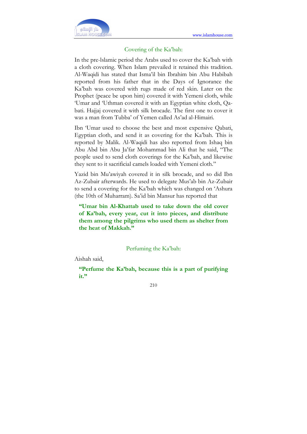

### Covering of the Ka'bah:

In the pre-lslamic period the Arabs used to cover the Ka'bah with a cloth covering. When Islam prevailed it retained this tradition. Al-Waqidi has stated that Isma'il bin Ibrahim bin Abu Habibah reported from his father that in the Days of Ignorance the Ka'bah was covered with rugs made of red skin. Later on the Prophet (peace be upon him) covered it with Yemeni cloth, while 'Umar and 'Uthman covered it with an Egyptian white cloth, Qabati. Hajjaj covered it with silk brocade. The first one to cover it was a man from Tubba' of Yemen called As'ad al-Himairi.

Ibn 'Umar used to choose the best and most expensive Qabati, Egyptian cloth, and send it as covering for the Ka'bah. This is reported by Malik. Al-Waqidi has also reported from Ishaq bin Abu Abd bin Abu Ja'far Mohammad bin Ali that he said, "The people used to send cloth coverings for the Ka'bah, and likewise they sent to it sacrificial camels loaded with Yemeni cloth."

Yazid bin Mu'awiyah covered it in silk brocade, and so did Ibn Az-Zubair afterwards. He used to delegate Mus'ab bin Az-Zubair to send a covering for the Ka'bah which was changed on 'Ashura (the 10th of Muharram). Sa'id bin Mansur has reported that

"Umar bin Al-Khattab used to take down the old cover of Ka'bah, every year, cut it into pieces, and distribute them among the pilgrims who used them as shelter from the heat of Makkah."

Perfuming the Ka'bah:

Aishah said,

"Perfume the Ka'bah, because this is a part of purifying it."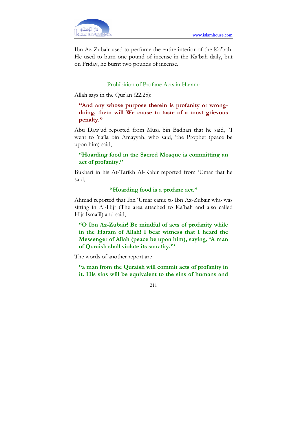Ibn Az-Zubair used to perfume the entire interior of the Ka'bah. He used to burn one pound of incense in the Ka'bah daily, but on Friday, he burnt two pounds of incense.

### Prohibition of Profane Acts in Haram:

Allah says in the Qur'an (22.25):

"And any whose purpose therein is profanity or wrongdoing, them will We cause to taste of a most grievous penalty."

Abu Daw'ud reported from Musa bin Badhan that he said, "I went to Ya'la bin Amayyah, who said, 'the Prophet (peace be upon him) said,

## "Hoarding food in the Sacred Mosque is committing an act of profanity."

Bukhari in his At-Tarikh Al-Kabir reported from 'Umar that he said,

## "Hoarding food is a profane act."

Ahmad reported that Ibn 'Umar came to Ibn Az-Zubair who was sitting in Al-Hijr (The area attached to Ka'bah and also called Hijr Isma'il) and said,

"O Ibn Az-Zubair! Be mindful of acts of profanity while in the Haram of Allah! I bear witness that I heard the Messenger of Allah (peace be upon him), saying, 'A man of Quraish shall violate its sanctity.'"

The words of another report are

"a man from the Quraish will commit acts of profanity in it. His sins will be equivalent to the sins of humans and

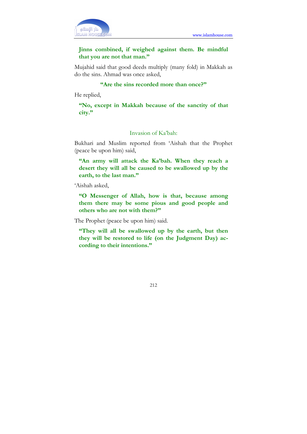

## Jinns combined, if weighed against them. Be mindful that you are not that man."

Mujahid said that good deeds multiply (many fold) in Makkah as do the sins. Ahmad was once asked,

### "Are the sins recorded more than once?"

He replied,

"No, except in Makkah because of the sanctity of that city."

## Invasion of Ka'bah:

Bukhari and Muslim reported from 'Aishah that the Prophet (peace be upon him) said,

"An army will attack the Ka'bah. When they reach a desert they will all be caused to be swallowed up by the earth, to the last man."

'Aishah asked,

"O Messenger of Allah, how is that, because among them there may be some pious and good people and others who are not with them?"

The Prophet (peace be upon him) said.

"They will all be swallowed up by the earth, but then they will be restored to life (on the Judgment Day) according to their intentions."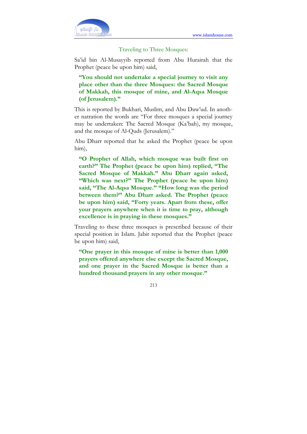

#### Traveling to Three Mosques:

Sa'id bin Al-Musayyib reported from Abu Hurairah that the Prophet (peace be upon him) said,

"You should not undertake a special journey to visit any place other than the three Mosques: the Sacred Mosque of Makkah, this mosque of mine, and Al-Aqsa Mosque (of Jerusalem)."

This is reported by Bukhari, Muslim, and Abu Daw'ud. In another natration the words are "For three mosques a special journey may be undertaken: The Sacred Mosque (Ka'bah), my mosque, and the mosque of Al-Quds (Jerusalem)."

Abu Dharr reported that he asked the Prophet (peace be upon him),

"O Prophet of Allah, which mosque was built first on earth?" The Prophet (peace be upon him) replied, "The Sacred Mosque of Makkah." Abu Dharr again asked, "Which was next?" The Prophet (peace be upon him) said, "The Al-Aqsa Mosque." "How long was the period between them?" Abu Dharr asked. The Prophet (peace be upon him) said, "Forty years. Apart from these, offer your prayers anywhere when it is time to pray, although excellence is in praying in these mosques."

Traveling to these three mosques is prescribed because of their special position in Islam. Jabir reported that the Prophet (peace be upon him) said,

"One prayer in this mosque of mine is better than 1,000 prayers offered anywhere else except the Sacred Mosque, and one prayer in the Sacred Mosque is better than a hundred thousand prayers in any other mosque."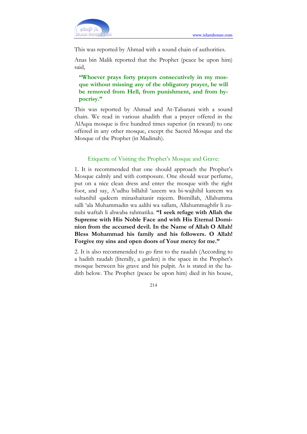

This was reported by Ahmad with a sound chain of authorities.

Anas bin Malik reported that the Prophet (peace be upon him) said,

"Whoever prays forty prayers consecutively in my mosque without missing any of the obligatory prayer, he will be removed from Hell, from punishment, and from hypocrisy."

This was reported by Ahmad and At-Tabarani with a sound chain. We read in various ahadith that a prayer offered in the AlAqsa mosque is five hundred times superior (in reward) to one offered in any other mosque, except the Sacred Mosque and the Mosque of the Prophet (in Madinah).

### Etiquette of Visiting the Prophet's Mosque and Grave:

1. It is recommended that one should approach the Prophet's Mosque calmly and with composure. One should wear perfume, put on a nice clean dress and enter the mosque with the right foot, and say, A'udhu billahil 'azeem wa bi-wajhihil kareem wa sultanihil qadeem minashaitanir rajeem. Bismillah, Allahumma salli 'ala Muhammadin wa aalihi wa sallam, Allahummaghfir li zunubi waftah li abwaba rahmatika. "I seek refuge with Allah the Supreme with His Noble Face and with His Eternal Dominion from the accursed devil. In the Name of Allah O Allah! Bless Mohammad his family and his followers. O Allah! Forgive my sins and open doors of Your mercy for me."

2. It is also recommended to go first to the raudah (According to a hadith raudah (literally, a garden) is the space in the Prophet's mosque between his grave and his pulpit. As is stated in the hadith below. The Prophet (peace be upon him) died in his house,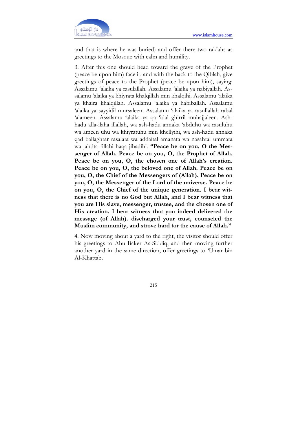

and that is where he was buried) and offer there two rak'ahs as greetings to the Mosque with calm and humility.

3. After this one should head toward the grave of the Prophet (peace be upon him) face it, and with the back to the Qiblah, give greetings of peace to the Prophet (peace be upon him), saying: Assalamu 'alaika ya rasulallah. Assalamu 'alaika ya nabiyallah. Assalamu 'alaika ya khiyrata khalqillah min khalqihi. Assalamu 'alaika ya khaira khalqillah. Assalamu 'alaika ya habiballah. Assalamu 'alaika ya sayyidil mursaleen. Assalamu 'alaika ya rasullallah rabal 'alameen. Assalamu 'alaika ya qa 'idal ghirril muhajjaleen. Ashhadu alla-ilaha illallah, wa ash-hadu annaka 'abduhu wa rasuluhu wa ameen uhu wa khiyratuhu min khcllyihi, wa ash-hadu annaka qad ballaghtar rasalata wa addaital amanata wa nasahtal ummata wa jahdta fillahi haqa jihadihi. "Peace be on you, O the Messenger of Allah. Peace be on you, O, the Prophet of Allah. Peace be on you, O, the chosen one of Allah's creation. Peace be on you, O, the beloved one of Allah. Peace be on you, O, the Chief of the Messengers of (Allah). Peace be on you, O, the Messenger of the Lord of the universe. Peace be on you, O, the Chief of the unique generation. I bear witness that there is no God but Allah, and I bear witness that you are His slave, messenger, trustee, and the chosen one of His creation. I bear witness that you indeed delivered the message (of Allah). discharged your trust, counseled the Muslim community, and strove hard tor the cause of Allah."

4. Now moving about a yard to the right, the visitor should offer his greetings to Abu Baker As-Siddiq, and then moving further another yard in the same direction, offer greetings to 'Umar bin Al-Khattab.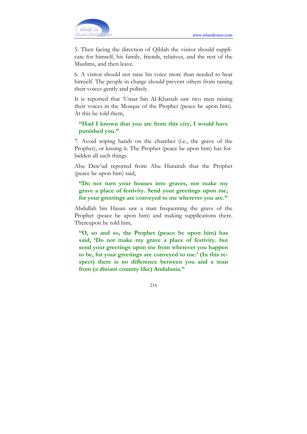

5. Then facing the direction of Qiblah the visitor should supplicate for himself, his family, friends, relatives, and the rest of the Muslims, and then leave.

6. A visitor should not raise his voice more than needed to hear himself. The people in charge should prevent others from raising their voices gently and politely.

It is reported that 'Umar bin Al-Khattab saw two men raising their voices in the Mosque of the Prophet (peace be upon him). At this he told them,

## "Had I known that you are from this city, I would have punished you."

7. Avoid wiping hands on the chamber (i.e., the grave of the Prophet), or kissing it. The Prophet (peace be upon him) has forbidden all such things.

Abu Daw'ud reported from Abu Hurairah that the Prophet (peace be upon him) said,

"Do not turn your houses into graves, nor make my grave a place of festivity. Send your greetings upon me, for your greetings are conveyed to me wherever you are."

Abdullah bin Hasan saw a man frequenting the grave of the Prophet (peace be upon him) and making supplications there. Thereupon he told him,

"O, so and so, the Prophet (peace be upon him) has said, 'Do not make my grave a place of festivity. but send your greetings upon me from wherever you happen to be, for your greetings are conveyed to me.' (In this respect) there is no difference between you and a man from (a distant country like) Andalusia."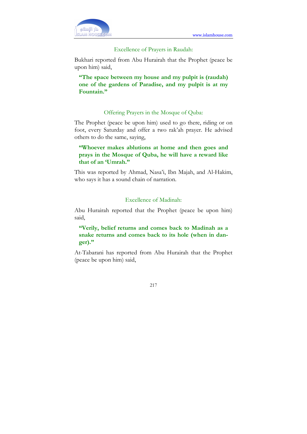٦



## Excellence of Prayers in Raudah:

Bukhari reported from Abu Hurairah that the Prophet (peace be upon him) said,

"The space between my house and my pulpit is (raudah) one of the gardens of Paradise, and my pulpit is at my Fountain."

## Offering Prayers in the Mosque of Quba:

The Prophet (peace be upon him) used to go there, riding or on foot, every Saturday and offer a two rak'ah prayer. He advised others to do the same, saying,

# "Whoever makes ablutions at home and then goes and prays in the Mosque of Quba, he will have a reward like that of an 'Umrah."

This was reported by Ahmad, Nasa'i, Ibn Majah, and Al-Hakim, who says it has a sound chain of narration.

## Excellence of Madinah:

Abu Hurairah reported that the Prophet (peace be upon him) said,

# "Verily, belief returns and comes back to Madinah as a snake returns and comes back to its hole (when in danger)."

At-Tabarani has reported from Abu Hurairah that the Prophet (peace be upon him) said,

217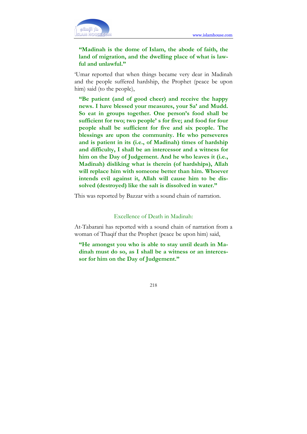٦



# "Madinah is the dome of Islam, the abode of faith, the land of migration, and the dwelling place of what is lawful and unlawful."

'Umar reported that when things became very dear in Madinah and the people suffered hardship, the Prophet (peace be upon him) said (to the people),

"Be patient (and of good cheer) and receive the happy news. I have blessed your measures, your Sa' and Mudd. So eat in groups together. One person's food shall be sufficient for two; two people' s for five; and food for four people shall be sufficient for five and six people. The blessings are upon the community. He who perseveres and is patient in its (i.e., of Madinah) times of hardship and difficulty, I shall be an intercessor and a witness for him on the Day of Judgement. And he who leaves it (i.e., Madinah) disliking what is therein (of hardships), Allah will replace him with someone better than him. Whoever intends evil against it, Allah will cause him to be dissolved (destroyed) like the salt is dissolved in water."

This was reported by Bazzar with a sound chain of narration.

#### Excellence of Death in Madinah:

At-Tabarani has reported with a sound chain of narration from a woman of Thaqif that the Prophet (peace be upon him) said,

"He amongst you who is able to stay until death in Madinah must do so, as I shall be a witness or an intercessor for him on the Day of Judgement."

218